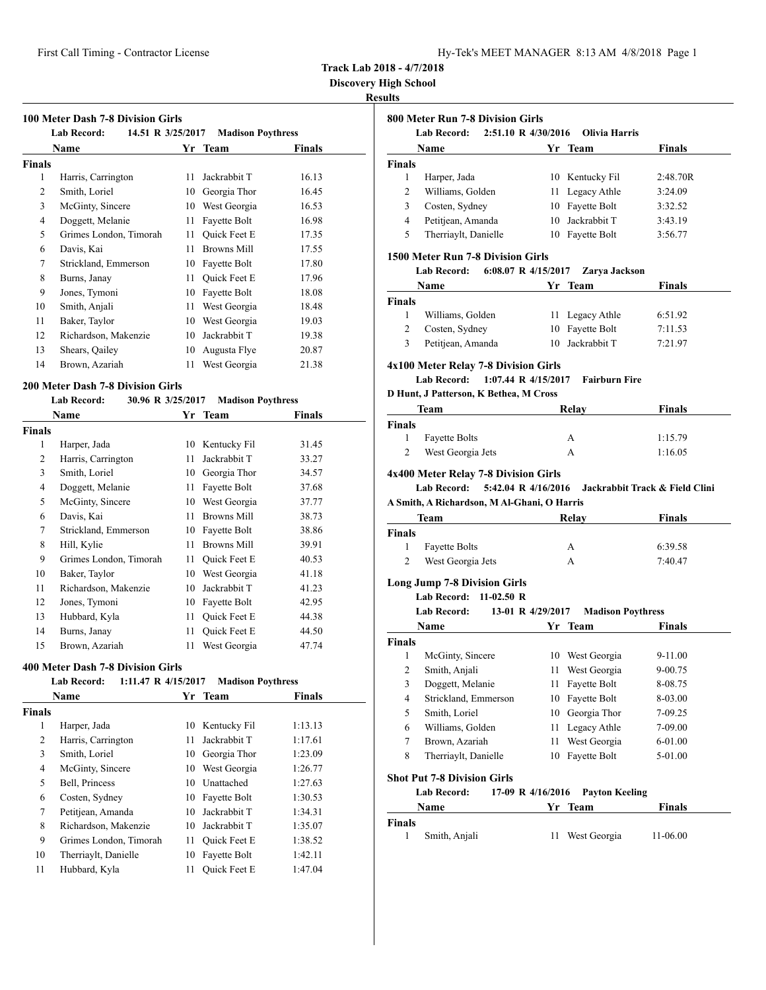| Hy-Tek's MEET MANAGER 8:13 AM 4/8/2018 Page 1 |  |  |  |  |
|-----------------------------------------------|--|--|--|--|
|-----------------------------------------------|--|--|--|--|

**Discovery High School**

## **Results**

 $\overline{\phantom{0}}$ 

| 100 Meter Dash 7-8 Division Girls<br>14.51 R 3/25/2017<br><b>Lab Record:</b><br><b>Madison Poythress</b> |                        |    |                     |        |  |  |
|----------------------------------------------------------------------------------------------------------|------------------------|----|---------------------|--------|--|--|
|                                                                                                          | Name                   |    | Yr Team             | Finals |  |  |
| <b>Finals</b>                                                                                            |                        |    |                     |        |  |  |
| 1                                                                                                        | Harris, Carrington     | 11 | Jackrabbit T        | 16.13  |  |  |
| 2                                                                                                        | Smith, Loriel          | 10 | Georgia Thor        | 16.45  |  |  |
| 3                                                                                                        | McGinty, Sincere       | 10 | West Georgia        | 16.53  |  |  |
| 4                                                                                                        | Doggett, Melanie       | 11 | Fayette Bolt        | 16.98  |  |  |
| 5                                                                                                        | Grimes London, Timorah | 11 | <b>Ouick Feet E</b> | 17.35  |  |  |
| 6                                                                                                        | Davis, Kai             | 11 | <b>Browns Mill</b>  | 17.55  |  |  |
| 7                                                                                                        | Strickland, Emmerson   | 10 | Fayette Bolt        | 17.80  |  |  |
| 8                                                                                                        | Burns, Janay           | 11 | Quick Feet E        | 17.96  |  |  |
| 9                                                                                                        | Jones, Tymoni          | 10 | Fayette Bolt        | 18.08  |  |  |
| 10                                                                                                       | Smith, Anjali          | 11 | West Georgia        | 18.48  |  |  |
| 11                                                                                                       | Baker, Taylor          | 10 | West Georgia        | 19.03  |  |  |
| 12                                                                                                       | Richardson, Makenzie   | 10 | Jackrabbit T        | 19.38  |  |  |
| 13                                                                                                       | Shears, Qailey         | 10 | Augusta Flye        | 20.87  |  |  |
| 14                                                                                                       | Brown, Azariah         | 11 | West Georgia        | 21.38  |  |  |

#### **200 Meter Dash 7-8 Division Girls**

#### **Lab Record: 30.96 R 3/25/2017 Madison Poythress**

|                | Name                   |    | Yr Team             | Finals |  |
|----------------|------------------------|----|---------------------|--------|--|
| Finals         |                        |    |                     |        |  |
| 1              | Harper, Jada           | 10 | Kentucky Fil        | 31.45  |  |
| $\overline{2}$ | Harris, Carrington     | 11 | Jackrabbit T        | 33.27  |  |
| 3              | Smith, Loriel          | 10 | Georgia Thor        | 34.57  |  |
| 4              | Doggett, Melanie       | 11 | Fayette Bolt        | 37.68  |  |
| 5              | McGinty, Sincere       | 10 | West Georgia        | 37.77  |  |
| 6              | Davis, Kai             | 11 | <b>Browns Mill</b>  | 38.73  |  |
| 7              | Strickland, Emmerson   | 10 | Fayette Bolt        | 38.86  |  |
| 8              | Hill, Kylie            | 11 | <b>Browns Mill</b>  | 39.91  |  |
| 9              | Grimes London, Timorah | 11 | Quick Feet E        | 40.53  |  |
| 10             | Baker, Taylor          | 10 | West Georgia        | 41.18  |  |
| 11             | Richardson, Makenzie   | 10 | Jackrabbit T        | 41.23  |  |
| 12             | Jones, Tymoni          | 10 | Fayette Bolt        | 42.95  |  |
| 13             | Hubbard, Kyla          | 11 | <b>Ouick Feet E</b> | 44.38  |  |
| 14             | Burns, Janay           | 11 | <b>Ouick Feet E</b> | 44.50  |  |
| 15             | Brown, Azariah         | 11 | West Georgia        | 47.74  |  |

#### **400 Meter Dash 7-8 Division Girls**

| <b>Lab Record:</b>     |                              | <b>Madison Poythress</b> |                                                                                                 |
|------------------------|------------------------------|--------------------------|-------------------------------------------------------------------------------------------------|
|                        |                              |                          | <b>Finals</b>                                                                                   |
|                        |                              |                          |                                                                                                 |
| Harper, Jada           | 10                           |                          | 1:13.13                                                                                         |
| Harris, Carrington     | 11                           | Jackrabbit T             | 1:17.61                                                                                         |
| Smith, Loriel          | 10                           | Georgia Thor             | 1:23.09                                                                                         |
| McGinty, Sincere       |                              |                          | 1:26.77                                                                                         |
| Bell, Princess         | 10                           |                          | 1:27.63                                                                                         |
| Costen, Sydney         | 10                           |                          | 1:30.53                                                                                         |
| Petitjean, Amanda      | 10                           | Jackrabbit T             | 1:34.31                                                                                         |
| Richardson, Makenzie   | 10                           | Jackrabbit T             | 1:35.07                                                                                         |
| Grimes London, Timorah | 11                           | Quick Feet E             | 1:38.52                                                                                         |
| Therriaylt, Danielle   | 10                           | Fayette Bolt             | 1:42.11                                                                                         |
| Hubbard, Kyla          | 11                           | <b>Ouick Feet E</b>      | 1:47.04                                                                                         |
|                        | <b>Name</b><br><b>Finals</b> |                          | 1:11.47 R 4/15/2017<br>Yr Team<br>Kentucky Fil<br>10 West Georgia<br>Unattached<br>Fayette Bolt |

|                         | Name                                                                                                                                                                                                                                |        | Yr Team                  | Finals                                   |
|-------------------------|-------------------------------------------------------------------------------------------------------------------------------------------------------------------------------------------------------------------------------------|--------|--------------------------|------------------------------------------|
| <b>Finals</b>           |                                                                                                                                                                                                                                     |        |                          |                                          |
| $\mathbf{1}$            | Harper, Jada                                                                                                                                                                                                                        |        | 10 Kentucky Fil          | 2:48.70R                                 |
| $\overline{2}$          | Williams, Golden                                                                                                                                                                                                                    |        | 11 Legacy Athle          | 3:24.09                                  |
| 3                       | Costen, Sydney                                                                                                                                                                                                                      |        | 10 Fayette Bolt          | 3:32.52                                  |
| 4                       | Petitjean, Amanda                                                                                                                                                                                                                   |        | 10 Jackrabbit T          | 3:43.19                                  |
| 5                       | Therriaylt, Danielle                                                                                                                                                                                                                |        | 10 Fayette Bolt          | 3:56.77                                  |
|                         | 1500 Meter Run 7-8 Division Girls                                                                                                                                                                                                   |        |                          |                                          |
|                         | 6:08.07 R $4/15/2017$<br>Lab Record:                                                                                                                                                                                                |        | Zarya Jackson            |                                          |
|                         | <b>Name</b>                                                                                                                                                                                                                         |        | Yr Team                  | <b>Finals</b>                            |
| <b>Finals</b>           |                                                                                                                                                                                                                                     |        |                          |                                          |
| 1                       | Williams, Golden                                                                                                                                                                                                                    |        | 11 Legacy Athle          | 6:51.92                                  |
| $\overline{2}$          | Costen, Sydney                                                                                                                                                                                                                      |        | 10 Fayette Bolt          | 7:11.53                                  |
| 3                       | Petitjean, Amanda                                                                                                                                                                                                                   |        | 10 Jackrabbit T          | 7:21.97                                  |
|                         | 4x100 Meter Relay 7-8 Division Girls<br>Lab Record: 1:07.44 R 4/15/2017                                                                                                                                                             |        | <b>Fairburn Fire</b>     |                                          |
|                         | D Hunt, J Patterson, K Bethea, M Cross                                                                                                                                                                                              |        |                          |                                          |
|                         | <b>Team</b> and the state of the state of the state of the state of the state of the state of the state of the state of the state of the state of the state of the state of the state of the state of the state of the state of the |        | Relay                    | <b>Finals</b>                            |
| <b>Finals</b>           |                                                                                                                                                                                                                                     |        |                          |                                          |
| $\mathbf{1}$            | <b>Fayette Bolts</b>                                                                                                                                                                                                                |        | А                        | 1:15.79                                  |
| $\overline{2}$          | West Georgia Jets                                                                                                                                                                                                                   |        | A                        | 1:16.05                                  |
|                         | 4x400 Meter Relay 7-8 Division Girls<br>Lab Record: 5:42.04 R 4/16/2016<br>A Smith, A Richardson, M Al-Ghani, O Harris                                                                                                              |        |                          |                                          |
|                         | Team                                                                                                                                                                                                                                |        | Relay                    | Jackrabbit Track & Field Clini<br>Finals |
| 1                       |                                                                                                                                                                                                                                     |        | A                        | 6:39.58                                  |
| $\overline{2}$          | <b>Fayette Bolts</b><br>West Georgia Jets                                                                                                                                                                                           |        | A                        | 7:40.47                                  |
|                         | <b>Long Jump 7-8 Division Girls</b>                                                                                                                                                                                                 |        |                          |                                          |
|                         | Lab Record: 11-02.50 R                                                                                                                                                                                                              |        |                          |                                          |
|                         | <b>Lab Record:</b><br>13-01 R 4/29/2017                                                                                                                                                                                             |        | <b>Madison Poythress</b> |                                          |
|                         | <b>Name</b>                                                                                                                                                                                                                         |        | Yr Team                  | <b>Finals</b>                            |
|                         |                                                                                                                                                                                                                                     |        |                          |                                          |
| 1                       | McGinty, Sincere                                                                                                                                                                                                                    |        | 10 West Georgia          | 9-11.00                                  |
| $\overline{\mathbf{c}}$ | Smith, Anjali                                                                                                                                                                                                                       | $11 -$ | West Georgia             | 9-00.75                                  |
| 3                       | Doggett, Melanie                                                                                                                                                                                                                    | 11     | Fayette Bolt             | 8-08.75                                  |
| 4                       | Strickland, Emmerson                                                                                                                                                                                                                | 10     | Fayette Bolt             | 8-03.00                                  |
| 5                       | Smith, Loriel                                                                                                                                                                                                                       |        | 10 Georgia Thor          | 7-09.25                                  |
| 6                       | Williams, Golden                                                                                                                                                                                                                    | 11     | Legacy Athle             | 7-09.00                                  |
| 7                       | Brown, Azariah                                                                                                                                                                                                                      | 11     | West Georgia             | 6-01.00                                  |
| 8                       | Therriaylt, Danielle                                                                                                                                                                                                                |        | 10 Fayette Bolt          | 5-01.00                                  |
| <b>Finals</b><br>Finals | <b>Shot Put 7-8 Division Girls</b>                                                                                                                                                                                                  |        |                          |                                          |
|                         | 17-09 R 4/16/2016<br><b>Lab Record:</b>                                                                                                                                                                                             |        | <b>Payton Keeling</b>    |                                          |
| <b>Finals</b>           | Name                                                                                                                                                                                                                                |        | Yr Team                  | <b>Finals</b>                            |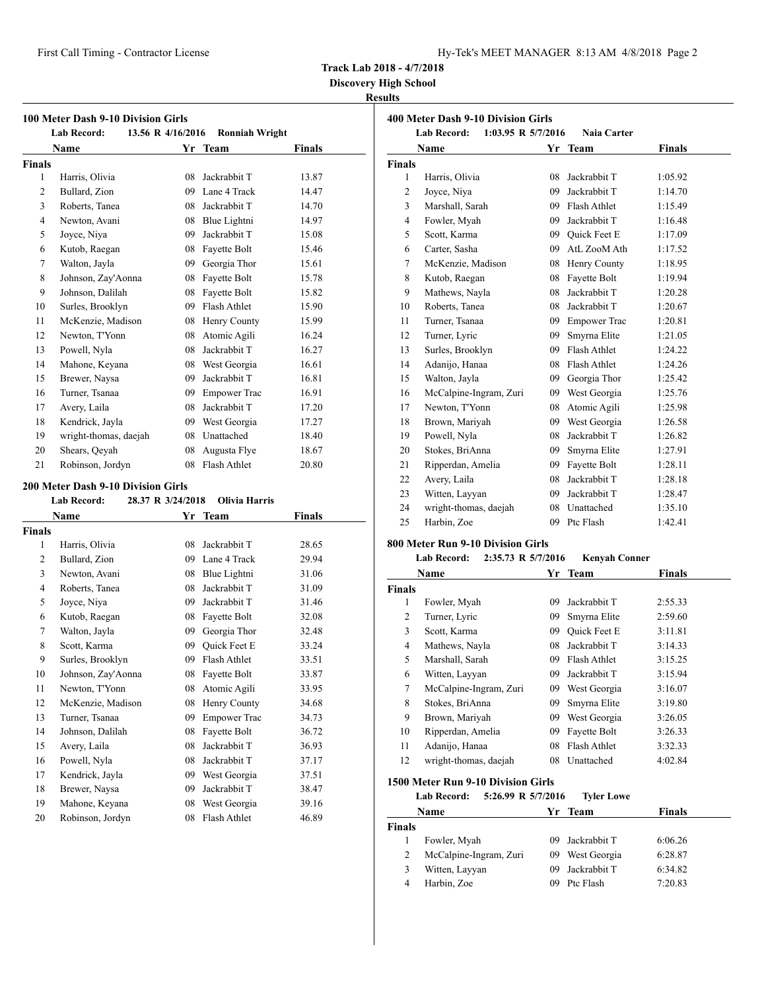| Hy-Tek's MEET MANAGER  8:13 AM  4/8/2018  Page 2 |  |  |  |
|--------------------------------------------------|--|--|--|
|--------------------------------------------------|--|--|--|

**Discovery High School**

## **Results**

| 100 Meter Dash 9-10 Division Girls |                       |  |                   |                       |        |  |
|------------------------------------|-----------------------|--|-------------------|-----------------------|--------|--|
|                                    | <b>Lab Record:</b>    |  | 13.56 R 4/16/2016 | <b>Ronniah Wright</b> |        |  |
|                                    | Name                  |  | Yr                | Team                  | Finals |  |
| <b>Finals</b>                      |                       |  |                   |                       |        |  |
| 1                                  | Harris, Olivia        |  | 08                | Jackrabbit T          | 13.87  |  |
| 2                                  | Bullard, Zion         |  | 09                | Lane 4 Track          | 14.47  |  |
| 3                                  | Roberts, Tanea        |  | 08                | Jackrabbit T          | 14.70  |  |
| $\overline{4}$                     | Newton, Avani         |  | 08                | Blue Lightni          | 14.97  |  |
| 5                                  | Joyce, Niya           |  | 09                | Jackrabbit T          | 15.08  |  |
| 6                                  | Kutob, Raegan         |  | 08                | Fayette Bolt          | 15.46  |  |
| 7                                  | Walton, Jayla         |  | 09                | Georgia Thor          | 15.61  |  |
| 8                                  | Johnson, Zay'Aonna    |  | 08                | Fayette Bolt          | 15.78  |  |
| 9                                  | Johnson, Dalilah      |  | 08                | Fayette Bolt          | 15.82  |  |
| 10                                 | Surles, Brooklyn      |  | 09                | Flash Athlet          | 15.90  |  |
| 11                                 | McKenzie, Madison     |  | 08                | Henry County          | 15.99  |  |
| 12                                 | Newton, T'Yonn        |  | 08                | Atomic Agili          | 16.24  |  |
| 13                                 | Powell, Nyla          |  | 08                | Jackrabbit T          | 16.27  |  |
| 14                                 | Mahone, Keyana        |  | 08                | West Georgia          | 16.61  |  |
| 15                                 | Brewer, Naysa         |  | 09                | Jackrabbit T          | 16.81  |  |
| 16                                 | Turner, Tsanaa        |  | 09                | <b>Empower Trac</b>   | 16.91  |  |
| 17                                 | Avery, Laila          |  | 08                | Jackrabbit T          | 17.20  |  |
| 18                                 | Kendrick, Jayla       |  | 09                | West Georgia          | 17.27  |  |
| 19                                 | wright-thomas, daejah |  | 08                | Unattached            | 18.40  |  |
| 20                                 | Shears, Qeyah         |  | 08                | Augusta Flye          | 18.67  |  |
| 21                                 | Robinson, Jordyn      |  | 08                | Flash Athlet          | 20.80  |  |

#### **200 Meter Dash 9-10 Division Girls**

|                | <b>Lab Record:</b> | 28.37 R 3/24/2018 | Olivia Harris       |        |  |
|----------------|--------------------|-------------------|---------------------|--------|--|
|                | Name               |                   | Yr Team             | Finals |  |
| Finals         |                    |                   |                     |        |  |
| 1              | Harris, Olivia     | 08                | Jackrabbit T        | 28.65  |  |
| $\overline{2}$ | Bullard, Zion      | 09                | Lane 4 Track        | 29.94  |  |
| 3              | Newton, Avani      | 08                | Blue Lightni        | 31.06  |  |
| $\overline{4}$ | Roberts, Tanea     | 08                | Jackrabbit T        | 31.09  |  |
| 5              | Joyce, Niya        | 09                | Jackrabbit T        | 31.46  |  |
| 6              | Kutob, Raegan      | 08                | Fayette Bolt        | 32.08  |  |
| 7              | Walton, Jayla      | 09                | Georgia Thor        | 32.48  |  |
| 8              | Scott, Karma       | 09                | Quick Feet E        | 33.24  |  |
| 9              | Surles, Brooklyn   | 09                | Flash Athlet        | 33.51  |  |
| 10             | Johnson, Zay'Aonna | 08                | Fayette Bolt        | 33.87  |  |
| 11             | Newton, T'Yonn     | 08                | Atomic Agili        | 33.95  |  |
| 12             | McKenzie, Madison  | 08                | Henry County        | 34.68  |  |
| 13             | Turner, Tsanaa     | 09                | <b>Empower Trac</b> | 34.73  |  |
| 14             | Johnson, Dalilah   | 08                | Fayette Bolt        | 36.72  |  |
| 15             | Avery, Laila       | 08                | Jackrabbit T        | 36.93  |  |
| 16             | Powell, Nyla       | 08                | Jackrabbit T        | 37.17  |  |
| 17             | Kendrick, Jayla    | 09                | West Georgia        | 37.51  |  |
| 18             | Brewer, Naysa      | 09                | Jackrabbit T        | 38.47  |  |
| 19             | Mahone, Keyana     | 08                | West Georgia        | 39.16  |  |
| 20             | Robinson, Jordyn   | 08                | Flash Athlet        | 46.89  |  |

|                | 400 Meter Dash 9-10 Division Girls       |    |                     |               |  |  |  |
|----------------|------------------------------------------|----|---------------------|---------------|--|--|--|
|                | 1:03.95 R 5/7/2016<br><b>Lab Record:</b> |    | Naia Carter         |               |  |  |  |
|                | Name                                     |    | Yr Team             | <b>Finals</b> |  |  |  |
| <b>Finals</b>  |                                          |    |                     |               |  |  |  |
| 1              | Harris, Olivia                           | 08 | Jackrabbit T        | 1:05.92       |  |  |  |
| $\overline{2}$ | Joyce, Niya                              | 09 | Jackrabbit T        | 1:14.70       |  |  |  |
| 3              | Marshall, Sarah                          | 09 | Flash Athlet        | 1:15.49       |  |  |  |
| 4              | Fowler, Myah                             | 09 | Jackrabbit T        | 1:16.48       |  |  |  |
| 5              | Scott, Karma                             |    | 09 Quick Feet E     | 1:17.09       |  |  |  |
| 6              | Carter, Sasha                            | 09 | AtL ZooM Ath        | 1:17.52       |  |  |  |
| 7              | McKenzie, Madison                        | 08 | Henry County        | 1:18.95       |  |  |  |
| 8              | Kutob, Raegan                            | 08 | Fayette Bolt        | 1:19.94       |  |  |  |
| 9              | Mathews, Nayla                           | 08 | Jackrabbit T        | 1:20.28       |  |  |  |
| 10             | Roberts, Tanea                           | 08 | Jackrabbit T        | 1:20.67       |  |  |  |
| 11             | Turner, Tsanaa                           | 09 | <b>Empower Trac</b> | 1:20.81       |  |  |  |
| 12             | Turner, Lyric                            | 09 | Smyrna Elite        | 1:21.05       |  |  |  |
| 13             | Surles, Brooklyn                         | 09 | Flash Athlet        | 1:24.22       |  |  |  |
| 14             | Adanijo, Hanaa                           | 08 | Flash Athlet        | 1:24.26       |  |  |  |
| 15             | Walton, Jayla                            | 09 | Georgia Thor        | 1:25.42       |  |  |  |
| 16             | McCalpine-Ingram, Zuri                   | 09 | West Georgia        | 1:25.76       |  |  |  |
| 17             | Newton, T'Yonn                           | 08 | Atomic Agili        | 1:25.98       |  |  |  |
| 18             | Brown, Mariyah                           | 09 | West Georgia        | 1:26.58       |  |  |  |
| 19             | Powell, Nyla                             | 08 | Jackrabbit T        | 1:26.82       |  |  |  |
| 20             | Stokes, BriAnna                          | 09 | Smyrna Elite        | 1:27.91       |  |  |  |
| 21             | Ripperdan, Amelia                        | 09 | Fayette Bolt        | 1:28.11       |  |  |  |
| 22             | Avery, Laila                             | 08 | Jackrabbit T        | 1:28.18       |  |  |  |
| 23             | Witten, Layyan                           | 09 | Jackrabbit T        | 1:28.47       |  |  |  |
| 24             | wright-thomas, daejah                    |    | 08 Unattached       | 1:35.10       |  |  |  |
| 25             | Harbin, Zoe                              | 09 | Ptc Flash           | 1:42.41       |  |  |  |

# **800 Meter Run 9-10 Division Girls**

# **Lab Record: 2:35.73 R 5/7/2016 Kenyah Conner**

|               | Name                   | Yr  | <b>Team</b>         | <b>Finals</b> |
|---------------|------------------------|-----|---------------------|---------------|
| <b>Finals</b> |                        |     |                     |               |
| 1             | Fowler, Myah           | 09  | Jackrabbit T        | 2:55.33       |
| 2             | Turner, Lyric          | 09  | Smyrna Elite        | 2:59.60       |
| 3             | Scott, Karma           | 09  | <b>Ouick Feet E</b> | 3:11.81       |
| 4             | Mathews, Nayla         | 08  | Jackrabbit T        | 3:14.33       |
| 5             | Marshall, Sarah        | 09  | Flash Athlet        | 3:15.25       |
| 6             | Witten, Layyan         | 09. | Jackrabbit T        | 3:15.94       |
| 7             | McCalpine-Ingram, Zuri | 09  | West Georgia        | 3:16.07       |
| 8             | Stokes, BriAnna        | 09  | Smyrna Elite        | 3:19.80       |
| 9             | Brown, Mariyah         | 09  | West Georgia        | 3:26.05       |
| 10            | Ripperdan, Amelia      | 09  | Fayette Bolt        | 3:26.33       |
| 11            | Adanijo, Hanaa         | 08  | Flash Athlet        | 3:32.33       |
| 12            | wright-thomas, daejah  | 08  | Unattached          | 4:02.84       |
|               |                        |     |                     |               |

#### **1500 Meter Run 9-10 Division Girls**

## **Lab Record: 5:26.99 R 5/7/2016 Tyler Lowe**

|        | Name                   |    | Yr Team         | <b>Finals</b> |  |
|--------|------------------------|----|-----------------|---------------|--|
| Finals |                        |    |                 |               |  |
|        | Fowler, Myah           | 09 | Jackrabbit T    | 6:06.26       |  |
|        | McCalpine-Ingram, Zuri |    | 09 West Georgia | 6:28.87       |  |
| 3      | Witten, Layyan         | 09 | Jackrabbit T    | 6:34.82       |  |
|        | Harbin, Zoe            | 09 | Ptc Flash       | 7:20.83       |  |
|        |                        |    |                 |               |  |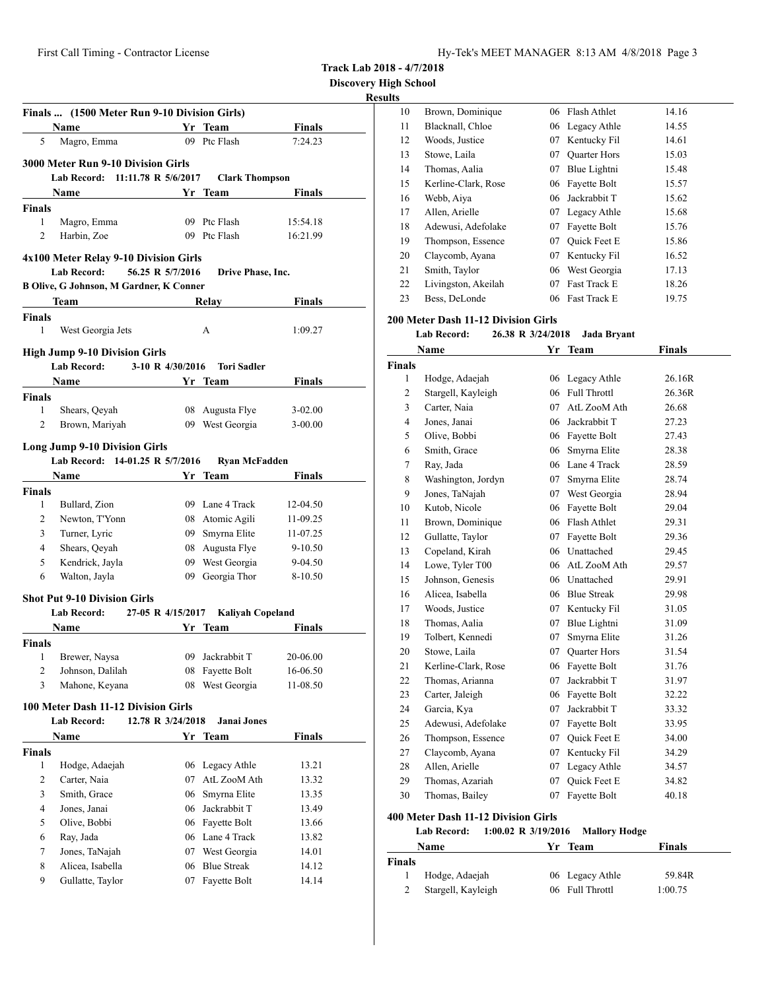**Discovery High School**

## **Results**

|                    | Finals  (1500 Meter Run 9-10 Division Girls)                                 |                   |                         |               |
|--------------------|------------------------------------------------------------------------------|-------------------|-------------------------|---------------|
|                    | Name                                                                         |                   | Yr Team                 | <b>Finals</b> |
| 5                  | Magro, Emma                                                                  |                   | 09 Ptc Flash            | 7:24.23       |
|                    |                                                                              |                   |                         |               |
|                    | <b>3000 Meter Run 9-10 Division Girls</b><br>Lab Record: 11:11.78 R 5/6/2017 |                   | <b>Clark Thompson</b>   |               |
|                    | <b>Example 18 Yr</b> Team<br>Name                                            |                   |                         | Finals        |
| <b>Finals</b>      |                                                                              |                   |                         |               |
| 1                  | Magro, Emma                                                                  |                   | 09 Ptc Flash            | 15:54.18      |
| 2                  | Harbin, Zoe                                                                  |                   | 09 Ptc Flash            | 16:21.99      |
|                    |                                                                              |                   |                         |               |
|                    | 4x100 Meter Relay 9-10 Division Girls                                        |                   |                         |               |
|                    | <b>Lab Record:</b>                                                           | 56.25 R 5/7/2016  | Drive Phase, Inc.       |               |
|                    | <b>B Olive, G Johnson, M Gardner, K Conner</b>                               |                   |                         |               |
|                    | Team                                                                         |                   | Relay                   | Finals        |
| <b>Finals</b><br>1 |                                                                              |                   |                         |               |
|                    | West Georgia Jets                                                            |                   | A                       | 1:09.27       |
|                    | <b>High Jump 9-10 Division Girls</b>                                         |                   |                         |               |
|                    | Lab Record:                                                                  | 3-10 R 4/30/2016  | <b>Tori Sadler</b>      |               |
|                    | Name                                                                         |                   | Yr Team                 | Finals        |
| <b>Finals</b>      |                                                                              |                   |                         |               |
| 1                  | Shears, Qeyah                                                                | 08                | Augusta Flye            | $3-02.00$     |
| 2                  | Brown, Mariyah                                                               |                   | 09 West Georgia         | $3-00.00$     |
|                    | <b>Long Jump 9-10 Division Girls</b>                                         |                   |                         |               |
|                    | Lab Record: 14-01.25 R 5/7/2016                                              |                   | <b>Ryan McFadden</b>    |               |
|                    | Name                                                                         |                   | Yr Team                 | <b>Finals</b> |
| <b>Finals</b>      |                                                                              |                   |                         |               |
| 1                  | Bullard, Zion                                                                |                   | 09 Lane 4 Track         | 12-04.50      |
| 2                  | Newton, T'Yonn                                                               |                   | 08 Atomic Agili         | 11-09.25      |
| 3                  | Turner, Lyric                                                                |                   | 09 Smyrna Elite         | 11-07.25      |
| $\overline{4}$     | Shears, Qeyah                                                                |                   | 08 Augusta Flye         | $9 - 10.50$   |
| 5                  | Kendrick, Jayla                                                              |                   | 09 West Georgia         | 9-04.50       |
| 6                  | Walton, Jayla                                                                |                   | 09 Georgia Thor         | 8-10.50       |
|                    | <b>Shot Put 9-10 Division Girls</b>                                          |                   |                         |               |
|                    | Lab Record:                                                                  | 27-05 R 4/15/2017 | <b>Kaliyah Copeland</b> |               |
|                    | Name                                                                         |                   | Yr Team                 | <b>Finals</b> |
| <b>Finals</b>      |                                                                              |                   |                         |               |
|                    | 1 Brewer, Naysa                                                              |                   | 09 Jackrabbit T         | 20-06.00      |
| 2                  | Johnson, Dalilah                                                             | 08                | Fayette Bolt            | 16-06.50      |
| 3                  | Mahone, Keyana                                                               | 08                | West Georgia            | 11-08.50      |
|                    | 100 Meter Dash 11-12 Division Girls                                          |                   |                         |               |
|                    | <b>Lab Record:</b>                                                           | 12.78 R 3/24/2018 | <b>Janai Jones</b>      |               |
|                    |                                                                              |                   | Yr Team                 | <b>Finals</b> |
| <b>Finals</b>      | Name                                                                         |                   |                         |               |
| 1                  | Hodge, Adaejah                                                               | 06                | Legacy Athle            | 13.21         |
| 2                  | Carter, Naia                                                                 | 07                | AtL ZooM Ath            | 13.32         |
| 3                  | Smith, Grace                                                                 | 06                | Smyrna Elite            | 13.35         |
| 4                  | Jones, Janai                                                                 | 06                | Jackrabbit T            | 13.49         |
| 5                  | Olive, Bobbi                                                                 | 06                | Fayette Bolt            | 13.66         |
| 6                  | Ray, Jada                                                                    |                   | 06 Lane 4 Track         | 13.82         |
| 7                  | Jones, TaNajah                                                               | 07                | West Georgia            | 14.01         |
| 8                  | Alicea, Isabella                                                             | 06                | <b>Blue Streak</b>      | 14.12         |
| 9                  | Gullatte, Taylor                                                             | 07                | Fayette Bolt            | 14.14         |
|                    |                                                                              |                   |                         |               |

| 10 | Brown, Dominique    | 06 | Flash Athlet        | 14.16 |
|----|---------------------|----|---------------------|-------|
| 11 | Blacknall, Chloe    |    | 06 Legacy Athle     | 14.55 |
| 12 | Woods, Justice      | 07 | Kentucky Fil        | 14.61 |
| 13 | Stowe, Laila        | 07 | <b>Quarter Hors</b> | 15.03 |
| 14 | Thomas, Aalia       | 07 | Blue Lightni        | 15.48 |
| 15 | Kerline-Clark, Rose | 06 | Fayette Bolt        | 15.57 |
| 16 | Webb, Aiya          | 06 | Jackrabbit T        | 15.62 |
| 17 | Allen, Arielle      | 07 | Legacy Athle        | 15.68 |
| 18 | Adewusi, Adefolake  | 07 | Fayette Bolt        | 15.76 |
| 19 | Thompson, Essence   | 07 | <b>Ouick Feet E</b> | 15.86 |
| 20 | Claycomb, Ayana     | 07 | Kentucky Fil        | 16.52 |
| 21 | Smith, Taylor       | 06 | West Georgia        | 17.13 |
| 22 | Livingston, Akeilah | 07 | <b>Fast Track E</b> | 18.26 |
| 23 | Bess, DeLonde       | 06 | Fast Track E        | 19.75 |
|    |                     |    |                     |       |

#### **200 Meter Dash 11-12 Division Girls**

**Lab Record: 26.38 R 3/24/2018 Jada Bryant**

|                | Name                | Yr  | <b>Team</b>         | Finals |
|----------------|---------------------|-----|---------------------|--------|
| <b>Finals</b>  |                     |     |                     |        |
| 1              | Hodge, Adaejah      |     | 06 Legacy Athle     | 26.16R |
| $\overline{c}$ | Stargell, Kayleigh  | 06  | Full Throttl        | 26.36R |
| 3              | Carter, Naia        | 07  | AtL ZooM Ath        | 26.68  |
| $\overline{4}$ | Jones, Janai        | 06  | Jackrabbit T        | 27.23  |
| 5              | Olive, Bobbi        | 06  | Fayette Bolt        | 27.43  |
| 6              | Smith, Grace        | 06  | Smyrna Elite        | 28.38  |
| 7              | Ray, Jada           | 06. | Lane 4 Track        | 28.59  |
| 8              | Washington, Jordyn  | 07  | Smyrna Elite        | 28.74  |
| 9              | Jones, TaNajah      | 07  | West Georgia        | 28.94  |
| 10             | Kutob, Nicole       | 06  | Fayette Bolt        | 29.04  |
| 11             | Brown, Dominique    | 06  | Flash Athlet        | 29.31  |
| 12             | Gullatte, Taylor    | 07  | Fayette Bolt        | 29.36  |
| 13             | Copeland, Kirah     | 06  | Unattached          | 29.45  |
| 14             | Lowe, Tyler T00     | 06  | AtL ZooM Ath        | 29.57  |
| 15             | Johnson, Genesis    | 06. | Unattached          | 29.91  |
| 16             | Alicea, Isabella    | 06  | <b>Blue Streak</b>  | 29.98  |
| 17             | Woods, Justice      |     | 07 Kentucky Fil     | 31.05  |
| 18             | Thomas, Aalia       | 07  | Blue Lightni        | 31.09  |
| 19             | Tolbert. Kennedi    | 07  | Smyrna Elite        | 31.26  |
| 20             | Stowe, Laila        | 07  | <b>Ouarter Hors</b> | 31.54  |
| 21             | Kerline-Clark, Rose | 06  | Fayette Bolt        | 31.76  |
| 22             | Thomas, Arianna     | 07  | Jackrabbit T        | 31.97  |
| 23             | Carter, Jaleigh     | 06  | Fayette Bolt        | 32.22  |
| 24             | Garcia, Kya         | 07  | Jackrabbit T        | 33.32  |
| 25             | Adewusi, Adefolake  | 07  | Fayette Bolt        | 33.95  |
| 26             | Thompson, Essence   | 07  | Quick Feet E        | 34.00  |
| 27             | Claycomb, Ayana     | 07  | Kentucky Fil        | 34.29  |
| 28             | Allen, Arielle      | 07  | Legacy Athle        | 34.57  |
| 29             | Thomas, Azariah     | 07  | <b>Ouick Feet E</b> | 34.82  |
| 30             | Thomas, Bailey      | 07  | Fayette Bolt        | 40.18  |
|                |                     |     |                     |        |

## **400 Meter Dash 11-12 Division Girls**

**Lab Record: 1:00.02 R 3/19/2016 Mallory Hodge**

|        | Name               | Yr Team         | Finals  |
|--------|--------------------|-----------------|---------|
| Finals |                    |                 |         |
|        | Hodge, Adaejah     | 06 Legacy Athle | 59.84R  |
|        | Stargell, Kayleigh | 06 Full Throttl | 1:00.75 |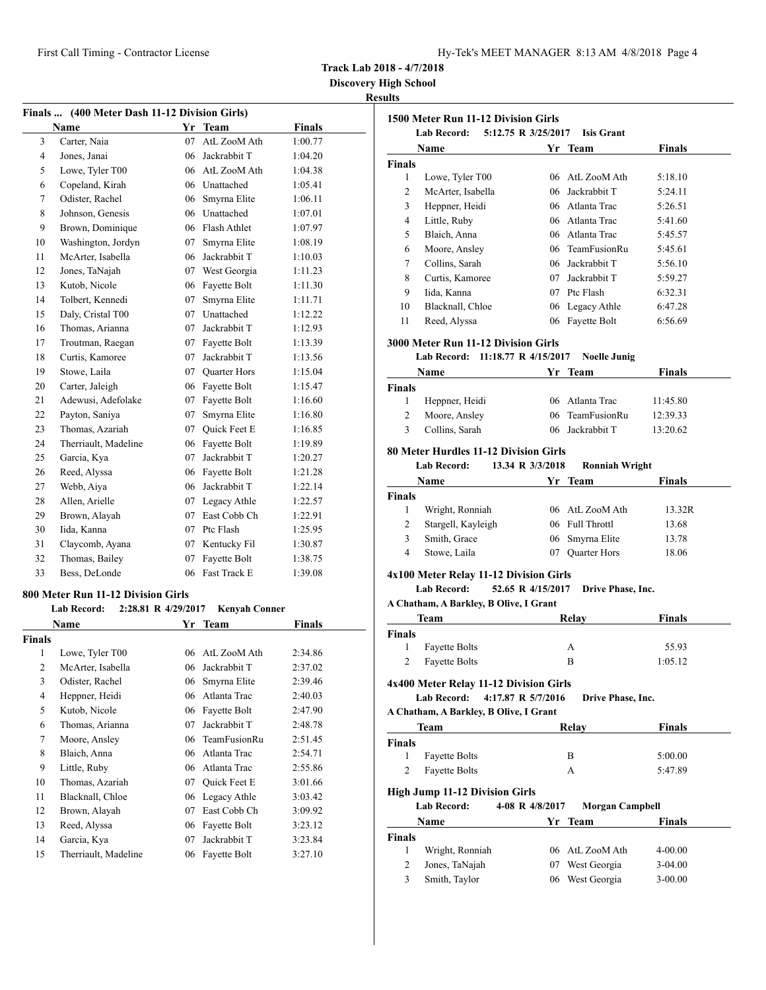|  | Hy-Tek's MEET MANAGER  8:13 AM  4/8/2018  Page 4 |  |  |
|--|--------------------------------------------------|--|--|
|  |                                                  |  |  |

**Discovery High School**

#### **Results**

**1500 Meter Run 11-12 Division Girls**

**Lab Record: 5:12.75 R 3/25/2017 Isis Grant**

| Finals  (400 Meter Dash 11-12 Division Girls) |                                           |    |                      |               |
|-----------------------------------------------|-------------------------------------------|----|----------------------|---------------|
|                                               | Name                                      |    | Yr Team              | <b>Finals</b> |
| 3                                             | Carter, Naia                              | 07 | AtL ZooM Ath         | 1:00.77       |
| $\overline{4}$                                | Jones, Janai                              |    | 06 Jackrabbit T      | 1:04.20       |
| 5                                             | Lowe, Tyler T00                           |    | 06 AtL ZooM Ath      | 1:04.38       |
| 6                                             | Copeland, Kirah                           |    | 06 Unattached        | 1:05.41       |
| 7                                             | Odister, Rachel                           | 06 | Smyrna Elite         | 1:06.11       |
| 8                                             | Johnson, Genesis                          | 06 | Unattached           | 1:07.01       |
| 9                                             | Brown, Dominique                          |    | 06 Flash Athlet      | 1:07.97       |
| 10                                            | Washington, Jordyn                        | 07 | Smyrna Elite         | 1:08.19       |
| 11                                            | McArter, Isabella                         |    | 06 Jackrabbit T      | 1:10.03       |
| 12                                            | Jones, TaNajah                            | 07 | West Georgia         | 1:11.23       |
| 13                                            | Kutob, Nicole                             | 06 | Fayette Bolt         | 1:11.30       |
| 14                                            | Tolbert, Kennedi                          | 07 | Smyrna Elite         | 1:11.71       |
| 15                                            | Daly, Cristal T00                         | 07 | Unattached           | 1:12.22       |
| 16                                            | Thomas, Arianna                           | 07 | Jackrabbit T         | 1:12.93       |
| 17                                            | Troutman, Raegan                          | 07 | Fayette Bolt         | 1:13.39       |
| 18                                            | Curtis, Kamoree                           | 07 | Jackrabbit T         | 1:13.56       |
| 19                                            | Stowe, Laila                              | 07 | <b>Quarter Hors</b>  | 1:15.04       |
| 20                                            | Carter, Jaleigh                           | 06 | Fayette Bolt         | 1:15.47       |
| 21                                            | Adewusi, Adefolake                        | 07 | Fayette Bolt         | 1:16.60       |
| 22                                            | Payton, Saniya                            | 07 | Smyrna Elite         | 1:16.80       |
| 23                                            | Thomas, Azariah                           | 07 | <b>Ouick Feet E</b>  | 1:16.85       |
| 24                                            | Therriault, Madeline                      | 06 | Fayette Bolt         | 1:19.89       |
| 25                                            | Garcia, Kya                               | 07 | Jackrabbit T         | 1:20.27       |
| 26                                            | Reed, Alyssa                              |    | 06 Fayette Bolt      | 1:21.28       |
| 27                                            | Webb, Aiya                                |    | 06 Jackrabbit T      | 1:22.14       |
| 28                                            | Allen, Arielle                            | 07 | Legacy Athle         | 1:22.57       |
| 29                                            | Brown, Alayah                             | 07 | East Cobb Ch         | 1:22.91       |
| 30                                            | Iida, Kanna                               |    | 07 Ptc Flash         | 1:25.95       |
| 31                                            | Claycomb, Ayana                           |    | 07 Kentucky Fil      | 1:30.87       |
| 32                                            | Thomas, Bailey                            | 07 | Fayette Bolt         | 1:38.75       |
| 33                                            | Bess, DeLonde                             | 06 | <b>Fast Track E</b>  | 1:39.08       |
|                                               | 800 Meter Run 11-12 Division Girls        |    |                      |               |
|                                               | <b>Lab Record:</b><br>2:28.81 R 4/29/2017 |    | <b>Kenyah Conner</b> |               |
|                                               | Name                                      |    | Yr Team              | Finals        |
| <b>Finals</b>                                 |                                           |    |                      |               |
| 1                                             | Lowe, Tyler T00                           |    | 06 AtL ZooM Ath      | 2:34.86       |
| $\overline{c}$                                | McArter, Isabella                         | 06 | Jackrabbit T         | 2:37.02       |
| 3                                             | Odister, Rachel                           | 06 | Smyrna Elite         | 2:39.46       |
| $\overline{4}$                                | Heppner, Heidi                            | 06 | Atlanta Trac         | 2:40.03       |

 Kutob, Nicole 06 Fayette Bolt 2:47.90 Thomas, Arianna 07 Jackrabbit T 2:48.78 Moore, Ansley 06 TeamFusionRu 2:51.45 Blaich, Anna 06 Atlanta Trac 2:54.71 Little, Ruby 06 Atlanta Trac 2:55.86 Thomas, Azariah 07 Quick Feet E 3:01.66 Blacknall, Chloe 06 Legacy Athle 3:03.42 Brown, Alayah 07 East Cobb Ch 3:09.92 Reed, Alyssa 06 Fayette Bolt 3:23.12 Garcia, Kya 07 Jackrabbit T 3:23.84 Therriault, Madeline 06 Fayette Bolt 3:27.10

|                    | Name                                                         |                   | Yr Team                | <b>Finals</b> |
|--------------------|--------------------------------------------------------------|-------------------|------------------------|---------------|
| Finals             |                                                              |                   |                        |               |
| 1                  | Lowe, Tyler T00                                              |                   | 06 AtL ZooM Ath        | 5:18.10       |
| 2                  | McArter, Isabella                                            |                   | 06 Jackrabbit T        | 5:24.11       |
| 3                  | Heppner, Heidi                                               |                   | 06 Atlanta Trac        | 5:26.51       |
| 4                  | Little, Ruby                                                 |                   | 06 Atlanta Trac        | 5:41.60       |
| 5                  | Blaich, Anna                                                 |                   | 06 Atlanta Trac        | 5:45.57       |
| 6                  | Moore, Ansley                                                |                   | 06 TeamFusionRu        | 5:45.61       |
| 7                  | Collins, Sarah                                               |                   | 06 Jackrabbit T        | 5:56.10       |
| 8                  | Curtis, Kamoree                                              |                   | 07 Jackrabbit T        | 5:59.27       |
| 9                  | Iida, Kanna                                                  |                   | 07 Ptc Flash           | 6:32.31       |
| 10                 | Blacknall, Chloe                                             |                   | 06 Legacy Athle        | 6:47.28       |
| 11                 | Reed, Alyssa                                                 |                   | 06 Fayette Bolt        | 6:56.69       |
|                    |                                                              |                   |                        |               |
|                    | <b>3000 Meter Run 11-12 Division Girls</b>                   |                   |                        |               |
|                    | Lab Record: 11:18.77 R 4/15/2017                             |                   | <b>Noelle Junig</b>    |               |
|                    | Name                                                         |                   | Yr Team                | <b>Finals</b> |
| Finals             |                                                              |                   |                        |               |
| 1                  | Heppner, Heidi                                               |                   | 06 Atlanta Trac        | 11:45.80      |
| 2                  | Moore, Ansley                                                |                   | 06 TeamFusionRu        | 12:39.33      |
| 3                  | Collins, Sarah                                               |                   | 06 Jackrabbit T        | 13:20.62      |
|                    | 80 Meter Hurdles 11-12 Division Girls                        |                   |                        |               |
|                    | <b>Lab Record:</b>                                           | 13.34 R 3/3/2018  | <b>Ronniah Wright</b>  |               |
|                    | Name                                                         |                   | Yr Team                | Finals        |
| Finals             |                                                              |                   |                        |               |
| 1                  | Wright, Ronniah                                              |                   | 06 AtL ZooM Ath        | 13.32R        |
| 2                  | Stargell, Kayleigh                                           |                   | 06 Full Throttl        | 13.68         |
| 3                  | Smith, Grace                                                 |                   | 06 Smyrna Elite        | 13.78         |
| 4                  | Stowe, Laila                                                 | 07                | Quarter Hors           | 18.06         |
|                    |                                                              |                   |                        |               |
|                    | 4x100 Meter Relay 11-12 Division Girls<br><b>Lab Record:</b> | 52.65 R 4/15/2017 |                        |               |
|                    | A Chatham, A Barkley, B Olive, I Grant                       |                   | Drive Phase, Inc.      |               |
|                    |                                                              |                   |                        | <b>Finals</b> |
|                    | Team                                                         |                   | Relay                  |               |
| <b>Finals</b><br>1 | <b>Fayette Bolts</b>                                         |                   | А                      | 55.93         |
| 2                  | <b>Fayette Bolts</b>                                         |                   | B                      | 1:05.12       |
|                    |                                                              |                   |                        |               |
|                    | 4x400 Meter Relay 11-12 Division Girls                       |                   |                        |               |
|                    | Lab Record: 4:17.87 R 5/7/2016                               |                   | Drive Phase, Inc.      |               |
|                    | A Chatham, A Barkley, B Olive, I Grant                       |                   |                        |               |
|                    | Team                                                         |                   | Relay                  | <b>Finals</b> |
| Finals             |                                                              |                   |                        |               |
| 1                  | <b>Fayette Bolts</b>                                         |                   | B                      | 5:00.00       |
| $\overline{c}$     | <b>Fayette Bolts</b>                                         |                   | А                      | 5:47.89       |
|                    | <b>High Jump 11-12 Division Girls</b>                        |                   |                        |               |
|                    | Lab Record:                                                  | 4-08 R 4/8/2017   | <b>Morgan Campbell</b> |               |
|                    | Name                                                         | Yr                | Team                   | Finals        |
| Finals             |                                                              |                   |                        |               |
| 1                  | Wright, Ronniah                                              |                   | 06 AtL ZooM Ath        | 4-00.00       |
| 2                  | Jones, TaNajah                                               | 07                | West Georgia           | 3-04.00       |
| 3                  | Smith, Taylor                                                |                   | 06 West Georgia        | $3-00.00$     |
|                    |                                                              |                   |                        |               |
|                    |                                                              |                   |                        |               |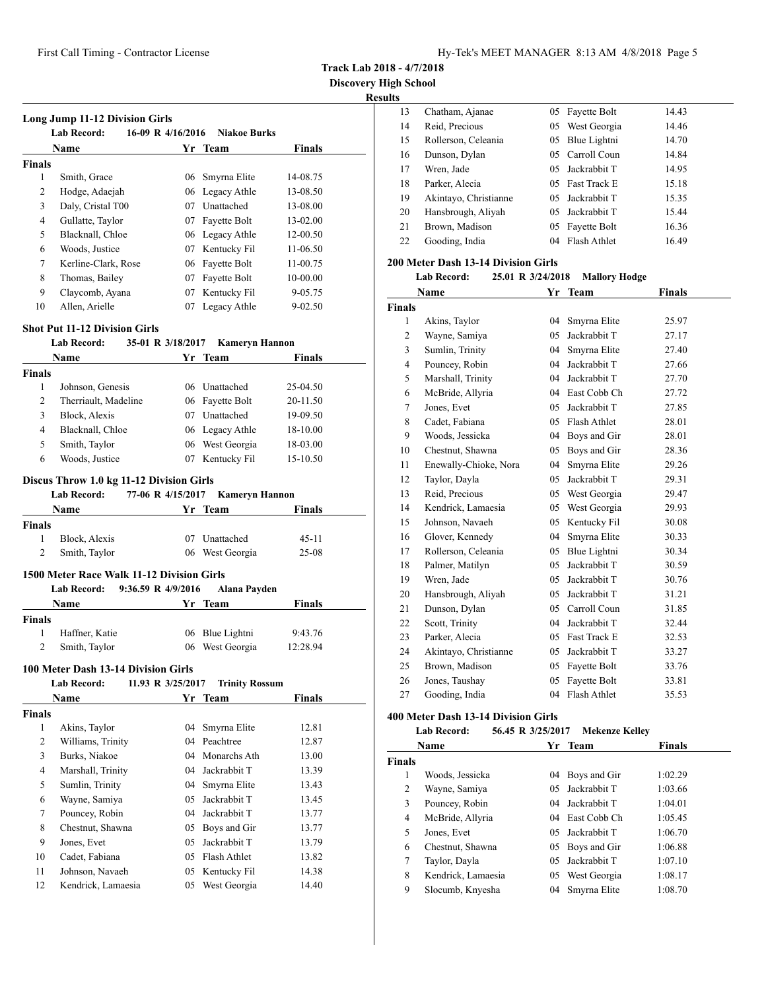**Track Lab 2018 - 4/7/2018**

**Discovery High School Results**

# **Long Jump 11-12 Division Girls Lab Record: 16-09 R 4/16/2016 Niakoe Burks Name Yr** Team **Finals Finals** Smith, Grace 06 Smyrna Elite 14-08.75 Hodge, Adaejah 06 Legacy Athle 13-08.50 Daly, Cristal T00 07 Unattached 13-08.00 4 Gullatte, Taylor 07 Fayette Bolt 13-02.00 5 Blacknall, Chloe 06 Legacy Athle 12-00.50<br>6 Woods. Justice 07 Kentucky Fil 11-06.50 Woods, Justice 07 Kentucky Fil 11-06.50 Kerline-Clark, Rose 06 Fayette Bolt 11-00.75 8 Thomas, Bailey 07 Fayette Bolt 10-00.00 Claycomb, Ayana 07 Kentucky Fil 9-05.75 10 Allen, Arielle 07 Legacy Athle 9-02.50

#### **Shot Put 11-12 Division Girls**

## **Lab Record: 35-01 R 3/18/2017 Kameryn Hannon**

|                | Lad Record:                               |    | $35-01$ K $3/10/201/$ Kameryn Hannon        |               |
|----------------|-------------------------------------------|----|---------------------------------------------|---------------|
|                | Name                                      |    | Yr Team                                     | Finals        |
| <b>Finals</b>  |                                           |    |                                             |               |
| 1              | Johnson, Genesis                          |    | 06 Unattached                               | 25-04.50      |
| $\overline{c}$ | Therriault, Madeline                      | 06 | Fayette Bolt                                | 20-11.50      |
| 3              | Block, Alexis                             | 07 | Unattached                                  | 19-09.50      |
| 4              | Blacknall, Chloe                          |    | 06 Legacy Athle                             | 18-10.00      |
| 5              | Smith, Taylor                             | 06 | West Georgia                                | 18-03.00      |
| 6              | Woods, Justice                            | 07 | Kentucky Fil                                | 15-10.50      |
|                | <b>Lab Record:</b><br>Name                |    | 77-06 R 4/15/2017 Kameryn Hannon<br>Yr Team | <b>Finals</b> |
| <b>Finals</b>  |                                           |    |                                             |               |
| 1              | Block, Alexis                             | 07 | Unattached                                  | $45 - 11$     |
| 2              | Smith, Taylor                             | 06 | West Georgia                                | $25-08$       |
|                | 1500 Meter Race Walk 11-12 Division Girls |    |                                             |               |
|                | 9:36.59 R 4/9/2016<br><b>Lab Record:</b>  |    | Alana Payden                                |               |
|                | Name                                      |    | Yr Team                                     | <b>Finals</b> |
| <b>Finals</b>  |                                           |    |                                             |               |
| 1              | Haffner, Katie                            | 06 | Blue Lightni                                | 9:43.76       |

Smith, Taylor 06 West Georgia 12:28.94

#### **100 Meter Dash 13-14 Division Girls**

|                | <b>Lab Record:</b> | 11.93 R 3/25/2017 | <b>Trinity Rossum</b> |               |
|----------------|--------------------|-------------------|-----------------------|---------------|
|                | Name               | Yr                | Team                  | <b>Finals</b> |
| <b>Finals</b>  |                    |                   |                       |               |
| 1              | Akins, Taylor      | 04                | Smyrna Elite          | 12.81         |
| 2              | Williams, Trinity  |                   | 04 Peachtree          | 12.87         |
| 3              | Burks, Niakoe      |                   | 04 Monarchs Ath       | 13.00         |
| $\overline{4}$ | Marshall, Trinity  | 04                | Jackrabbit T          | 13.39         |
| 5              | Sumlin, Trinity    | 04                | Smyrna Elite          | 13.43         |
| 6              | Wayne, Samiya      | 05                | Jackrabbit T          | 13.45         |
| 7              | Pouncey, Robin     | 04                | Jackrabbit T          | 13.77         |
| 8              | Chestnut, Shawna   | 05                | Boys and Gir          | 13.77         |
| 9              | Jones, Evet        | 05                | Jackrabbit T          | 13.79         |
| 10             | Cadet, Fabiana     | 05                | Flash Athlet          | 13.82         |
| 11             | Johnson, Navaeh    | 05                | Kentucky Fil          | 14.38         |
| 12             | Kendrick, Lamaesia | 05                | West Georgia          | 14.40         |
|                |                    |                   |                       |               |

| .  |                       |     |                 |       |  |
|----|-----------------------|-----|-----------------|-------|--|
| 13 | Chatham, Ajanae       | 05  | Fayette Bolt    | 14.43 |  |
| 14 | Reid, Precious        | 05  | West Georgia    | 14.46 |  |
| 15 | Rollerson, Celeania   | 05  | Blue Lightni    | 14.70 |  |
| 16 | Dunson, Dylan         | 05. | Carroll Coun    | 14.84 |  |
| 17 | Wren, Jade            |     | 05 Jackrabbit T | 14.95 |  |
| 18 | Parker, Alecia        |     | 05 Fast Track E | 15.18 |  |
| 19 | Akintayo, Christianne |     | 05 Jackrabbit T | 15.35 |  |
| 20 | Hansbrough, Aliyah    | 05. | Jackrabbit T    | 15.44 |  |
| 21 | Brown, Madison        | 05  | Fayette Bolt    | 16.36 |  |
| 22 | Gooding, India        |     | 04 Flash Athlet | 16.49 |  |
|    |                       |     |                 |       |  |

## **200 Meter Dash 13-14 Division Girls**

#### **Lab Record: 25.01 R 3/24/2018 Mallory Hodge**

|                | Name                  |     | Yr Team         | <b>Finals</b> |
|----------------|-----------------------|-----|-----------------|---------------|
| <b>Finals</b>  |                       |     |                 |               |
| 1              | Akins, Taylor         | 04  | Smyrna Elite    | 25.97         |
| $\overline{c}$ | Wayne, Samiya         | 05  | Jackrabbit T    | 27.17         |
| 3              | Sumlin, Trinity       | 04  | Smyrna Elite    | 27.40         |
| 4              | Pouncey, Robin        | 04  | Jackrabbit T    | 27.66         |
| 5              | Marshall, Trinity     | 04  | Jackrabbit T    | 27.70         |
| 6              | McBride, Allyria      |     | 04 East Cobb Ch | 27.72         |
| 7              | Jones, Evet           | 05  | Jackrabbit T    | 27.85         |
| 8              | Cadet, Fabiana        | 0.5 | Flash Athlet    | 28.01         |
| 9              | Woods, Jessicka       | 04  | Boys and Gir    | 28.01         |
| 10             | Chestnut, Shawna      | 05  | Boys and Gir    | 28.36         |
| 11             | Enewally-Chioke, Nora | 04  | Smyrna Elite    | 29.26         |
| 12             | Taylor, Dayla         | 05  | Jackrabbit T    | 29.31         |
| 13             | Reid, Precious        |     | 05 West Georgia | 29.47         |
| 14             | Kendrick, Lamaesia    | 05  | West Georgia    | 29.93         |
| 15             | Johnson, Navaeh       | 05  | Kentucky Fil    | 30.08         |
| 16             | Glover, Kennedy       | 04  | Smyrna Elite    | 30.33         |
| 17             | Rollerson, Celeania   | 05  | Blue Lightni    | 30.34         |
| 18             | Palmer, Matilyn       | 05  | Jackrabbit T    | 30.59         |
| 19             | Wren, Jade            | 05  | Jackrabbit T    | 30.76         |
| 20             | Hansbrough, Aliyah    | 05  | Jackrabbit T    | 31.21         |
| 21             | Dunson, Dylan         | 0.5 | Carroll Coun    | 31.85         |
| 22             | Scott, Trinity        | 04  | Jackrabbit T    | 32.44         |
| 23             | Parker, Alecia        | 05  | Fast Track E    | 32.53         |
| 24             | Akintayo, Christianne | 05  | Jackrabbit T    | 33.27         |
| 25             | Brown, Madison        | 05  | Fayette Bolt    | 33.76         |
| 26             | Jones, Taushay        | 05  | Fayette Bolt    | 33.81         |
| 27             | Gooding, India        | 04  | Flash Athlet    | 35.53         |

#### **400 Meter Dash 13-14 Division Girls**

#### **Lab Record: 56.45 R 3/25/2017 Mekenze Kelley**

|               | Name               |     | Yr Team         | <b>Finals</b> |
|---------------|--------------------|-----|-----------------|---------------|
| <b>Finals</b> |                    |     |                 |               |
| 1             | Woods, Jessicka    |     | 04 Boys and Gir | 1:02.29       |
| 2             | Wayne, Samiya      |     | 05 Jackrabbit T | 1:03.66       |
| 3             | Pouncey, Robin     | 04  | Jackrabbit T    | 1:04.01       |
| 4             | McBride, Allyria   |     | 04 East Cobb Ch | 1:05.45       |
| 5             | Jones, Evet        |     | 05 Jackrabbit T | 1:06.70       |
| 6             | Chestnut, Shawna   | 05  | Boys and Gir    | 1:06.88       |
| 7             | Taylor, Dayla      | 05. | Jackrabbit T    | 1:07.10       |
| 8             | Kendrick, Lamaesia | 05  | West Georgia    | 1:08.17       |
| 9             | Slocumb, Knyesha   | 04  | Smyrna Elite    | 1:08.70       |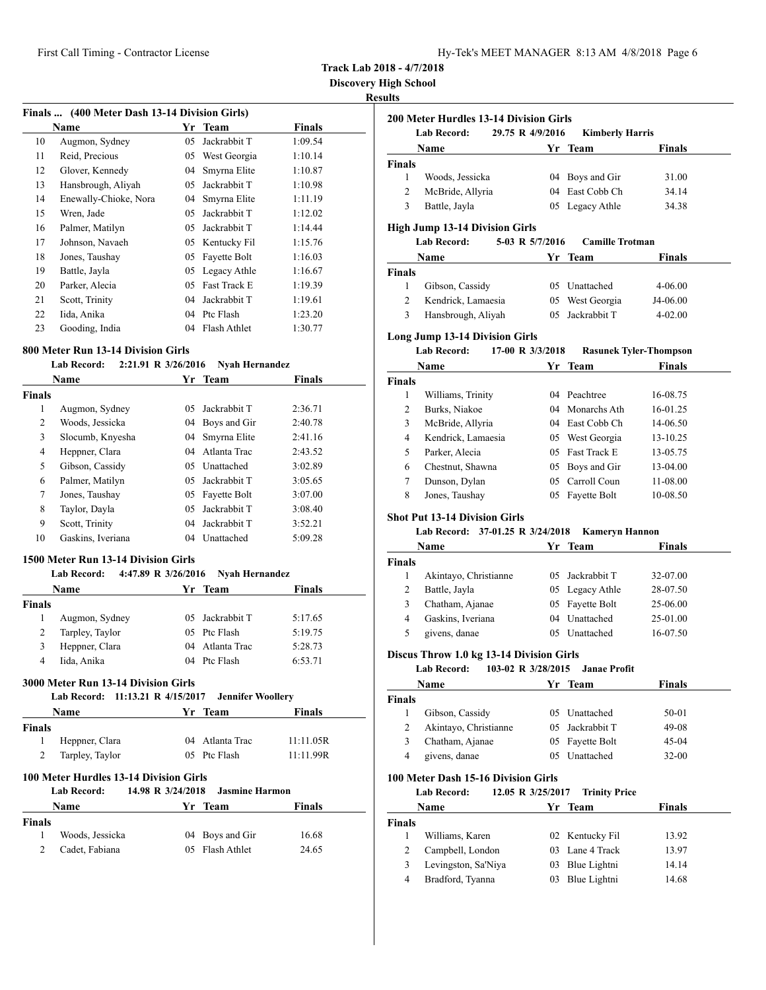|  | Hy-Tek's MEET MANAGER 8:13 AM 4/8/2018 Page 6 |  |  |  |
|--|-----------------------------------------------|--|--|--|
|--|-----------------------------------------------|--|--|--|

**Discovery High School**

## **Results**

| Finals  (400 Meter Dash 13-14 Division Girls) |                       |    |              |               |  |
|-----------------------------------------------|-----------------------|----|--------------|---------------|--|
|                                               | Name                  | Yr | <b>Team</b>  | <b>Finals</b> |  |
| 10                                            | Augmon, Sydney        | 05 | Jackrabbit T | 1:09.54       |  |
| 11                                            | Reid, Precious        | 05 | West Georgia | 1:10.14       |  |
| 12                                            | Glover, Kennedy       | 04 | Smyrna Elite | 1:10.87       |  |
| 13                                            | Hansbrough, Aliyah    | 05 | Jackrabbit T | 1:10.98       |  |
| 14                                            | Enewally-Chioke, Nora | 04 | Smyrna Elite | 1:11.19       |  |
| 15                                            | Wren, Jade            | 05 | Jackrabbit T | 1:12.02       |  |
| 16                                            | Palmer, Matilyn       | 05 | Jackrabbit T | 1:14.44       |  |
| 17                                            | Johnson, Navaeh       | 05 | Kentucky Fil | 1:15.76       |  |
| 18                                            | Jones, Taushay        | 05 | Fayette Bolt | 1:16.03       |  |
| 19                                            | Battle, Jayla         | 05 | Legacy Athle | 1:16.67       |  |
| 20                                            | Parker, Alecia        | 05 | Fast Track E | 1:19.39       |  |
| 21                                            | Scott, Trinity        | 04 | Jackrabbit T | 1:19.61       |  |
| 22                                            | Iida, Anika           | 04 | Ptc Flash    | 1:23.20       |  |
| 23                                            | Gooding, India        | 04 | Flash Athlet | 1:30.77       |  |

# **800 Meter Run 13-14 Division Girls**

## **Lab Record: 2:21.91 R 3/26/2016 Nyah Hernandez**

| Name          |                   | Yr  | Team            | <b>Finals</b> |
|---------------|-------------------|-----|-----------------|---------------|
| <b>Finals</b> |                   |     |                 |               |
| 1             | Augmon, Sydney    | 05. | Jackrabbit T    | 2:36.71       |
| 2             | Woods, Jessicka   |     | 04 Boys and Gir | 2:40.78       |
| 3             | Slocumb, Knyesha  | 04  | Smyrna Elite    | 2:41.16       |
| 4             | Heppner, Clara    | 04  | Atlanta Trac    | 2:43.52       |
| 5             | Gibson, Cassidy   |     | 05 Unattached   | 3:02.89       |
| 6             | Palmer, Matilyn   | 0.5 | Jackrabbit T    | 3:05.65       |
| 7             | Jones, Taushay    | 05  | Fayette Bolt    | 3:07.00       |
| 8             | Taylor, Dayla     | 05  | Jackrabbit T    | 3:08.40       |
| 9             | Scott, Trinity    | 04  | Jackrabbit T    | 3:52.21       |
| 10            | Gaskins, Iveriana | 04  | Unattached      | 5:09.28       |

## **1500 Meter Run 13-14 Division Girls**

|               | 4:47.89 R 3/26/2016<br><b>Lab Record:</b> | <b>Nyah Hernandez</b> |               |
|---------------|-------------------------------------------|-----------------------|---------------|
|               | Name                                      | Yr Team               | <b>Finals</b> |
| <b>Finals</b> |                                           |                       |               |
|               | Augmon, Sydney                            | 05 Jackrabbit T       | 5:17.65       |
|               | Tarpley, Taylor                           | 05 Ptc Flash          | 5:19.75       |
| 3             | Heppner, Clara                            | 04 Atlanta Trac       | 5:28.73       |
| 4             | Iida, Anika                               | 04 Ptc Flash          | 6:53.71       |

## **3000 Meter Run 13-14 Division Girls**

| Lab Record: 11:13.21 R 4/15/2017 Jennifer Woollery |                    |                                                                            |                  |               |  |
|----------------------------------------------------|--------------------|----------------------------------------------------------------------------|------------------|---------------|--|
|                                                    | <b>Name</b>        |                                                                            | Yr Team          | <b>Finals</b> |  |
| <b>Finals</b>                                      |                    |                                                                            |                  |               |  |
|                                                    | Heppner, Clara     |                                                                            | 04 Atlanta Trac  | 11:11.05R     |  |
| 2                                                  | Tarpley, Taylor    |                                                                            | 05 Ptc Flash     | 11:11.99R     |  |
|                                                    | <b>Lab Record:</b> | 100 Meter Hurdles 13-14 Division Girls<br>14.98 R 3/24/2018 Jasmine Harmon |                  |               |  |
|                                                    | Namo               |                                                                            | $V_{\rm F}$ Toom | Finale        |  |

| r mais                   |
|--------------------------|
|                          |
| 04 Boys and Gir<br>16.68 |
| 05 Flash Athlet<br>24.65 |
|                          |

|                | Lab Record:                                                                          | 29.75 R 4/9/2016  | <b>Kimberly Harris</b>           |                               |
|----------------|--------------------------------------------------------------------------------------|-------------------|----------------------------------|-------------------------------|
|                | Name                                                                                 |                   | Yr Team                          | <b>Finals</b>                 |
| <b>Finals</b>  |                                                                                      |                   |                                  |                               |
| 1              | Woods, Jessicka                                                                      |                   | 04 Boys and Gir                  | 31.00                         |
| $\overline{c}$ | McBride, Allyria                                                                     |                   | 04 East Cobb Ch                  | 34.14                         |
| 3              | Battle, Jayla                                                                        |                   | 05 Legacy Athle                  | 34.38                         |
|                | <b>High Jump 13-14 Division Girls</b>                                                |                   |                                  |                               |
|                | <b>Lab Record:</b>                                                                   | 5-03 R 5/7/2016   | <b>Camille Trotman</b>           |                               |
|                | Name                                                                                 | Yr                | <b>Team</b>                      | Finals                        |
| <b>Finals</b>  |                                                                                      |                   |                                  |                               |
| 1              | Gibson, Cassidy                                                                      |                   | 05 Unattached                    | 4-06.00                       |
| 2              | Kendrick, Lamaesia                                                                   |                   | 05 West Georgia                  | J4-06.00                      |
| 3              | Hansbrough, Aliyah                                                                   | 05                | Jackrabbit T                     | $4 - 02.00$                   |
|                | <b>Long Jump 13-14 Division Girls</b>                                                |                   |                                  |                               |
|                | <b>Lab Record:</b>                                                                   | 17-00 R 3/3/2018  |                                  | <b>Rasunek Tyler-Thompson</b> |
|                | Name                                                                                 |                   | Yr Team                          | <b>Finals</b>                 |
| <b>Finals</b>  |                                                                                      |                   |                                  |                               |
| 1              | Williams, Trinity                                                                    |                   | 04 Peachtree                     | 16-08.75                      |
| 2              | Burks, Niakoe                                                                        |                   | 04 Monarchs Ath                  | 16-01.25                      |
| 3              | McBride, Allyria                                                                     |                   | 04 East Cobb Ch                  | 14-06.50                      |
| 4              | Kendrick, Lamaesia                                                                   |                   | 05 West Georgia                  | 13-10.25                      |
| 5              | Parker, Alecia                                                                       |                   | 05 Fast Track E                  | 13-05.75                      |
| 6              | Chestnut, Shawna                                                                     |                   | 05 Boys and Gir                  | 13-04.00                      |
| 7              | Dunson, Dylan                                                                        |                   | 05 Carroll Coun                  | 11-08.00                      |
| 8              | Jones, Taushay                                                                       |                   | 05 Fayette Bolt                  | 10-08.50                      |
|                | <b>Shot Put 13-14 Division Girls</b><br>Lab Record: 37-01.25 R 3/24/2018<br>Name     |                   | <b>Kameryn Hannon</b><br>Yr Team | Finals                        |
| Finals         |                                                                                      |                   |                                  |                               |
| 1              | Akintayo, Christianne                                                                |                   | 05 Jackrabbit T                  | 32-07.00                      |
| 2              | Battle, Jayla                                                                        |                   | 05 Legacy Athle                  | 28-07.50                      |
| 3              | Chatham, Ajanae                                                                      | 05                | Fayette Bolt                     | 25-06.00                      |
| 4              | Gaskins, Iveriana                                                                    |                   | 04 Unattached                    | 25-01.00                      |
| 5              | givens, danae                                                                        |                   | 05 Unattached                    | 16-07.50                      |
|                |                                                                                      |                   |                                  |                               |
|                | Discus Throw 1.0 kg 13-14 Division Girls<br><b>Lab Record:</b><br>103-02 R 3/28/2015 |                   | <b>Janae Profit</b>              |                               |
|                | Name                                                                                 | Yr                | <b>Team</b>                      | <b>Finals</b>                 |
| <b>Finals</b>  |                                                                                      |                   |                                  |                               |
| 1              | Gibson, Cassidy                                                                      |                   | 05 Unattached                    | 50-01                         |
| 2              | Akintayo, Christianne                                                                | 05                | Jackrabbit T                     | 49-08                         |
| 3              | Chatham, Ajanae                                                                      | 05                | Fayette Bolt                     | 45-04                         |
| 4              | givens, danae                                                                        | 05                | Unattached                       | 32-00                         |
|                | 100 Meter Dash 15-16 Division Girls                                                  |                   |                                  |                               |
|                | Lab Record:                                                                          | 12.05 R 3/25/2017 | <b>Trinity Price</b>             |                               |
|                | Name                                                                                 | Yr                | Team                             | Finals                        |
| <b>Finals</b>  |                                                                                      |                   |                                  |                               |
| 1              | Williams, Karen                                                                      | 02                | Kentucky Fil                     | 13.92                         |
| $\overline{c}$ | Campbell, London                                                                     | 03                | Lane 4 Track                     | 13.97                         |
|                |                                                                                      | 03                | Blue Lightni                     |                               |
| 3              | Levingston, Sa'Niya                                                                  |                   |                                  | 14.14                         |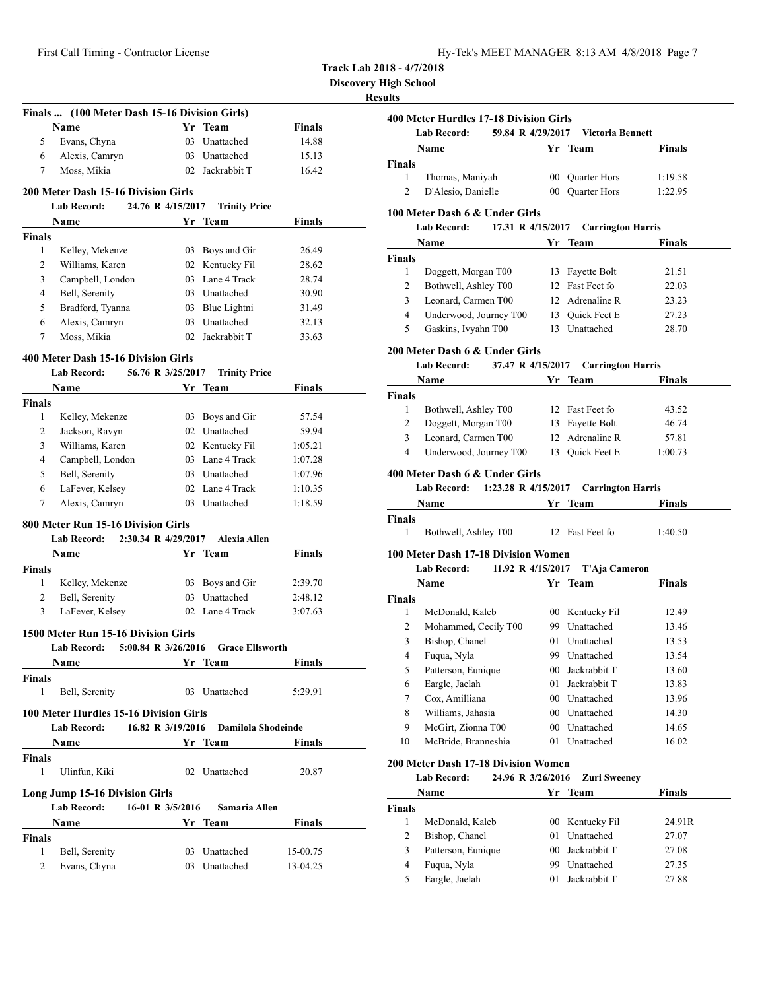| Hy-Tek's MEET MANAGER 8:13 AM 4/8/2018 Page 7 |  |  |  |
|-----------------------------------------------|--|--|--|
|-----------------------------------------------|--|--|--|

**Discovery High School**

|               | Finals  (100 Meter Dash 15-16 Division Girls)             |                     |                        |               |
|---------------|-----------------------------------------------------------|---------------------|------------------------|---------------|
|               | Name                                                      |                     | Yr Team                | <b>Finals</b> |
| 5             | Evans, Chyna                                              | 03                  | Unattached             | 14.88         |
| 6             | Alexis, Camryn                                            |                     | 03 Unattached          | 15.13         |
| 7             | Moss, Mikia                                               |                     | 02 Jackrabbit T        | 16.42         |
|               | 200 Meter Dash 15-16 Division Girls                       |                     |                        |               |
|               | Lab Record:                                               | 24.76 R 4/15/2017   | <b>Trinity Price</b>   |               |
|               | Name                                                      |                     | Yr Team                | Finals        |
| <b>Finals</b> |                                                           |                     |                        |               |
| 1             | Kelley, Mekenze                                           |                     | 03 Boys and Gir        | 26.49         |
| 2             | Williams, Karen                                           |                     | 02 Kentucky Fil        | 28.62         |
| 3             | Campbell, London                                          |                     | 03 Lane 4 Track        | 28.74         |
| 4             | Bell, Serenity                                            |                     | 03 Unattached          | 30.90         |
| 5             | Bradford, Tyanna                                          |                     | 03 Blue Lightni        | 31.49         |
| 6             | Alexis, Camryn                                            |                     | 03 Unattached          | 32.13         |
| 7             | Moss, Mikia                                               |                     | 02 Jackrabbit T        | 33.63         |
|               |                                                           |                     |                        |               |
|               | 400 Meter Dash 15-16 Division Girls<br><b>Lab Record:</b> |                     |                        |               |
|               |                                                           | 56.76 R 3/25/2017   | <b>Trinity Price</b>   |               |
|               | Name                                                      |                     | Yr Team                | Finals        |
| <b>Finals</b> |                                                           |                     |                        |               |
| 1             | Kelley, Mekenze                                           |                     | 03 Boys and Gir        | 57.54         |
| 2             | Jackson, Ravyn                                            |                     | 02 Unattached          | 59.94         |
| 3             | Williams, Karen                                           |                     | 02 Kentucky Fil        | 1:05.21       |
| 4             | Campbell, London                                          |                     | 03 Lane 4 Track        | 1:07.28       |
| 5             | Bell, Serenity                                            |                     | 03 Unattached          | 1:07.96       |
| 6             | LaFever, Kelsey                                           |                     | 02 Lane 4 Track        | 1:10.35       |
| 7             | Alexis, Camryn                                            |                     | 03 Unattached          | 1:18.59       |
|               | 800 Meter Run 15-16 Division Girls                        |                     |                        |               |
|               | Lab Record:                                               | 2:30.34 R 4/29/2017 | <b>Alexia Allen</b>    |               |
|               | Name                                                      |                     | Yr Team                | <b>Finals</b> |
| Finals        |                                                           |                     |                        |               |
| 1             | Kelley, Mekenze                                           |                     | 03 Boys and Gir        | 2:39.70       |
| 2             | Bell, Serenity                                            |                     | 03 Unattached          | 2:48.12       |
| 3             | LaFever, Kelsey                                           |                     | 02 Lane 4 Track        | 3:07.63       |
|               | 1500 Meter Run 15-16 Division Girls                       |                     |                        |               |
|               | <b>Lab Record:</b>                                        | 5:00.84 R 3/26/2016 | <b>Grace Ellsworth</b> |               |
|               | <u>Name</u>                                               |                     | Yr Team                | Finals        |
| Finals        |                                                           |                     |                        |               |
| 1             | Bell, Serenity                                            |                     | 03 Unattached          | 5:29.91       |
|               |                                                           |                     |                        |               |
|               | 100 Meter Hurdles 15-16 Division Girls                    |                     |                        |               |
|               | <b>Lab Record:</b>                                        | 16.82 R 3/19/2016   | Damilola Shodeinde     |               |
|               | Name                                                      |                     | Yr Team                | Finals        |
| Finals<br>1   | Ulinfun, Kiki                                             | 02                  | Unattached             | 20.87         |
|               |                                                           |                     |                        |               |
|               | Long Jump 15-16 Division Girls                            |                     |                        |               |
|               | Lab Record:                                               | 16-01 R 3/5/2016    | Samaria Allen          |               |
|               | Name                                                      |                     | Yr Team                | Finals        |
| <b>Finals</b> |                                                           |                     |                        |               |
| 1             | Bell, Serenity                                            |                     | 03 Unattached          | 15-00.75      |
| 2             | Evans, Chyna                                              |                     | 03 Unattached          | 13-04.25      |

|                         | <b>Lab Record:</b><br>59.84 R 4/29/2017                                   |                 | <b>Victoria Bennett</b>  |               |
|-------------------------|---------------------------------------------------------------------------|-----------------|--------------------------|---------------|
|                         | Name                                                                      |                 | Yr Team                  | <b>Finals</b> |
| <b>Finals</b>           |                                                                           |                 |                          |               |
| $\mathbf{1}$            | Thomas, Maniyah                                                           |                 | 00 Quarter Hors          | 1:19.58       |
| $\overline{c}$          | D'Alesio, Danielle                                                        |                 | 00 Quarter Hors          | 1:22.95       |
|                         | 100 Meter Dash 6 & Under Girls                                            |                 |                          |               |
|                         | Lab Record:<br>17.31 R 4/15/2017                                          |                 | <b>Carrington Harris</b> |               |
|                         | Name                                                                      | Yr Team         |                          | Finals        |
| <b>Finals</b>           |                                                                           |                 |                          |               |
| 1                       | Doggett, Morgan T00                                                       |                 | 13 Fayette Bolt          | 21.51         |
| 2                       | Bothwell, Ashley T00                                                      |                 | 12 Fast Feet fo          | 22.03         |
| 3                       | Leonard, Carmen T00                                                       |                 | 12 Adrenaline R          | 23.23         |
| $\overline{4}$          | Underwood, Journey T00                                                    |                 | 13 Quick Feet E          | 27.23         |
| 5                       | Gaskins, Ivyahn T00                                                       |                 | 13 Unattached            | 28.70         |
|                         |                                                                           |                 |                          |               |
|                         | 200 Meter Dash 6 & Under Girls<br>37.47 R 4/15/2017<br><b>Lab Record:</b> |                 | <b>Carrington Harris</b> |               |
|                         | Name                                                                      |                 | Yr Team                  | Finals        |
| <b>Finals</b>           |                                                                           |                 |                          |               |
| 1                       | Bothwell, Ashley T00                                                      |                 | 12 Fast Feet fo          | 43.52         |
| 2                       | Doggett, Morgan T00                                                       |                 | 13 Fayette Bolt          | 46.74         |
| 3                       | Leonard, Carmen T00                                                       |                 | 12 Adrenaline R          | 57.81         |
| 4                       | Underwood, Journey T00                                                    |                 | 13 Quick Feet E          | 1:00.73       |
|                         |                                                                           |                 |                          |               |
|                         |                                                                           |                 |                          |               |
|                         | 400 Meter Dash 6 & Under Girls                                            |                 |                          |               |
|                         | Lab Record: 1:23.28 R 4/15/2017                                           |                 | <b>Carrington Harris</b> |               |
|                         | Name                                                                      |                 | Yr Team                  | Finals        |
|                         |                                                                           |                 |                          |               |
| 1                       | Bothwell, Ashley T00 12 Fast Feet fo                                      |                 |                          | 1:40.50       |
|                         | 100 Meter Dash 17-18 Division Women                                       |                 |                          |               |
|                         | 11.92 R 4/15/2017<br>Lab Record:                                          |                 | T'Aja Cameron            |               |
|                         | Name                                                                      |                 | Yr Team                  | <b>Finals</b> |
| Finals<br><b>Finals</b> |                                                                           |                 |                          |               |
| 1                       | McDonald, Kaleb                                                           |                 | 00 Kentucky Fil          | 12.49         |
| 2                       | Mohammed, Cecily T00                                                      |                 | 99 Unattached            | 13.46         |
| 3                       | Bishop, Chanel                                                            |                 | 01 Unattached            | 13.53         |
| 4                       | Fuqua, Nyla                                                               |                 | 99 Unattached            | 13.54         |
| 5                       | Patterson, Eunique                                                        |                 | 00 Jackrabbit T          | 13.60         |
| 6                       | Eargle, Jaelah                                                            | 01              | Jackrabbit T             | 13.83         |
| 7                       | Cox, Amilliana                                                            |                 | 00 Unattached            | 13.96         |
| 8                       | Williams, Jahasia                                                         |                 | 00 Unattached            | 14.30         |
| 9                       | McGirt, Zionna T00                                                        |                 | 00 Unattached            | 14.65         |
| 10                      | McBride, Branneshia                                                       | 01              | Unattached               | 16.02         |
|                         | <b>200 Meter Dash 17-18 Division Women</b>                                |                 |                          |               |
|                         | <b>Lab Record:</b><br>24.96 R 3/26/2016                                   |                 | <b>Zuri Sweeney</b>      |               |
|                         | Name                                                                      |                 | Yr Team                  | Finals        |
| Finals                  |                                                                           |                 |                          |               |
| 1                       | McDonald, Kaleb                                                           | 00 <sup>°</sup> | Kentucky Fil             | 24.91R        |
| 2                       | Bishop, Chanel                                                            | 01              | Unattached               | 27.07         |
| 3                       | Patterson, Eunique                                                        | 00 <sup>°</sup> | Jackrabbit T             | 27.08         |
| 4                       | Fuqua, Nyla                                                               | 99              | Unattached               | 27.35         |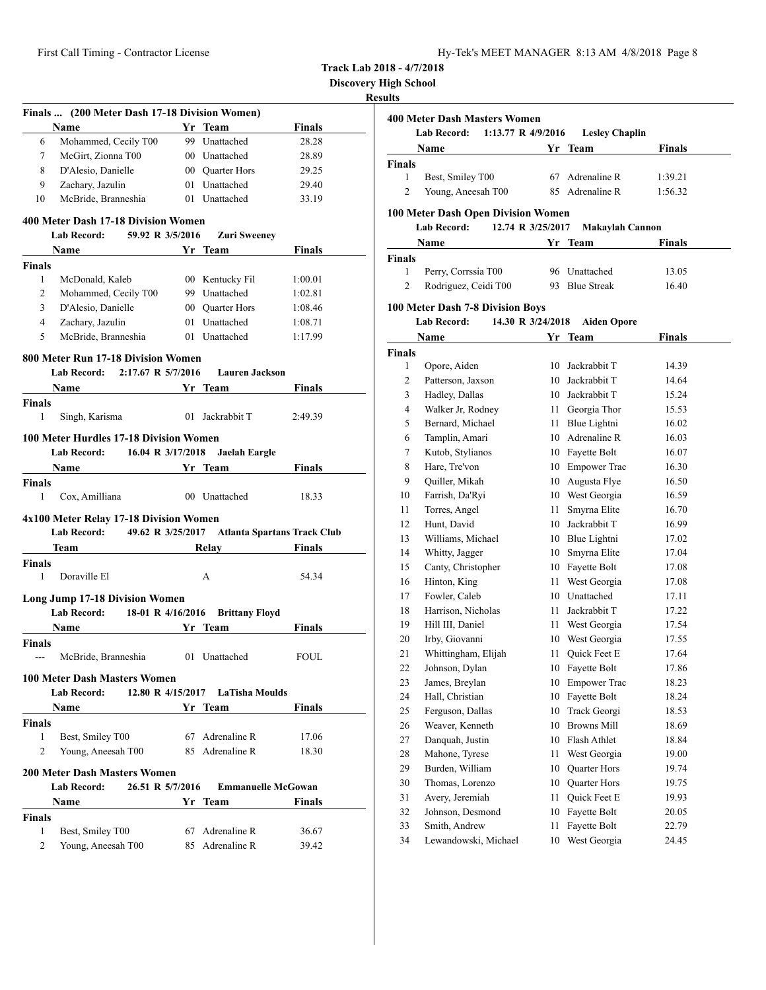| Hy-Tek's MEET MANAGER 8:13 AM 4/8/2018 Page 8 |  |  |  |
|-----------------------------------------------|--|--|--|
|-----------------------------------------------|--|--|--|

**Discovery High School**

|               | Finals  (200 Meter Dash 17-18 Division Women)                           |                           |                                    |                                    |
|---------------|-------------------------------------------------------------------------|---------------------------|------------------------------------|------------------------------------|
|               | Name                                                                    |                           | Yr Team                            | <b>Finals</b>                      |
| 6             | Mohammed, Cecily T00                                                    |                           | 99 Unattached                      | 28.28                              |
| 7             | McGirt, Zionna T00                                                      |                           | 00 Unattached                      | 28.89                              |
| 8             | D'Alesio, Danielle                                                      |                           | 00 Quarter Hors                    | 29.25                              |
| 9             | Zachary, Jazulin                                                        |                           | 01 Unattached                      | 29.40                              |
| 10            | McBride, Branneshia                                                     |                           | 01 Unattached                      | 33.19                              |
|               | 400 Meter Dash 17-18 Division Women                                     |                           |                                    |                                    |
|               | Lab Record: 59.92 R 3/5/2016                                            |                           | <b>Zuri Sweeney</b>                |                                    |
|               | Name                                                                    |                           | Yr Team                            | Finals                             |
| <b>Finals</b> |                                                                         |                           |                                    |                                    |
| 1             | McDonald, Kaleb                                                         |                           | 00 Kentucky Fil                    | 1:00.01                            |
| 2             | Mohammed, Cecily T00                                                    |                           | 99 Unattached                      | 1:02.81                            |
| 3             | D'Alesio, Danielle                                                      |                           | 00 Quarter Hors                    | 1:08.46                            |
| 4             | Zachary, Jazulin                                                        |                           | 01 Unattached                      | 1:08.71                            |
| 5             | McBride, Branneshia                                                     |                           | 01 Unattached                      | 1:17.99                            |
|               | 800 Meter Run 17-18 Division Women                                      |                           |                                    |                                    |
|               | <b>Lab Record:</b>                                                      | 2:17.67 R 5/7/2016        | <b>Lauren Jackson</b>              |                                    |
|               | Name                                                                    | <b>Example 18 Yr</b> Team |                                    | Finals                             |
| Finals        |                                                                         |                           |                                    |                                    |
| 1             | Singh, Karisma                                                          |                           | 01 Jackrabbit T                    | 2:49.39                            |
|               |                                                                         |                           |                                    |                                    |
|               | 100 Meter Hurdles 17-18 Division Women<br>Lab Record: 16.04 R 3/17/2018 |                           | Jaelah Eargle                      |                                    |
|               |                                                                         |                           |                                    |                                    |
| <b>Finals</b> | Name                                                                    |                           | Yr Team                            | Finals                             |
| $\mathbf{1}$  | Cox, Amilliana                                                          |                           | 00 Unattached                      | 18.33                              |
|               | 4x100 Meter Relay 17-18 Division Women                                  |                           |                                    |                                    |
|               | Lab Record: 49.62 R 3/25/2017                                           |                           |                                    | <b>Atlanta Spartans Track Club</b> |
|               | Team                                                                    |                           | Relay                              | <b>Finals</b>                      |
| <b>Finals</b> |                                                                         |                           |                                    |                                    |
| 1             | Doraville El                                                            |                           | A                                  | 54.34                              |
|               | <b>Long Jump 17-18 Division Women</b>                                   |                           |                                    |                                    |
|               | <b>Lab Record:</b>                                                      | 18-01 R 4/16/2016         | <b>Brittany Floyd</b>              |                                    |
|               | Name                                                                    |                           | Yr Team                            | <b>Finals</b>                      |
| <b>Finals</b> |                                                                         |                           |                                    |                                    |
| $---$         | McBride, Branneshia                                                     |                           | 01 Unattached                      | FOUL                               |
|               |                                                                         |                           |                                    |                                    |
|               | <b>100 Meter Dash Masters Women</b>                                     |                           |                                    |                                    |
|               | <b>Lab Record:</b>                                                      |                           | 12.80 R 4/15/2017 LaTisha Moulds   |                                    |
|               | Name                                                                    |                           | Yr Team                            | Finals                             |
| <b>Finals</b> |                                                                         |                           |                                    |                                    |
| $\mathbf{1}$  | Best, Smiley T00                                                        |                           | 67 Adrenaline R                    | 17.06                              |
| 2             | Young, Aneesah T00                                                      |                           | 85 Adrenaline R                    | 18.30                              |
|               | <b>200 Meter Dash Masters Women</b>                                     |                           |                                    |                                    |
|               | <b>Lab Record:</b>                                                      | 26.51 R 5/7/2016          | <b>Emmanuelle McGowan</b>          |                                    |
|               | Name                                                                    |                           | Yr Team                            | Finals                             |
| <b>Finals</b> |                                                                         |                           |                                    |                                    |
| 1             | Best, Smiley T00                                                        |                           |                                    |                                    |
| 2             | Young, Aneesah T00                                                      |                           | 67 Adrenaline R<br>85 Adrenaline R | 36.67<br>39.42                     |

|                | <b>400 Meter Dash Masters Women</b>        |      |                        |               |
|----------------|--------------------------------------------|------|------------------------|---------------|
|                | <b>Lab Record:</b><br>1:13.77 R $4/9/2016$ |      | <b>Lesley Chaplin</b>  |               |
|                | Name                                       |      | Yr Team                | Finals        |
| <b>Finals</b>  |                                            |      |                        |               |
| 1              | Best, Smiley T00                           |      | 67 Adrenaline R        | 1:39.21       |
| 2              | Young, Aneesah T00                         | 85   | Adrenaline R           | 1:56.32       |
|                | <b>100 Meter Dash Open Division Women</b>  |      |                        |               |
|                | <b>Lab Record:</b><br>12.74 R 3/25/2017    |      | <b>Makaylah Cannon</b> |               |
|                | Name                                       |      | Yr Team                | Finals        |
|                |                                            |      |                        |               |
| Finals<br>1    | Perry, Corrssia T00                        |      | 96 Unattached          | 13.05         |
| $\overline{2}$ | Rodriguez, Ceidi T00                       | 93   | <b>Blue Streak</b>     | 16.40         |
|                |                                            |      |                        |               |
|                | 100 Meter Dash 7-8 Division Boys           |      |                        |               |
|                | <b>Lab Record:</b><br>14.30 R 3/24/2018    |      | <b>Aiden Opore</b>     |               |
|                | Name                                       |      | Yr Team                | <b>Finals</b> |
| <b>Finals</b>  |                                            |      |                        |               |
| 1              | Opore, Aiden                               | 10   | Jackrabbit T           | 14.39         |
| 2              | Patterson, Jaxson                          | 10   | Jackrabbit T           | 14.64         |
| 3              | Hadley, Dallas                             |      | 10 Jackrabbit T        | 15.24         |
| 4              | Walker Jr, Rodney                          | 11 - | Georgia Thor           | 15.53         |
| 5              | Bernard, Michael                           | 11   | Blue Lightni           | 16.02         |
| 6              | Tamplin, Amari                             |      | 10 Adrenaline R        | 16.03         |
| 7              | Kutob, Stylianos                           |      | 10 Fayette Bolt        | 16.07         |
| 8              | Hare, Tre'von                              |      | 10 Empower Trac        | 16.30         |
| 9              | Quiller, Mikah                             | 10   | Augusta Flye           | 16.50         |
| 10             | Farrish, Da'Ryi                            |      | 10 West Georgia        | 16.59         |
| 11             | Torres, Angel                              | 11   | Smyrna Elite           | 16.70         |
| 12             | Hunt, David                                | 10   | Jackrabbit T           | 16.99         |
| 13             | Williams, Michael                          |      | 10 Blue Lightni        | 17.02         |
| 14             | Whitty, Jagger                             | 10   | Smyrna Elite           | 17.04         |
| 15             | Canty, Christopher                         |      | 10 Fayette Bolt        | 17.08         |
| 16             | Hinton, King                               |      | 11 West Georgia        | 17.08         |
| 17             | Fowler, Caleb                              |      | 10 Unattached          | 17.11         |
| 18             | Harrison, Nicholas                         | 11   | Jackrabbit T           | 17.22         |
| 19             | Hill III, Daniel                           | 11   | West Georgia           | 17.54         |
| 20             | Irby, Giovanni                             |      | 10 West Georgia        | 17.55         |
| 21             | Whittingham, Elijah                        | 11   | Quick Feet E           | 17.64         |
| 22             | Johnson, Dylan                             |      | 10 Fayette Bolt        | 17.86         |
| 23             | James, Breylan                             | 10   | <b>Empower Trac</b>    | 18.23         |
| 24             | Hall, Christian                            | 10   | Fayette Bolt           | 18.24         |
| 25             | Ferguson, Dallas                           | 10   | Track Georgi           | 18.53         |
| 26             | Weaver, Kenneth                            | 10   | <b>Browns Mill</b>     | 18.69         |
| 27             | Danquah, Justin                            | 10   | Flash Athlet           | 18.84         |
| 28             | Mahone, Tyrese                             | 11   | West Georgia           | 19.00         |
| 29             | Burden, William                            | 10   | <b>Quarter Hors</b>    | 19.74         |
| 30             | Thomas, Lorenzo                            | 10   | <b>Ouarter Hors</b>    | 19.75         |
| 31             | Avery, Jeremiah                            | 11   | Quick Feet E           | 19.93         |
| 32             | Johnson, Desmond                           | 10   | Fayette Bolt           | 20.05         |
| 33             | Smith, Andrew                              | 11   | Fayette Bolt           | 22.79         |
| 34             | Lewandowski, Michael                       | 10   | West Georgia           | 24.45         |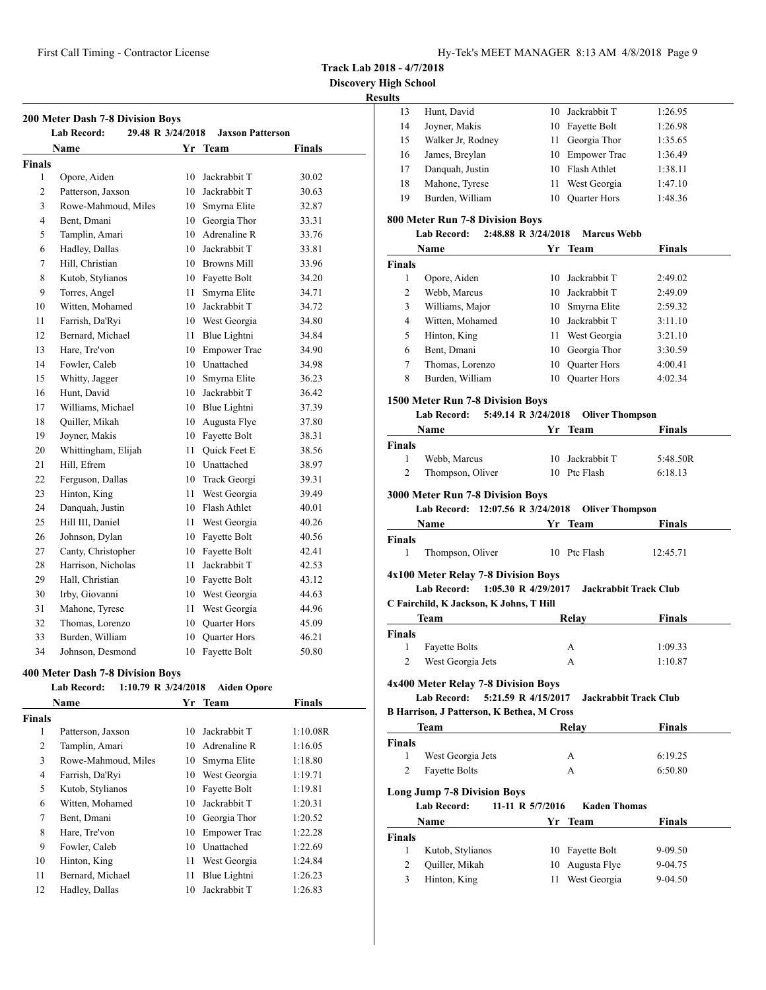**Discovery High School**

# **Results**

|                | 200 Meter Dash 7-8 Division Boys        |     |                         |               |  |
|----------------|-----------------------------------------|-----|-------------------------|---------------|--|
|                | 29.48 R 3/24/2018<br><b>Lab Record:</b> |     | <b>Jaxson Patterson</b> |               |  |
|                | <b>Name</b>                             | Yr. | Team                    | <b>Finals</b> |  |
| Finals         |                                         |     |                         |               |  |
| $\mathbf{1}$   | Opore, Aiden                            | 10  | Jackrabbit T            | 30.02         |  |
| $\overline{c}$ | Patterson, Jaxson                       | 10  | Jackrabbit T            | 30.63         |  |
| 3              | Rowe-Mahmoud, Miles                     | 10  | Smyrna Elite            | 32.87         |  |
| 4              | Bent. Dmani                             | 10  | Georgia Thor            | 33.31         |  |
| 5              | Tamplin, Amari                          |     | 10 Adrenaline R         | 33.76         |  |
| 6              | Hadley, Dallas                          | 10  | Jackrabbit T            | 33.81         |  |
| 7              | Hill, Christian                         | 10  | <b>Browns Mill</b>      | 33.96         |  |
| 8              | Kutob, Stylianos                        | 10  | Fayette Bolt            | 34.20         |  |
| 9              | Torres, Angel                           | 11  | Smyrna Elite            | 34.71         |  |
| 10             | Witten, Mohamed                         | 10  | Jackrabbit T            | 34.72         |  |
| 11             | Farrish, Da'Ryi                         | 10  | West Georgia            | 34.80         |  |
| 12             | Bernard, Michael                        | 11  | Blue Lightni            | 34.84         |  |
| 13             | Hare, Tre'von                           | 10  | <b>Empower Trac</b>     | 34.90         |  |
| 14             | Fowler, Caleb                           | 10  | Unattached              | 34.98         |  |
| 15             | Whitty, Jagger                          | 10  | Smyrna Elite            | 36.23         |  |
| 16             | Hunt, David                             | 10  | Jackrabbit T            | 36.42         |  |
| 17             | Williams, Michael                       | 10  | Blue Lightni            | 37.39         |  |
| 18             | Quiller, Mikah                          | 10  | Augusta Flye            | 37.80         |  |
| 19             | Joyner, Makis                           | 10  | Fayette Bolt            | 38.31         |  |
| 20             | Whittingham, Elijah                     | 11  | Quick Feet E            | 38.56         |  |
| 21             | Hill, Efrem                             | 10  | Unattached              | 38.97         |  |
| 22             | Ferguson, Dallas                        | 10  | Track Georgi            | 39.31         |  |
| 23             | Hinton, King                            | 11  | West Georgia            | 39.49         |  |
| 24             | Danquah, Justin                         | 10  | Flash Athlet            | 40.01         |  |
| 25             | Hill III, Daniel                        | 11  | West Georgia            | 40.26         |  |
| 26             | Johnson, Dylan                          | 10  | Fayette Bolt            | 40.56         |  |
| 27             | Canty, Christopher                      | 10  | Fayette Bolt            | 42.41         |  |
| 28             | Harrison, Nicholas                      | 11  | Jackrabbit T            | 42.53         |  |
| 29             | Hall, Christian                         | 10  | Fayette Bolt            | 43.12         |  |
| 30             | Irby, Giovanni                          | 10  | West Georgia            | 44.63         |  |
| 31             | Mahone, Tyrese                          | 11  | West Georgia            | 44.96         |  |
| 32             | Thomas, Lorenzo                         | 10  | <b>Quarter Hors</b>     | 45.09         |  |
| 33             | Burden, William                         | 10  | <b>Quarter Hors</b>     | 46.21         |  |
| 34             | Johnson, Desmond                        | 10  | Fayette Bolt            | 50.80         |  |

# **400 Meter Dash 7-8 Division Boys**

# **Lab Record: 1:10.79 R 3/24/2018 Aiden Opore**

|               | <b>Name</b>         | Yr | <b>Team</b>         | <b>Finals</b> |
|---------------|---------------------|----|---------------------|---------------|
| <b>Finals</b> |                     |    |                     |               |
| 1             | Patterson, Jaxson   | 10 | Jackrabbit T        | 1:10.08R      |
| 2             | Tamplin, Amari      | 10 | Adrenaline R        | 1:16.05       |
| 3             | Rowe-Mahmoud, Miles | 10 | Smyrna Elite        | 1:18.80       |
| 4             | Farrish, Da'Ryi     | 10 | West Georgia        | 1:19.71       |
| 5             | Kutob, Stylianos    | 10 | Fayette Bolt        | 1:19.81       |
| 6             | Witten, Mohamed     | 10 | Jackrabbit T        | 1:20.31       |
| 7             | Bent, Dmani         | 10 | Georgia Thor        | 1:20.52       |
| 8             | Hare, Tre'von       | 10 | <b>Empower Trac</b> | 1:22.28       |
| 9             | Fowler, Caleb       | 10 | Unattached          | 1:22.69       |
| 10            | Hinton, King        | 11 | West Georgia        | 1:24.84       |
| 11            | Bernard, Michael    | 11 | Blue Lightni        | 1:26.23       |
| 12            | Hadley, Dallas      | 10 | Jackrabbit T        | 1:26.83       |

| 11 L.J         |                                                          |                  |                              |               |
|----------------|----------------------------------------------------------|------------------|------------------------------|---------------|
| 13             | Hunt, David                                              |                  | 10 Jackrabbit T              | 1:26.95       |
| 14             | Joyner, Makis                                            |                  | 10 Fayette Bolt              | 1:26.98       |
| 15             | Walker Jr, Rodney                                        |                  | 11 Georgia Thor              | 1:35.65       |
| 16             | James, Breylan                                           |                  | 10 Empower Trac              | 1:36.49       |
| 17             | Danquah, Justin                                          |                  | 10 Flash Athlet              | 1:38.11       |
| 18             | Mahone, Tyrese                                           | 11 -             | West Georgia                 | 1:47.10       |
| 19             | Burden, William                                          | 10               | Quarter Hors                 | 1:48.36       |
|                | 800 Meter Run 7-8 Division Boys                          |                  |                              |               |
|                | <b>Lab Record:</b><br>2:48.88 R 3/24/2018                |                  | <b>Marcus Webb</b>           |               |
|                | Name                                                     |                  | Yr Team                      | Finals        |
| Finals         |                                                          |                  |                              |               |
| 1              | Opore, Aiden                                             |                  | 10 Jackrabbit T              | 2:49.02       |
| 2              | Webb, Marcus                                             |                  | 10 Jackrabbit T              | 2:49.09       |
| 3              | Williams, Major                                          |                  | 10 Smyrna Elite              | 2:59.32       |
| 4              | Witten, Mohamed                                          |                  | 10 Jackrabbit T              | 3:11.10       |
| 5              | Hinton, King                                             |                  | 11 West Georgia              | 3:21.10       |
| 6              | Bent, Dmani                                              |                  | 10 Georgia Thor              | 3:30.59       |
| 7              | Thomas, Lorenzo                                          |                  | 10 Quarter Hors              | 4:00.41       |
| 8              | Burden, William                                          |                  | 10 Quarter Hors              | 4:02.34       |
|                | 1500 Meter Run 7-8 Division Boys                         |                  |                              |               |
|                | Lab Record: 5:49.14 R 3/24/2018                          |                  | <b>Oliver Thompson</b>       |               |
|                | Name                                                     |                  | Yr Team                      | Finals        |
| <b>Finals</b>  |                                                          |                  |                              |               |
| 1              | Webb, Marcus                                             |                  | 10 Jackrabbit T              | 5:48.50R      |
| 2              | Thompson, Oliver                                         |                  | 10 Ptc Flash                 | 6:18.13       |
|                | 3000 Meter Run 7-8 Division Boys                         |                  |                              |               |
|                | Lab Record: 12:07.56 R 3/24/2018                         |                  | <b>Oliver Thompson</b>       |               |
|                | <b>Name</b>                                              |                  | Yr Team                      | Finals        |
| <b>Finals</b>  |                                                          |                  |                              |               |
| 1              | Thompson, Oliver                                         |                  | 10 Ptc Flash                 | 12:45.71      |
|                | 4x100 Meter Relay 7-8 Division Boys                      |                  |                              |               |
|                | 1:05.30 R 4/29/2017<br><b>Lab Record:</b>                |                  | <b>Jackrabbit Track Club</b> |               |
|                | C Fairchild, K Jackson, K Johns, T Hill                  |                  |                              |               |
|                | Team                                                     |                  | Relay                        | Finals        |
| <b>Finals</b>  |                                                          |                  |                              |               |
| 1              | Fayette Bolts                                            |                  | А                            | 1:09.33       |
|                | 2 West Georgia Jets                                      |                  | А                            | 1:10.87       |
|                | 4x400 Meter Relay 7-8 Division Boys                      |                  |                              |               |
|                | 5:21.59 R 4/15/2017<br><b>Lab Record:</b>                |                  | <b>Jackrabbit Track Club</b> |               |
|                | <b>B Harrison, J Patterson, K Bethea, M Cross</b>        |                  |                              |               |
|                | Team                                                     |                  | Relay                        | <b>Finals</b> |
| <b>Finals</b>  |                                                          |                  |                              |               |
| 1              | West Georgia Jets                                        |                  | А                            | 6:19.25       |
| 2              | <b>Fayette Bolts</b>                                     |                  | А                            | 6:50.80       |
|                |                                                          |                  |                              |               |
|                | <b>Long Jump 7-8 Division Boys</b><br><b>Lab Record:</b> | 11-11 R 5/7/2016 | <b>Kaden Thomas</b>          |               |
|                | Name                                                     |                  | Yr Team                      | <b>Finals</b> |
| Finals         |                                                          |                  |                              |               |
| 1              | Kutob, Stylianos                                         |                  | 10 Fayette Bolt              | 9-09.50       |
| $\overline{c}$ | Quiller, Mikah                                           | 10               | Augusta Flye                 | 9-04.75       |
| 3              | Hinton, King                                             | 11               | West Georgia                 | 9-04.50       |
|                |                                                          |                  |                              |               |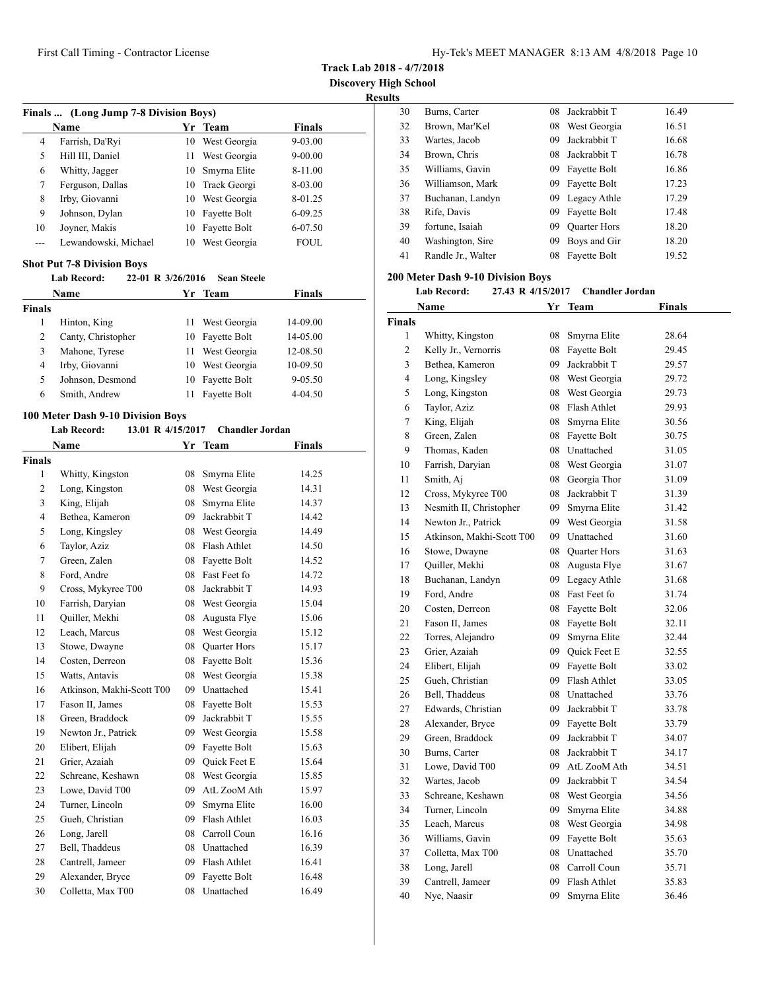**Track Lab 2018 - 4/7/2018**

**Discovery High School**

**Results**

| Finals  (Long Jump 7-8 Division Boys) |                      |    |                 |               |  |  |
|---------------------------------------|----------------------|----|-----------------|---------------|--|--|
|                                       | Name                 | Yr | <b>Team</b>     | <b>Finals</b> |  |  |
| 4                                     | Farrish, Da'Ryi      | 10 | West Georgia    | 9-03.00       |  |  |
| 5                                     | Hill III, Daniel     | 11 | West Georgia    | $9 - 00.00$   |  |  |
| 6                                     | Whitty, Jagger       | 10 | Smyrna Elite    | 8-11.00       |  |  |
| 7                                     | Ferguson, Dallas     |    | 10 Track Georgi | 8-03.00       |  |  |
| 8                                     | Irby, Giovanni       | 10 | West Georgia    | 8-01.25       |  |  |
| 9                                     | Johnson, Dylan       | 10 | Fayette Bolt    | $6 - 09.25$   |  |  |
| 10                                    | Joyner, Makis        | 10 | Fayette Bolt    | 6-07.50       |  |  |
|                                       | Lewandowski, Michael | 10 | West Georgia    | <b>FOUL</b>   |  |  |

#### **Shot Put 7-8 Division Boys**

#### **Lab Record: 22-01 R 3/26/2016 Sean Steele**

| <b>Name</b>   |                    |    | Yr Team      | <b>Finals</b> |  |
|---------------|--------------------|----|--------------|---------------|--|
| <b>Finals</b> |                    |    |              |               |  |
|               | Hinton, King       | П  | West Georgia | 14-09.00      |  |
| 2             | Canty, Christopher | 10 | Fayette Bolt | 14-05.00      |  |
| 3             | Mahone, Tyrese     | 11 | West Georgia | 12-08.50      |  |
| 4             | Irby, Giovanni     | 10 | West Georgia | 10-09.50      |  |
| 5             | Johnson, Desmond   | 10 | Fayette Bolt | $9 - 05.50$   |  |
| 6             | Smith, Andrew      |    | Fayette Bolt | $4 - 04.50$   |  |

#### **100 Meter Dash 9-10 Division Boys**

#### **Lab Record: 13.01 R 4/15/2017 Chandler Jordan**

|                | Name                      | Yr | <b>Team</b>         | <b>Finals</b> |
|----------------|---------------------------|----|---------------------|---------------|
| Finals         |                           |    |                     |               |
| 1              | Whitty, Kingston          | 08 | Smyrna Elite        | 14.25         |
| 2              | Long, Kingston            | 08 | West Georgia        | 14.31         |
| 3              | King, Elijah              | 08 | Smyrna Elite        | 14.37         |
| $\overline{4}$ | Bethea, Kameron           | 09 | Jackrabbit T        | 14.42         |
| 5              | Long, Kingsley            | 08 | West Georgia        | 14.49         |
| 6              | Taylor, Aziz              | 08 | Flash Athlet        | 14.50         |
| 7              | Green, Zalen              | 08 | Fayette Bolt        | 14.52         |
| 8              | Ford, Andre               | 08 | Fast Feet fo        | 14.72         |
| 9              | Cross, Mykyree T00        | 08 | Jackrabbit T        | 14.93         |
| 10             | Farrish, Daryian          | 08 | West Georgia        | 15.04         |
| 11             | Quiller, Mekhi            | 08 | Augusta Flye        | 15.06         |
| 12             | Leach, Marcus             | 08 | West Georgia        | 15.12         |
| 13             | Stowe, Dwayne             | 08 | Quarter Hors        | 15.17         |
| 14             | Costen, Derreon           | 08 | Fayette Bolt        | 15.36         |
| 15             | Watts, Antavis            | 08 | West Georgia        | 15.38         |
| 16             | Atkinson, Makhi-Scott T00 |    | 09 Unattached       | 15.41         |
| 17             | Fason II, James           | 08 | Fayette Bolt        | 15.53         |
| 18             | Green, Braddock           | 09 | Jackrabbit T        | 15.55         |
| 19             | Newton Jr., Patrick       |    | 09 West Georgia     | 15.58         |
| 20             | Elibert, Elijah           | 09 | Fayette Bolt        | 15.63         |
| 21             | Grier, Azaiah             | 09 | <b>Ouick Feet E</b> | 15.64         |
| 22             | Schreane, Keshawn         | 08 | West Georgia        | 15.85         |
| 23             | Lowe, David T00           | 09 | AtL ZooM Ath        | 15.97         |
| 24             | Turner, Lincoln           | 09 | Smyrna Elite        | 16.00         |
| 25             | Gueh, Christian           | 09 | Flash Athlet        | 16.03         |
| 26             | Long, Jarell              | 08 | Carroll Coun        | 16.16         |
| 27             | Bell, Thaddeus            | 08 | Unattached          | 16.39         |
| 28             | Cantrell, Jameer          | 09 | Flash Athlet        | 16.41         |
| 29             | Alexander, Bryce          | 09 | Fayette Bolt        | 16.48         |
| 30             | Colletta, Max T00         | 08 | Unattached          | 16.49         |

| 30 | Burns, Carter      | 08 | Jackrabbit T        | 16.49 |
|----|--------------------|----|---------------------|-------|
| 32 | Brown, Mar'Kel     | 08 | West Georgia        | 16.51 |
| 33 | Wartes, Jacob      | 09 | Jackrabbit T        | 16.68 |
| 34 | Brown, Chris       | 08 | Jackrabbit T        | 16.78 |
| 35 | Williams, Gavin    | 09 | Fayette Bolt        | 16.86 |
| 36 | Williamson, Mark   | 09 | Fayette Bolt        | 17.23 |
| 37 | Buchanan, Landyn   |    | 09 Legacy Athle     | 17.29 |
| 38 | Rife, Davis        | 09 | Fayette Bolt        | 17.48 |
| 39 | fortune, Isaiah    | 09 | <b>Ouarter Hors</b> | 18.20 |
| 40 | Washington, Sire   | 09 | Boys and Gir        | 18.20 |
| 41 | Randle Jr., Walter | 08 | Fayette Bolt        | 19.52 |
|    |                    |    |                     |       |

#### **200 Meter Dash 9-10 Division Boys**

#### **Lab Record: 27.43 R 4/15/2017 Chandler Jordan**

|                | Name                      | Yr | Team                | <b>Finals</b> |  |
|----------------|---------------------------|----|---------------------|---------------|--|
| <b>Finals</b>  |                           |    |                     |               |  |
| 1              | Whitty, Kingston          | 08 | Smyrna Elite        | 28.64         |  |
| $\overline{c}$ | Kelly Jr., Vernorris      | 08 | Fayette Bolt        | 29.45         |  |
| 3              | Bethea, Kameron           | 09 | Jackrabbit T        | 29.57         |  |
| 4              | Long, Kingsley            | 08 | West Georgia        | 29.72         |  |
| 5              | Long, Kingston            | 08 | West Georgia        | 29.73         |  |
| 6              | Taylor, Aziz              | 08 | Flash Athlet        | 29.93         |  |
| 7              | King, Elijah              | 08 | Smyrna Elite        | 30.56         |  |
| 8              | Green, Zalen              | 08 | Fayette Bolt        | 30.75         |  |
| 9              | Thomas, Kaden             | 08 | Unattached          | 31.05         |  |
| 10             | Farrish, Daryian          | 08 | West Georgia        | 31.07         |  |
| 11             | Smith, Aj                 | 08 | Georgia Thor        | 31.09         |  |
| 12             | Cross, Mykyree T00        | 08 | Jackrabbit T        | 31.39         |  |
| 13             | Nesmith II, Christopher   | 09 | Smyrna Elite        | 31.42         |  |
| 14             | Newton Jr., Patrick       | 09 | West Georgia        | 31.58         |  |
| 15             | Atkinson, Makhi-Scott T00 | 09 | Unattached          | 31.60         |  |
| 16             | Stowe, Dwayne             | 08 | <b>Quarter Hors</b> | 31.63         |  |
| 17             | Quiller, Mekhi            | 08 | Augusta Flye        | 31.67         |  |
| 18             | Buchanan, Landyn          | 09 | Legacy Athle        | 31.68         |  |
| 19             | Ford, Andre               | 08 | Fast Feet fo        | 31.74         |  |
| 20             | Costen, Derreon           | 08 | Fayette Bolt        | 32.06         |  |
| 21             | Fason II, James           | 08 | Fayette Bolt        | 32.11         |  |
| 22             | Torres, Alejandro         | 09 | Smyrna Elite        | 32.44         |  |
| 23             | Grier, Azaiah             | 09 | <b>Ouick Feet E</b> | 32.55         |  |
| 24             | Elibert, Elijah           | 09 | Fayette Bolt        | 33.02         |  |
| 25             | Gueh, Christian           | 09 | Flash Athlet        | 33.05         |  |
| 26             | Bell, Thaddeus            | 08 | Unattached          | 33.76         |  |
| 27             | Edwards, Christian        | 09 | Jackrabbit T        | 33.78         |  |
| 28             | Alexander, Bryce          | 09 | Fayette Bolt        | 33.79         |  |
| 29             | Green, Braddock           | 09 | Jackrabbit T        | 34.07         |  |
| 30             | Burns, Carter             | 08 | Jackrabbit T        | 34.17         |  |
| 31             | Lowe, David T00           | 09 | AtL ZooM Ath        | 34.51         |  |
| 32             | Wartes, Jacob             | 09 | Jackrabbit T        | 34.54         |  |
| 33             | Schreane, Keshawn         | 08 | West Georgia        | 34.56         |  |
| 34             | Turner, Lincoln           | 09 | Smyrna Elite        | 34.88         |  |
| 35             | Leach, Marcus             | 08 | West Georgia        | 34.98         |  |
| 36             | Williams, Gavin           | 09 | Fayette Bolt        | 35.63         |  |
| 37             | Colletta, Max T00         | 08 | Unattached          | 35.70         |  |
| 38             | Long, Jarell              | 08 | Carroll Coun        | 35.71         |  |
| 39             | Cantrell, Jameer          | 09 | Flash Athlet        | 35.83         |  |
| 40             | Nye, Naasir               | 09 | Smyrna Elite        | 36.46         |  |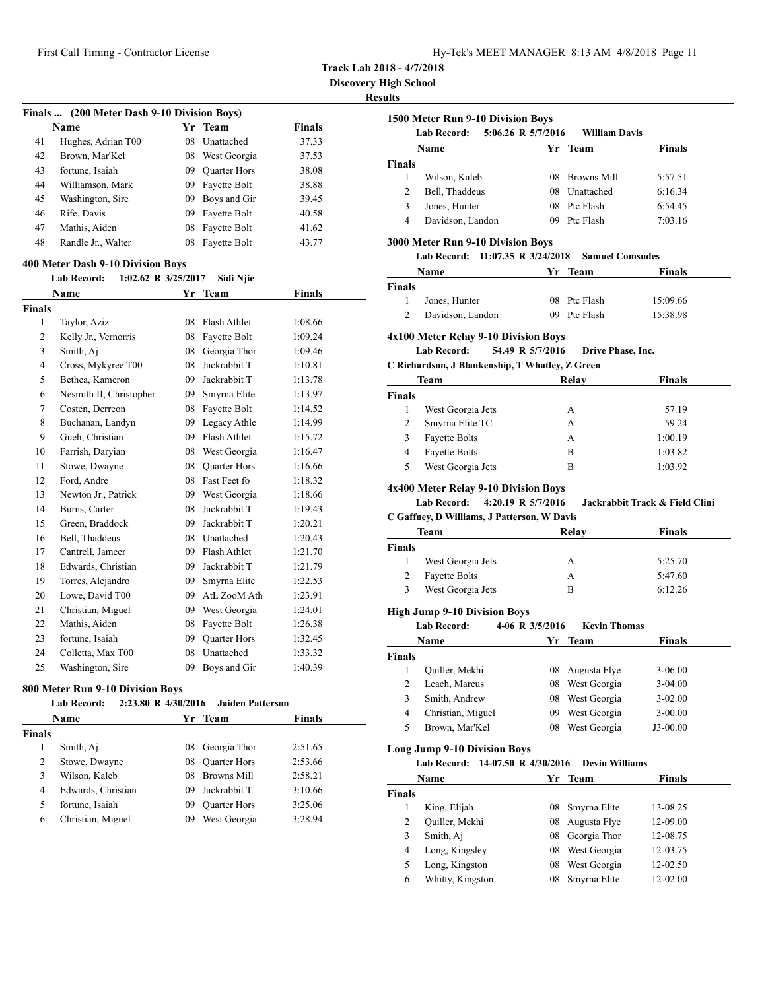**Discovery High School**

#### **Results**

|               | Finals  (200 Meter Dash 9-10 Division Boys) |    |                     |         |  |  |  |
|---------------|---------------------------------------------|----|---------------------|---------|--|--|--|
|               | Name                                        | Yr | <b>Team</b>         | Finals  |  |  |  |
| 41            | Hughes, Adrian T00                          | 08 | Unattached          | 37.33   |  |  |  |
| 42            | Brown, Mar'Kel                              | 08 | West Georgia        | 37.53   |  |  |  |
| 43            | fortune, Isaiah                             | 09 | <b>Ouarter Hors</b> | 38.08   |  |  |  |
| 44            | Williamson, Mark                            | 09 | Fayette Bolt        | 38.88   |  |  |  |
| 45            | Washington, Sire                            | 09 | Boys and Gir        | 39.45   |  |  |  |
| 46            | Rife, Davis                                 | 09 | Fayette Bolt        | 40.58   |  |  |  |
| 47            | Mathis, Aiden                               | 08 | Fayette Bolt        | 41.62   |  |  |  |
| 48            | Randle Jr., Walter                          | 08 | Fayette Bolt        | 43.77   |  |  |  |
|               | 400 Meter Dash 9-10 Division Boys           |    |                     |         |  |  |  |
|               | 1:02.62 R $3/25/2017$<br><b>Lab Record:</b> |    | Sidi Njie           |         |  |  |  |
|               | Name                                        |    | Yr Team             | Finals  |  |  |  |
| <b>Finals</b> |                                             |    |                     |         |  |  |  |
| 1             | Taylor, Aziz                                | 08 | <b>Flash Athlet</b> | 1:08.66 |  |  |  |
| 2             | Kelly Jr., Vernorris                        | 08 | Fayette Bolt        | 1:09.24 |  |  |  |
| 3             | Smith, Aj                                   | 08 | Georgia Thor        | 1:09.46 |  |  |  |
| 4             | Cross, Mykyree T00                          | 08 | Jackrabbit T        | 1:10.81 |  |  |  |

| 2              | Kelly Jr., Vernorris    | 08 | Fayette Bolt | 1:09.24 |
|----------------|-------------------------|----|--------------|---------|
| 3              | Smith, Aj               | 08 | Georgia Thor | 1:09.46 |
| $\overline{4}$ | Cross, Mykyree T00      | 08 | Jackrabbit T | 1:10.81 |
| 5              | Bethea, Kameron         | 09 | Jackrabbit T | 1:13.78 |
| 6              | Nesmith II, Christopher | 09 | Smyrna Elite | 1:13.97 |
| 7              | Costen, Derreon         | 08 | Fayette Bolt | 1:14.52 |
| 8              | Buchanan, Landyn        | 09 | Legacy Athle | 1:14.99 |
| 9              | Gueh, Christian         | 09 | Flash Athlet | 1:15.72 |
| 10             | Farrish, Daryian        | 08 | West Georgia | 1:16.47 |
| 11             | Stowe, Dwayne           | 08 | Quarter Hors | 1:16.66 |
| 12             | Ford, Andre             | 08 | Fast Feet fo | 1:18.32 |
| 13             | Newton Jr., Patrick     | 09 | West Georgia | 1:18.66 |
| 14             | Burns, Carter           | 08 | Jackrabbit T | 1:19.43 |
| 15             | Green, Braddock         | 09 | Jackrabbit T | 1:20.21 |
| 16             | Bell, Thaddeus          | 08 | Unattached   | 1:20.43 |
| 17             | Cantrell, Jameer        | 09 | Flash Athlet | 1:21.70 |
| 18             | Edwards, Christian      | 09 | Jackrabbit T | 1:21.79 |
| 19             | Torres, Alejandro       | 09 | Smyrna Elite | 1:22.53 |
| 20             | Lowe, David T00         | 09 | AtL ZooM Ath | 1:23.91 |
| 21             | Christian, Miguel       | 09 | West Georgia | 1:24.01 |
| 22             | Mathis, Aiden           | 08 | Fayette Bolt | 1:26.38 |
| 23             | fortune, Isaiah         | 09 | Quarter Hors | 1:32.45 |
| 24             | Colletta, Max T00       | 08 | Unattached   | 1:33.32 |
| 25             | Washington, Sire        | 09 | Boys and Gir | 1:40.39 |

#### **800 Meter Run 9-10 Division Boys**

|               | <b>Lab Record:</b> | 2:23.80 R 4/30/2016 | <b>Jaiden Patterson</b> |               |  |
|---------------|--------------------|---------------------|-------------------------|---------------|--|
|               | <b>Name</b>        |                     | Yr Team                 | <b>Finals</b> |  |
| <b>Finals</b> |                    |                     |                         |               |  |
| 1             | Smith, Aj          | 08                  | Georgia Thor            | 2:51.65       |  |
| 2             | Stowe, Dwayne      | 08                  | <b>Quarter Hors</b>     | 2:53.66       |  |
| 3             | Wilson, Kaleb      | 08                  | Browns Mill             | 2:58.21       |  |
| 4             | Edwards, Christian | 09                  | Jackrabbit T            | 3:10.66       |  |
| 5             | fortune, Isaiah    | 09                  | <b>Quarter Hors</b>     | 3:25.06       |  |
| 6             | Christian, Miguel  | 09                  | West Georgia            | 3:28.94       |  |

| 5:06.26 R 5/7/2016<br><b>Lab Record:</b> |                  |                      |                                 |
|------------------------------------------|------------------|----------------------|---------------------------------|
|                                          |                  | <b>William Davis</b> |                                 |
| Name                                     | Yr               | Team                 | Finals                          |
|                                          |                  |                      |                                 |
| Wilson, Kaleb                            | 08.              |                      | 5:57.51                         |
| Bell, Thaddeus                           | 08               | <b>Unattached</b>    | 6:16.34                         |
| Jones, Hunter                            | 08.              |                      | 6:54.45                         |
|                                          | 09.              | Ptc Flash            | 7:03.16                         |
|                                          | Davidson, Landon |                      | <b>Browns Mill</b><br>Ptc Flash |

#### **3000 Meter Run 9-10 Division Boys**

**Lab Record: 11:07.35 R 3/24/2018 Samuel Comsudes**

|               | Name             | Yr Team      | <b>Finals</b> |
|---------------|------------------|--------------|---------------|
| <b>Finals</b> |                  |              |               |
|               | Jones, Hunter    | 08 Ptc Flash | 15:09.66      |
|               | Davidson, Landon | 09 Ptc Flash | 15:38.98      |

#### **4x100 Meter Relay 9-10 Division Boys**

**Lab Record: 54.49 R 5/7/2016 Drive Phase, Inc.**

**C Richardson, J Blankenship, T Whatley, Z Green**

| Team          |                      | Relay | <b>Finals</b> |  |
|---------------|----------------------|-------|---------------|--|
| <b>Finals</b> |                      |       |               |  |
|               | West Georgia Jets    | А     | 57.19         |  |
| 2             | Smyrna Elite TC      | А     | 59.24         |  |
| 3             | <b>Fayette Bolts</b> | А     | 1:00.19       |  |
| 4             | <b>Fayette Bolts</b> | в     | 1:03.82       |  |
| 5             | West Georgia Jets    | в     | 1:03.92       |  |
|               |                      |       |               |  |

## **4x400 Meter Relay 9-10 Division Boys**

**Lab Record: 4:20.19 R 5/7/2016 Jackrabbit Track & Field Clini**

**C Gaffney, D Williams, J Patterson, W Davis**

| Team   |                      | Relay | <b>Finals</b> |  |
|--------|----------------------|-------|---------------|--|
| Finals |                      |       |               |  |
|        | West Georgia Jets    | А     | 5:25.70       |  |
|        | <b>Fayette Bolts</b> | А     | 5:47.60       |  |
| 3      | West Georgia Jets    | в     | 6:12.26       |  |

## **High Jump 9-10 Division Boys**

**Lab Record: 4-06 R 3/5/2016 Kevin Thomas**

|               | <b>Name</b>       |    | Yr Team         | <b>Finals</b> |  |
|---------------|-------------------|----|-----------------|---------------|--|
| <b>Finals</b> |                   |    |                 |               |  |
|               | Quiller, Mekhi    |    | 08 Augusta Flye | $3-06.00$     |  |
|               | Leach, Marcus     | 08 | West Georgia    | $3-04.00$     |  |
| 3             | Smith, Andrew     | 08 | West Georgia    | $3 - 02.00$   |  |
| 4             | Christian, Miguel | 09 | West Georgia    | $3 - 00.00$   |  |
| 5             | Brown, Mar'Kel    | 08 | West Georgia    | $J3-00.00$    |  |

## **Long Jump 9-10 Division Boys**

**Lab Record: 14-07.50 R 4/30/2016 Devin Williams**

|               | Name             |    | Yr Team         | <b>Finals</b> |  |
|---------------|------------------|----|-----------------|---------------|--|
| <b>Finals</b> |                  |    |                 |               |  |
|               | King, Elijah     |    | 08 Smyrna Elite | 13-08.25      |  |
| 2             | Quiller, Mekhi   |    | 08 Augusta Flye | 12-09.00      |  |
| 3             | Smith, Aj        | 08 | Georgia Thor    | 12-08.75      |  |
| 4             | Long, Kingsley   | 08 | West Georgia    | 12-03.75      |  |
| 5             | Long, Kingston   | 08 | West Georgia    | 12-02.50      |  |
| 6             | Whitty, Kingston | 08 | Smyrna Elite    | 12-02.00      |  |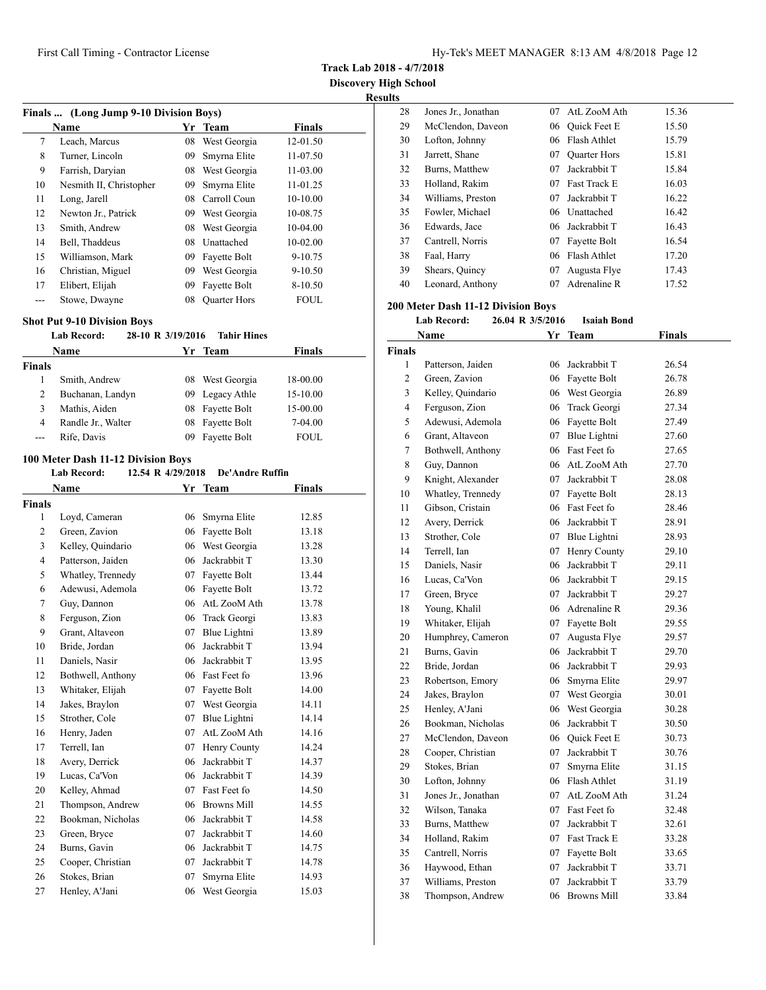**Track Lab 2018 - 4/7/2018**

**Discovery High School**

| <b>Results</b> |
|----------------|
|----------------|

| Finals  (Long Jump 9-10 Division Boys) |                         |    |                     |               |  |
|----------------------------------------|-------------------------|----|---------------------|---------------|--|
|                                        | <b>Name</b>             | Yr | <b>Team</b>         | <b>Finals</b> |  |
| 7                                      | Leach, Marcus           | 08 | West Georgia        | 12-01.50      |  |
| 8                                      | Turner, Lincoln         | 09 | Smyrna Elite        | 11-07.50      |  |
| 9                                      | Farrish, Daryian        | 08 | West Georgia        | 11-03.00      |  |
| 10                                     | Nesmith II, Christopher | 09 | Smyrna Elite        | 11-01.25      |  |
| 11                                     | Long, Jarell            | 08 | Carroll Coun        | 10-10.00      |  |
| 12                                     | Newton Jr., Patrick     | 09 | West Georgia        | 10-08.75      |  |
| 13                                     | Smith, Andrew           | 08 | West Georgia        | 10-04.00      |  |
| 14                                     | Bell, Thaddeus          | 08 | Unattached          | 10-02.00      |  |
| 15                                     | Williamson, Mark        | 09 | Fayette Bolt        | $9 - 10.75$   |  |
| 16                                     | Christian, Miguel       | 09 | West Georgia        | $9 - 10.50$   |  |
| 17                                     | Elibert, Elijah         | 09 | Fayette Bolt        | $8-10.50$     |  |
|                                        | Stowe, Dwayne           | 08 | <b>Quarter Hors</b> | <b>FOUL</b>   |  |

## **Shot Put 9-10 Division Boys**

#### **Lab Record: 28-10 R 3/19/2016 Tahir Hines**

| <b>Name</b>   |                    |    | Yr Team         | <b>Finals</b> |  |
|---------------|--------------------|----|-----------------|---------------|--|
| <b>Finals</b> |                    |    |                 |               |  |
|               | Smith, Andrew      |    | 08 West Georgia | 18-00.00      |  |
| 2             | Buchanan, Landyn   |    | 09 Legacy Athle | 15-10.00      |  |
| 3             | Mathis, Aiden      |    | 08 Fayette Bolt | 15-00.00      |  |
| 4             | Randle Jr., Walter |    | 08 Fayette Bolt | 7-04.00       |  |
| ---           | Rife, Davis        | 09 | Fayette Bolt    | <b>FOUL</b>   |  |

## **100 Meter Dash 11-12 Division Boys**

|  | <b>Lab Record:</b> | 12.54 R 4/29/2018 | <b>De'Andre Ruffin</b> |
|--|--------------------|-------------------|------------------------|
|--|--------------------|-------------------|------------------------|

|                | Name              | Yr | <b>Team</b>        | <b>Finals</b> |
|----------------|-------------------|----|--------------------|---------------|
| <b>Finals</b>  |                   |    |                    |               |
| 1              | Loyd, Cameran     | 06 | Smyrna Elite       | 12.85         |
| $\overline{2}$ | Green, Zavion     | 06 | Fayette Bolt       | 13.18         |
| 3              | Kelley, Quindario | 06 | West Georgia       | 13.28         |
| $\overline{4}$ | Patterson, Jaiden | 06 | Jackrabbit T       | 13.30         |
| 5              | Whatley, Trennedy | 07 | Fayette Bolt       | 13.44         |
| 6              | Adewusi, Ademola  | 06 | Fayette Bolt       | 13.72         |
| 7              | Guy, Dannon       | 06 | AtL ZooM Ath       | 13.78         |
| 8              | Ferguson, Zion    | 06 | Track Georgi       | 13.83         |
| 9              | Grant, Altaveon   | 07 | Blue Lightni       | 13.89         |
| 10             | Bride, Jordan     | 06 | Jackrabbit T       | 13.94         |
| 11             | Daniels, Nasir    | 06 | Jackrabbit T       | 13.95         |
| 12             | Bothwell, Anthony |    | 06 Fast Feet fo    | 13.96         |
| 13             | Whitaker, Elijah  | 07 | Fayette Bolt       | 14.00         |
| 14             | Jakes, Braylon    | 07 | West Georgia       | 14.11         |
| 15             | Strother, Cole    | 07 | Blue Lightni       | 14.14         |
| 16             | Henry, Jaden      | 07 | AtL ZooM Ath       | 14.16         |
| 17             | Terrell, Ian      | 07 | Henry County       | 14.24         |
| 18             | Avery, Derrick    | 06 | Jackrabbit T       | 14.37         |
| 19             | Lucas, Ca'Von     | 06 | Jackrabbit T       | 14.39         |
| 20             | Kelley, Ahmad     | 07 | Fast Feet fo       | 14.50         |
| 21             | Thompson, Andrew  | 06 | <b>Browns Mill</b> | 14.55         |
| 22             | Bookman, Nicholas | 06 | Jackrabbit T       | 14.58         |
| 23             | Green, Bryce      | 07 | Jackrabbit T       | 14.60         |
| 24             | Burns, Gavin      | 06 | Jackrabbit T       | 14.75         |
| 25             | Cooper, Christian | 07 | Jackrabbit T       | 14.78         |
| 26             | Stokes, Brian     | 07 | Smyrna Elite       | 14.93         |
| 27             | Henley, A'Jani    | 06 | West Georgia       | 15.03         |

| . |    |                     |     |                     |       |
|---|----|---------------------|-----|---------------------|-------|
|   | 28 | Jones Jr., Jonathan | 07. | AtL ZooM Ath        | 15.36 |
|   | 29 | McClendon, Daveon   | 06  | Quick Feet E        | 15.50 |
|   | 30 | Lofton, Johnny      | 06  | Flash Athlet        | 15.79 |
|   | 31 | Jarrett, Shane      | 07  | <b>Quarter Hors</b> | 15.81 |
|   | 32 | Burns, Matthew      | 07  | Jackrabbit T        | 15.84 |
|   | 33 | Holland, Rakim      | 07  | <b>Fast Track E</b> | 16.03 |
|   | 34 | Williams, Preston   | 07  | Jackrabbit T        | 16.22 |
|   | 35 | Fowler, Michael     |     | 06 Unattached       | 16.42 |
|   | 36 | Edwards, Jace       | 06. | Jackrabbit T        | 16.43 |
|   | 37 | Cantrell, Norris    | 07  | Fayette Bolt        | 16.54 |
|   | 38 | Faal, Harry         | 06. | Flash Athlet        | 17.20 |
|   | 39 | Shears, Quincy      | 07  | Augusta Flye        | 17.43 |
|   | 40 | Leonard, Anthony    | 07  | Adrenaline R        | 17.52 |
|   |    |                     |     |                     |       |

#### **200 Meter Dash 11-12 Division Boys**

**Lab Record: 26.04 R 3/5/2016 Isaiah Bond**

| Name           |                     | Yr | <b>Team</b>         | <b>Finals</b> |  |
|----------------|---------------------|----|---------------------|---------------|--|
| <b>Finals</b>  |                     |    |                     |               |  |
| 1              | Patterson, Jaiden   | 06 | Jackrabbit T        | 26.54         |  |
| $\overline{2}$ | Green, Zavion       |    | 06 Fayette Bolt     | 26.78         |  |
| 3              | Kelley, Quindario   |    | 06 West Georgia     | 26.89         |  |
| 4              | Ferguson, Zion      | 06 | Track Georgi        | 27.34         |  |
| 5              | Adewusi, Ademola    |    | 06 Fayette Bolt     | 27.49         |  |
| 6              | Grant, Altaveon     |    | 07 Blue Lightni     | 27.60         |  |
| $\tau$         | Bothwell, Anthony   |    | 06 Fast Feet fo     | 27.65         |  |
| 8              | Guy, Dannon         |    | 06 AtL ZooM Ath     | 27.70         |  |
| 9              | Knight, Alexander   |    | 07 Jackrabbit T     | 28.08         |  |
| 10             | Whatley, Trennedy   |    | 07 Fayette Bolt     | 28.13         |  |
| 11             | Gibson, Cristain    |    | 06 Fast Feet fo     | 28.46         |  |
| 12             | Avery, Derrick      |    | 06 Jackrabbit T     | 28.91         |  |
| 13             | Strother, Cole      |    | 07 Blue Lightni     | 28.93         |  |
| 14             | Terrell, Ian        | 07 | Henry County        | 29.10         |  |
| 15             | Daniels, Nasir      | 06 | Jackrabbit T        | 29.11         |  |
| 16             | Lucas, Ca'Von       |    | 06 Jackrabbit T     | 29.15         |  |
| 17             | Green, Bryce        |    | 07 Jackrabbit T     | 29.27         |  |
| 18             | Young, Khalil       |    | 06 Adrenaline R     | 29.36         |  |
| 19             | Whitaker, Elijah    | 07 | Fayette Bolt        | 29.55         |  |
| 20             | Humphrey, Cameron   | 07 | Augusta Flye        | 29.57         |  |
| 21             | Burns, Gavin        | 06 | Jackrabbit T        | 29.70         |  |
| 22             | Bride, Jordan       |    | 06 Jackrabbit T     | 29.93         |  |
| 23             | Robertson, Emory    | 06 | Smyrna Elite        | 29.97         |  |
| 24             | Jakes, Braylon      |    | 07 West Georgia     | 30.01         |  |
| 25             | Henley, A'Jani      | 06 | West Georgia        | 30.28         |  |
| 26             | Bookman, Nicholas   | 06 | Jackrabbit T        | 30.50         |  |
| 27             | McClendon, Daveon   | 06 | <b>Ouick Feet E</b> | 30.73         |  |
| 28             | Cooper, Christian   | 07 | Jackrabbit T        | 30.76         |  |
| 29             | Stokes, Brian       | 07 | Smyrna Elite        | 31.15         |  |
| 30             | Lofton, Johnny      |    | 06 Flash Athlet     | 31.19         |  |
| 31             | Jones Jr., Jonathan |    | 07 AtL ZooM Ath     | 31.24         |  |
| 32             | Wilson, Tanaka      |    | 07 Fast Feet fo     | 32.48         |  |
| 33             | Burns, Matthew      |    | 07 Jackrabbit T     | 32.61         |  |
| 34             | Holland, Rakim      |    | 07 Fast Track E     | 33.28         |  |
| 35             | Cantrell, Norris    | 07 | Fayette Bolt        | 33.65         |  |
| 36             | Haywood, Ethan      | 07 | Jackrabbit T        | 33.71         |  |
| 37             | Williams, Preston   | 07 | Jackrabbit T        | 33.79         |  |
| 38             | Thompson, Andrew    | 06 | <b>Browns Mill</b>  | 33.84         |  |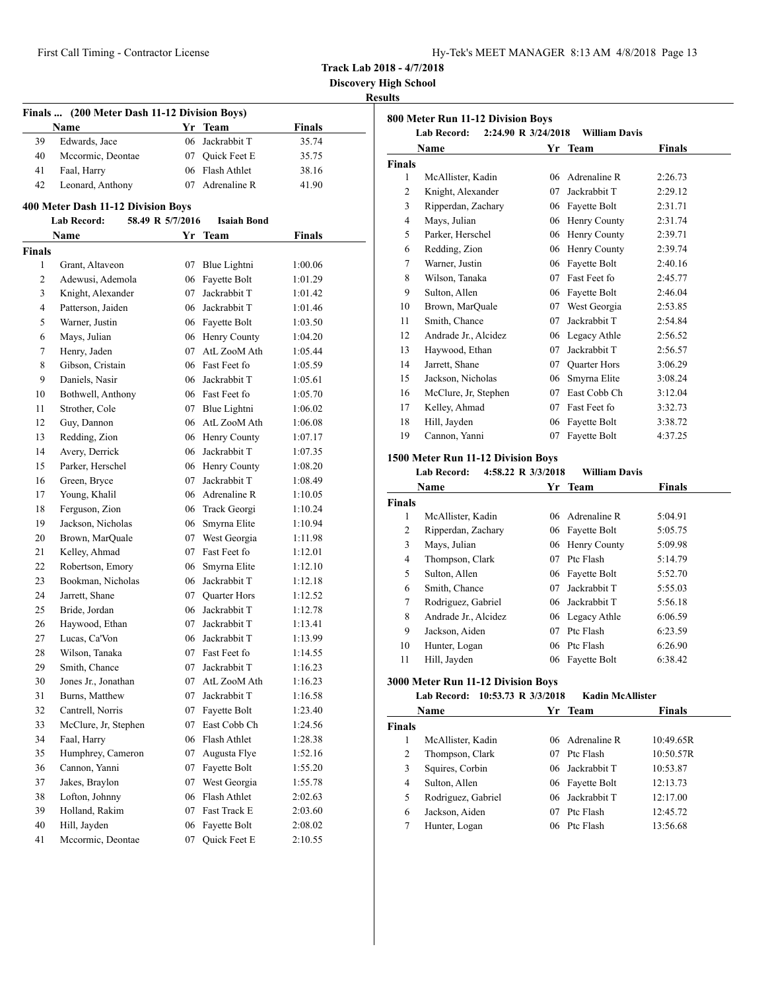| Hy-Tek's MEET MANAGER 8:13 AM 4/8/2018 Page 13 |  |  |  |  |
|------------------------------------------------|--|--|--|--|
|------------------------------------------------|--|--|--|--|

**Discovery High School**

# **Results**

|                    | Finals  (200 Meter Dash 11-12 Division Boys) |                  |                                    |                    |
|--------------------|----------------------------------------------|------------------|------------------------------------|--------------------|
|                    | Name                                         |                  | Yr Team                            | <b>Finals</b>      |
| 39                 | Edwards, Jace                                | 06               | Jackrabbit T                       | 35.74              |
| 40                 | Mccormic, Deontae                            |                  | 07 Quick Feet E                    | 35.75              |
| 41                 | Faal, Harry                                  |                  | 06 Flash Athlet                    | 38.16              |
| 42                 | Leonard, Anthony                             |                  | 07 Adrenaline R                    | 41.90              |
|                    |                                              |                  |                                    |                    |
|                    | 400 Meter Dash 11-12 Division Boys           |                  | <b>Isaiah Bond</b>                 |                    |
|                    | Lab Record:                                  | 58.49 R 5/7/2016 |                                    |                    |
|                    | Name                                         |                  | Yr Team                            | <b>Finals</b>      |
| <b>Finals</b><br>1 |                                              | 07               |                                    |                    |
|                    | Grant, Altaveon<br>Adewusi, Ademola          |                  | Blue Lightni<br>Fayette Bolt       | 1:00.06            |
| 2<br>3             |                                              | 06<br>07         | Jackrabbit T                       | 1:01.29            |
| 4                  | Knight, Alexander<br>Patterson, Jaiden       |                  |                                    | 1:01.42            |
|                    |                                              |                  | 06 Jackrabbit T                    | 1:01.46            |
| 5<br>6             | Warner, Justin<br>Mays, Julian               |                  | 06 Fayette Bolt                    | 1:03.50            |
| 7                  | Henry, Jaden                                 |                  | 06 Henry County<br>07 AtL ZooM Ath | 1:04.20            |
|                    |                                              |                  | 06 Fast Feet fo                    | 1:05.44            |
| 8                  | Gibson, Cristain<br>Daniels, Nasir           |                  |                                    | 1:05.59            |
| 9                  |                                              |                  | 06 Jackrabbit T<br>06 Fast Feet fo | 1:05.61            |
| 10                 | Bothwell, Anthony                            |                  |                                    | 1:05.70<br>1:06.02 |
| 11                 | Strother, Cole<br>Guy, Dannon                |                  | 07 Blue Lightni<br>06 AtL ZooM Ath |                    |
| 12                 |                                              |                  |                                    | 1:06.08            |
| 13                 | Redding, Zion                                |                  | 06 Henry County                    | 1:07.17            |
| 14                 | Avery, Derrick                               |                  | 06 Jackrabbit T                    | 1:07.35            |
| 15                 | Parker, Herschel                             |                  | 06 Henry County<br>07 Jackrabbit T | 1:08.20            |
| 16                 | Green, Bryce                                 |                  |                                    | 1:08.49            |
| 17                 | Young, Khalil                                |                  | 06 Adrenaline R                    | 1:10.05            |
| 18                 | Ferguson, Zion                               |                  | 06 Track Georgi                    | 1:10.24            |
| 19                 | Jackson, Nicholas                            | 06               | Smyrna Elite                       | 1:10.94            |
| 20                 | Brown, MarQuale                              |                  | 07 West Georgia<br>07 Fast Feet fo | 1:11.98            |
| 21<br>22           | Kelley, Ahmad                                |                  |                                    | 1:12.01            |
|                    | Robertson, Emory                             | 06               | Smyrna Elite<br>06 Jackrabbit T    | 1:12.10            |
| 23                 | Bookman, Nicholas                            |                  |                                    | 1:12.18            |
| 24                 | Jarrett, Shane                               | 07               | Quarter Hors<br>Jackrabbit T       | 1:12.52            |
| 25                 | Bride, Jordan                                | 06               |                                    | 1:12.78            |
| 26<br>27           | Haywood, Ethan<br>Lucas, Ca'Von              | 07               | Jackrabbit T<br>06 Jackrabbit T    | 1:13.41            |
| 28                 | Wilson, Tanaka                               |                  | 07 Fast Feet fo                    | 1:13.99<br>1:14.55 |
|                    | Smith, Chance                                | 07               | Jackrabbit $\mathcal T$            |                    |
| 29<br>30           | Jones Jr., Jonathan                          | 07               | AtL ZooM Ath                       | 1:16.23            |
| 31                 | Burns, Matthew                               | 07               | Jackrabbit T                       | 1:16.23<br>1:16.58 |
| 32                 | Cantrell, Norris                             | 07               | Fayette Bolt                       | 1:23.40            |
| 33                 | McClure, Jr, Stephen                         | 07               | East Cobb Ch                       | 1:24.56            |
| 34                 | Faal, Harry                                  | 06               | Flash Athlet                       | 1:28.38            |
| 35                 | Humphrey, Cameron                            | 07               | Augusta Flye                       | 1:52.16            |
| 36                 | Cannon, Yanni                                | 07               | Fayette Bolt                       | 1:55.20            |
| 37                 | Jakes, Braylon                               | 07               | West Georgia                       | 1:55.78            |
| 38                 | Lofton, Johnny                               | 06               | Flash Athlet                       | 2:02.63            |
| 39                 | Holland, Rakim                               | 07               | Fast Track E                       | 2:03.60            |
| 40                 | Hill, Jayden                                 | 06               | Fayette Bolt                       | 2:08.02            |
| 41                 | Mccormic, Deontae                            | 07               | Quick Feet E                       | 2:10.55            |
|                    |                                              |                  |                                    |                    |

|                | 800 Meter Run 11-12 Division Boys         |    |                          |               |
|----------------|-------------------------------------------|----|--------------------------|---------------|
|                | <b>Lab Record:</b><br>2:24.90 R 3/24/2018 |    | William Davis<br>Yr Team | <b>Finals</b> |
| <b>Finals</b>  | <b>Name</b>                               |    |                          |               |
| 1              | McAllister, Kadin                         | 06 | Adrenaline R             | 2:26.73       |
| 2              | Knight, Alexander                         | 07 | Jackrabbit T             | 2:29.12       |
| 3              | Ripperdan, Zachary                        |    | 06 Fayette Bolt          | 2:31.71       |
| $\overline{4}$ | Mays, Julian                              | 06 | Henry County             | 2:31.74       |
| 5              | Parker, Herschel                          | 06 | Henry County             | 2:39.71       |
| 6              | Redding, Zion                             | 06 | Henry County             | 2:39.74       |
| 7              | Warner, Justin                            |    | 06 Fayette Bolt          | 2:40.16       |
| 8              | Wilson, Tanaka                            | 07 | Fast Feet fo             | 2:45.77       |
| 9              | Sulton, Allen                             | 06 | Fayette Bolt             | 2:46.04       |
| 10             | Brown, MarQuale                           | 07 | West Georgia             | 2:53.85       |
| 11             | Smith, Chance                             | 07 | Jackrabbit T             | 2:54.84       |
| 12             | Andrade Jr., Alcidez                      |    | 06 Legacy Athle          | 2:56.52       |
| 13             | Haywood, Ethan                            | 07 | Jackrabbit T             | 2:56.57       |
| 14             | Jarrett, Shane                            | 07 | <b>Quarter Hors</b>      | 3:06.29       |
| 15             | Jackson, Nicholas                         |    | 06 Smyrna Elite          | 3:08.24       |
| 16             | McClure, Jr, Stephen                      |    | 07 East Cobb Ch          | 3:12.04       |
| 17             | Kelley, Ahmad                             |    | 07 Fast Feet fo          | 3:32.73       |
| 18             | Hill, Jayden                              | 06 | Fayette Bolt             | 3:38.72       |
| 19             | Cannon, Yanni                             | 07 | Fayette Bolt             | 4:37.25       |
|                | 1500 Meter Run 11-12 Division Boys        |    |                          |               |
|                | <b>Lab Record:</b><br>4:58.22 R 3/3/2018  |    | William Davis            |               |
|                | Name                                      | Yr | <b>Team</b>              | <b>Finals</b> |
| <b>Finals</b>  |                                           |    |                          |               |
| 1              | McAllister, Kadin                         |    | 06 Adrenaline R          | 5:04.91       |
| $\overline{c}$ | Ripperdan, Zachary                        | 06 | Fayette Bolt             | 5:05.75       |
| 3              | Mays, Julian                              | 06 | Henry County             | 5:09.98       |
| 4              | Thompson, Clark                           | 07 | Ptc Flash                | 5:14.79       |
| 5              | Sulton, Allen                             | 06 | Fayette Bolt             | 5:52.70       |
| 6              | Smith, Chance                             | 07 | Jackrabbit T             | 5:55.03       |

|        | гуаше                | xг | теаш            | гинаіз  |  |
|--------|----------------------|----|-----------------|---------|--|
| ∛inals |                      |    |                 |         |  |
| 1      | McAllister, Kadin    |    | 06 Adrenaline R | 5:04.91 |  |
| 2      | Ripperdan, Zachary   |    | 06 Fayette Bolt | 5:05.75 |  |
| 3      | Mays, Julian         | 06 | Henry County    | 5:09.98 |  |
| 4      | Thompson, Clark      | 07 | Ptc Flash       | 5:14.79 |  |
| 5      | Sulton, Allen        | 06 | Fayette Bolt    | 5:52.70 |  |
| 6      | Smith, Chance        | 07 | Jackrabbit T    | 5:55.03 |  |
| 7      | Rodriguez, Gabriel   |    | 06 Jackrabbit T | 5:56.18 |  |
| 8      | Andrade Jr., Alcidez |    | 06 Legacy Athle | 6:06.59 |  |
| 9      | Jackson, Aiden       | 07 | Ptc Flash       | 6:23.59 |  |
| 10     | Hunter, Logan        |    | 06 Ptc Flash    | 6:26.90 |  |
| 11     | Hill, Jayden         | 06 | Fayette Bolt    | 6:38.42 |  |

# **3000 Meter Run 11-12 Division Boys**

|               | <b>Lab Record:</b> | 10:53.73 R 3/3/2018 | <b>Kadin McAllister</b> |               |
|---------------|--------------------|---------------------|-------------------------|---------------|
|               | Name               |                     | Yr Team                 | <b>Finals</b> |
| <b>Finals</b> |                    |                     |                         |               |
| 1             | McAllister, Kadin  |                     | 06 Adrenaline R         | 10:49.65R     |
| 2             | Thompson, Clark    | 07                  | Ptc Flash               | 10:50.57R     |
| 3             | Squires, Corbin    |                     | 06 Jackrabbit T         | 10:53.87      |
| 4             | Sulton, Allen      |                     | 06 Fayette Bolt         | 12:13.73      |
| 5             | Rodriguez, Gabriel |                     | 06 Jackrabbit T         | 12:17.00      |
| 6             | Jackson, Aiden     | 07                  | Ptc Flash               | 12:45.72      |
|               | Hunter, Logan      |                     | 06 Ptc Flash            | 13:56.68      |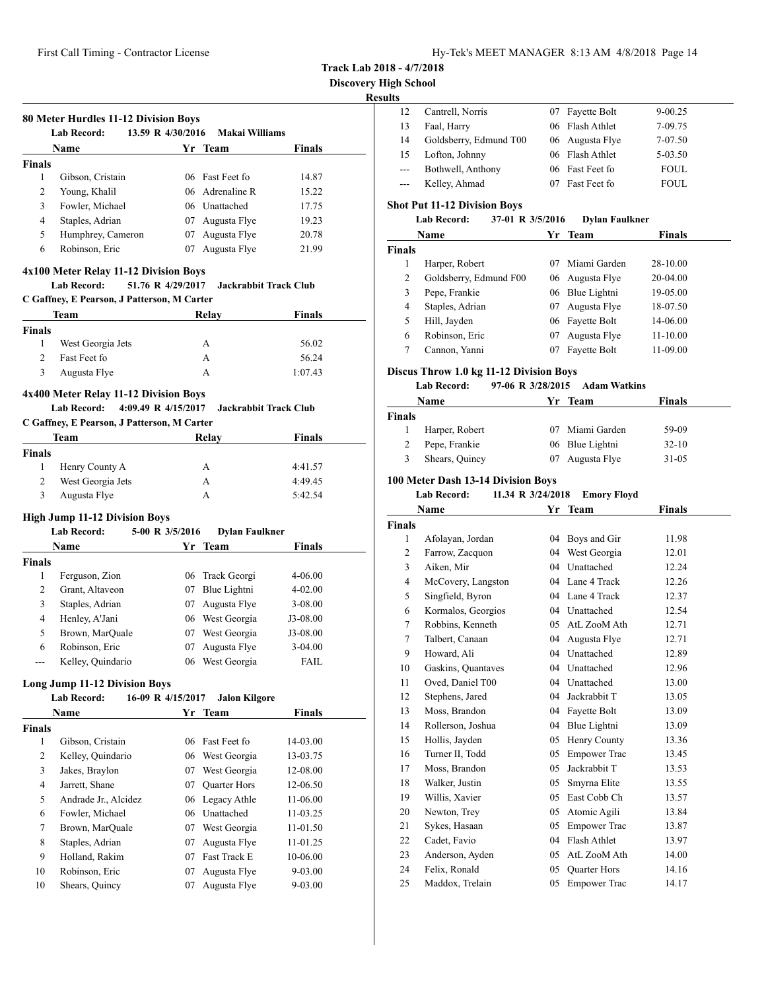| Hy-Tek's MEET MANAGER 8:13 AM 4/8/2018 Page 14 |  |  |  |  |
|------------------------------------------------|--|--|--|--|
|------------------------------------------------|--|--|--|--|

**Track Lab 2018 - 4/7/2018**

**Discovery High School**

## **Results**

| .     |                        |                 |             |  |
|-------|------------------------|-----------------|-------------|--|
| 12    | Cantrell, Norris       | 07 Fayette Bolt | $9 - 00.25$ |  |
| 13    | Faal, Harry            | 06 Flash Athlet | 7-09.75     |  |
| 14    | Goldsberry, Edmund T00 | 06 Augusta Flye | 7-07.50     |  |
| 15    | Lofton, Johnny         | 06 Flash Athlet | 5-03.50     |  |
| $---$ | Bothwell, Anthony      | 06 Fast Feet fo | <b>FOUL</b> |  |
| $---$ | Kelley, Ahmad          | Fast Feet fo    | <b>FOUL</b> |  |

# **Shot Put 11-12 Division Boys**

| <b>Lab Record:</b> | 37-01 R 3/5/2016 | <b>Dylan Faulkner</b> |
|--------------------|------------------|-----------------------|
|--------------------|------------------|-----------------------|

| Name          |                        |    | Yr Team         | <b>Finals</b> |  |
|---------------|------------------------|----|-----------------|---------------|--|
| <b>Finals</b> |                        |    |                 |               |  |
|               | Harper, Robert         | 07 | Miami Garden    | 28-10.00      |  |
| 2             | Goldsberry, Edmund F00 |    | 06 Augusta Flye | 20-04.00      |  |
| 3             | Pepe, Frankie          |    | 06 Blue Lightni | 19-05.00      |  |
| 4             | Staples, Adrian        | 07 | Augusta Flye    | 18-07.50      |  |
| 5             | Hill, Jayden           |    | 06 Fayette Bolt | 14-06.00      |  |
| 6             | Robinson, Eric         | 07 | Augusta Flye    | 11-10.00      |  |
|               | Cannon, Yanni          | 07 | Fayette Bolt    | 11-09.00      |  |

## **Discus Throw 1.0 kg 11-12 Division Boys**

#### **Lab Record: 97-06 R 3/28/2015 Adam Watkins**

| Name          |                | Yr Team |                 | <b>Finals</b> |  |
|---------------|----------------|---------|-----------------|---------------|--|
| <b>Finals</b> |                |         |                 |               |  |
|               | Harper, Robert |         | 07 Miami Garden | 59-09         |  |
| 2             | Pepe, Frankie  |         | 06 Blue Lightni | $32-10$       |  |
| 3             | Shears, Quincy | 07      | Augusta Flye    | $31 - 05$     |  |

## **100 Meter Dash 13-14 Division Boys**

#### **Lab Record: 11.34 R 3/24/2018 Emory Floyd**

| Name          |                    | Yr | <b>Team</b>         | <b>Finals</b> |  |
|---------------|--------------------|----|---------------------|---------------|--|
| <b>Finals</b> |                    |    |                     |               |  |
| 1             | Afolayan, Jordan   | 04 | Boys and Gir        | 11.98         |  |
| 2             | Farrow, Zacquon    | 04 | West Georgia        | 12.01         |  |
| 3             | Aiken, Mir         | 04 | Unattached          | 12.24         |  |
| 4             | McCovery, Langston |    | 04 Lane 4 Track     | 12.26         |  |
| 5             | Singfield, Byron   | 04 | Lane 4 Track        | 12.37         |  |
| 6             | Kormalos, Georgios | 04 | Unattached          | 12.54         |  |
| 7             | Robbins, Kenneth   | 05 | AtL ZooM Ath        | 12.71         |  |
| 7             | Talbert, Canaan    | 04 | Augusta Flye        | 12.71         |  |
| 9             | Howard, Ali        | 04 | Unattached          | 12.89         |  |
| 10            | Gaskins, Quantaves | 04 | Unattached          | 12.96         |  |
| 11            | Oved, Daniel T00   | 04 | Unattached          | 13.00         |  |
| 12            | Stephens, Jared    | 04 | Jackrabbit T        | 13.05         |  |
| 13            | Moss, Brandon      | 04 | Fayette Bolt        | 13.09         |  |
| 14            | Rollerson, Joshua  | 04 | Blue Lightni        | 13.09         |  |
| 15            | Hollis, Jayden     | 05 | Henry County        | 13.36         |  |
| 16            | Turner II, Todd    | 05 | <b>Empower Trac</b> | 13.45         |  |
| 17            | Moss, Brandon      | 05 | Jackrabbit T        | 13.53         |  |
| 18            | Walker, Justin     | 05 | Smyrna Elite        | 13.55         |  |
| 19            | Willis, Xavier     | 05 | East Cobb Ch        | 13.57         |  |
| 20            | Newton, Trey       | 05 | Atomic Agili        | 13.84         |  |
| 21            | Sykes, Hasaan      | 05 | <b>Empower Trac</b> | 13.87         |  |
| 22            | Cadet, Favio       | 04 | Flash Athlet        | 13.97         |  |
| 23            | Anderson, Ayden    | 05 | AtL ZooM Ath        | 14.00         |  |
| 24            | Felix, Ronald      | 05 | <b>Quarter Hors</b> | 14.16         |  |
| 25            | Maddox, Trelain    | 05 | <b>Empower Trac</b> | 14.17         |  |

## **80 Meter Hurdles 11-12 Division Boys Lab Record: 13.59 R 4/30/2016 Makai Williams Name Yr** Team **Finals Finals** Gibson, Cristain 06 Fast Feet fo 14.87

| 3  | Fowler, Michael                       | 06 Unattached   | 17.75 |
|----|---------------------------------------|-----------------|-------|
| 4  | Staples, Adrian                       | 07 Augusta Flye | 19.23 |
| 5. | Humphrey, Cameron                     | 07 Augusta Flye | 20.78 |
| 6  | Robinson, Eric                        | 07 Augusta Flye | 21.99 |
|    | 4x100 Meter Relay 11-12 Division Boys |                 |       |

2 Young, Khalil 06 Adrenaline R 15.22

# **Lab Record: 51.76 R 4/29/2017 Jackrabbit Track Club**

**C Gaffney, E Pearson, J Patterson, M Carter**

|               | Team              | Relay | <b>Finals</b> |
|---------------|-------------------|-------|---------------|
| <b>Finals</b> |                   |       |               |
|               | West Georgia Jets | А     | 56.02         |
| 2             | Fast Feet fo      | А     | 56.24         |
| 3             | Augusta Flye      | А     | 1:07.43       |

# **4x400 Meter Relay 11-12 Division Boys**

# **Lab Record: 4:09.49 R 4/15/2017 Jackrabbit Track Club**

#### **C Gaffney, E Pearson, J Patterson, M Carter**

|               | Team              | Relay | Finals  |
|---------------|-------------------|-------|---------|
| <b>Finals</b> |                   |       |         |
|               | Henry County A    | A     | 4:41.57 |
|               | West Georgia Jets | А     | 4:49.45 |
| 3             | Augusta Flye      | А     | 5:42.54 |

#### **High Jump 11-12 Division Boys**

#### **Lab Record: 5-00 R 3/5/2016 Dylan Faulkner**

| <b>Name</b>       |     |              | <b>Finals</b>                                 |  |
|-------------------|-----|--------------|-----------------------------------------------|--|
|                   |     |              |                                               |  |
| Ferguson, Zion    |     |              | $4 - 06.00$                                   |  |
| Grant, Altaveon   | 07  | Blue Lightni | $4 - 02.00$                                   |  |
| Staples, Adrian   | 07. | Augusta Flye | $3 - 08.00$                                   |  |
| Henley, A'Jani    |     |              | $J3-08.00$                                    |  |
| Brown, MarQuale   | 07  | West Georgia | J3-08.00                                      |  |
| Robinson, Eric    | 07  | Augusta Flye | $3-04.00$                                     |  |
| Kelley, Quindario | 06  | West Georgia | <b>FAIL</b>                                   |  |
|                   |     |              | Yr Team<br>06 Track Georgi<br>06 West Georgia |  |

#### **Long Jump 11-12 Division Boys**

#### **Lab Record: 16-09 R 4/15/2017 Jalon Kilgore**

|               | <b>Name</b>          | Yr | <b>Team</b>         | <b>Finals</b> |  |
|---------------|----------------------|----|---------------------|---------------|--|
| <b>Finals</b> |                      |    |                     |               |  |
| 1             | Gibson, Cristain     |    | 06 Fast Feet fo     | $14 - 03.00$  |  |
| 2             | Kelley, Quindario    |    | 06 West Georgia     | 13-03.75      |  |
| 3             | Jakes, Braylon       | 07 | West Georgia        | 12-08.00      |  |
| 4             | Jarrett, Shane       | 07 | <b>Quarter Hors</b> | 12-06.50      |  |
| 5             | Andrade Jr., Alcidez |    | 06 Legacy Athle     | 11-06.00      |  |
| 6             | Fowler, Michael      | 06 | Unattached          | 11-03.25      |  |
| 7             | Brown, MarQuale      | 07 | West Georgia        | 11-01.50      |  |
| 8             | Staples, Adrian      | 07 | Augusta Flye        | $11 - 01.25$  |  |
| 9             | Holland, Rakim       | 07 | <b>Fast Track E</b> | 10-06.00      |  |
| 10            | Robinson, Eric       | 07 | Augusta Flye        | $9 - 03.00$   |  |
| 10            | Shears, Quincy       | 07 | Augusta Flye        | $9 - 03.00$   |  |
|               |                      |    |                     |               |  |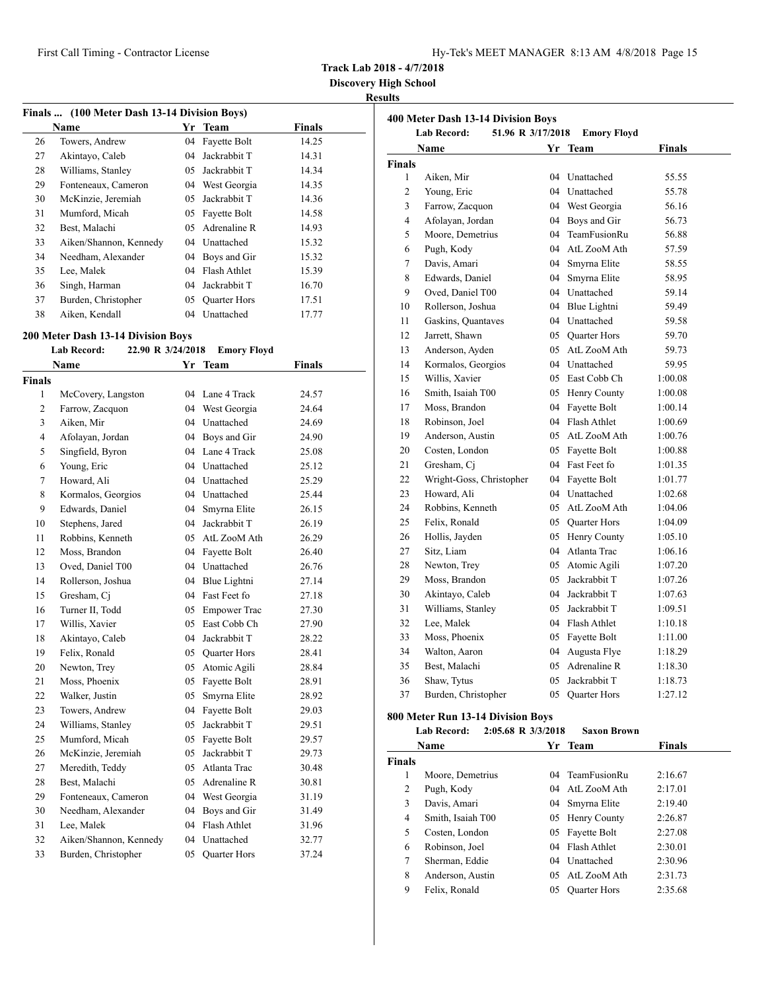| Hy-Tek's MEET MANAGER 8:13 AM 4/8/2018 Page 15 |  |  |  |
|------------------------------------------------|--|--|--|
|------------------------------------------------|--|--|--|

**Discovery High School**

## **Results**

|    | Finals  (100 Meter Dash 13-14 Division Boys) |     |                     |               |
|----|----------------------------------------------|-----|---------------------|---------------|
|    | Name                                         | Yr  | Team                | <b>Finals</b> |
| 26 | Towers, Andrew                               | 04  | Fayette Bolt        | 14.25         |
| 27 | Akintayo, Caleb                              | 04  | Jackrabbit T        | 14.31         |
| 28 | Williams, Stanley                            | 05  | Jackrabbit T        | 14.34         |
| 29 | Fonteneaux, Cameron                          | 04  | West Georgia        | 14.35         |
| 30 | McKinzie, Jeremiah                           | 05  | Jackrabbit T        | 14.36         |
| 31 | Mumford, Micah                               | 05  | Fayette Bolt        | 14.58         |
| 32 | Best. Malachi                                | 05  | Adrenaline R        | 14.93         |
| 33 | Aiken/Shannon, Kennedy                       | 04  | Unattached          | 15.32         |
| 34 | Needham, Alexander                           | 04  | Boys and Gir        | 15.32         |
| 35 | Lee, Malek                                   | 04  | Flash Athlet        | 15.39         |
| 36 | Singh, Harman                                | 04  | Jackrabbit T        | 16.70         |
| 37 | Burden, Christopher                          | 05. | <b>Quarter Hors</b> | 17.51         |
| 38 | Aiken, Kendall                               | 04  | Unattached          | 17.77         |

#### **200 Meter Dash 13-14 Division Boys**

|                | <b>Lab Record:</b><br>22.90 R 3/24/2018 |    | <b>Emory Floyd</b>  |               |  |
|----------------|-----------------------------------------|----|---------------------|---------------|--|
|                | Name                                    |    | Yr Team             | <b>Finals</b> |  |
| Finals         |                                         |    |                     |               |  |
| 1              | McCovery, Langston                      | 04 | Lane 4 Track        | 24.57         |  |
| $\overline{c}$ | Farrow, Zacquon                         |    | 04 West Georgia     | 24.64         |  |
| 3              | Aiken, Mir                              |    | 04 Unattached       | 24.69         |  |
| $\overline{4}$ | Afolayan, Jordan                        |    | 04 Boys and Gir     | 24.90         |  |
| 5              | Singfield, Byron                        |    | 04 Lane 4 Track     | 25.08         |  |
| 6              | Young, Eric                             |    | 04 Unattached       | 25.12         |  |
| 7              | Howard, Ali                             |    | 04 Unattached       | 25.29         |  |
| 8              | Kormalos, Georgios                      |    | 04 Unattached       | 25.44         |  |
| 9              | Edwards, Daniel                         | 04 | Smyrna Elite        | 26.15         |  |
| 10             | Stephens, Jared                         | 04 | Jackrabbit T        | 26.19         |  |
| 11             | Robbins, Kenneth                        |    | 05 AtL ZooM Ath     | 26.29         |  |
| 12             | Moss, Brandon                           |    | 04 Fayette Bolt     | 26.40         |  |
| 13             | Oved, Daniel T00                        |    | 04 Unattached       | 26.76         |  |
| 14             | Rollerson, Joshua                       |    | 04 Blue Lightni     | 27.14         |  |
| 15             | Gresham, Ci                             |    | 04 Fast Feet fo     | 27.18         |  |
| 16             | Turner II, Todd                         |    | 05 Empower Trac     | 27.30         |  |
| 17             | Willis, Xavier                          |    | 05 East Cobb Ch     | 27.90         |  |
| 18             | Akintayo, Caleb                         |    | 04 Jackrabbit T     | 28.22         |  |
| 19             | Felix, Ronald                           |    | 05 Quarter Hors     | 28.41         |  |
| 20             | Newton, Trey                            |    | 05 Atomic Agili     | 28.84         |  |
| 21             | Moss, Phoenix                           | 05 | Fayette Bolt        | 28.91         |  |
| 22             | Walker, Justin                          | 05 | Smyrna Elite        | 28.92         |  |
| 23             | Towers, Andrew                          | 04 | Fayette Bolt        | 29.03         |  |
| 24             | Williams, Stanley                       | 05 | Jackrabbit T        | 29.51         |  |
| 25             | Mumford, Micah                          | 05 | Fayette Bolt        | 29.57         |  |
| 26             | McKinzie, Jeremiah                      | 05 | Jackrabbit T        | 29.73         |  |
| 27             | Meredith, Teddy                         |    | 05 Atlanta Trac     | 30.48         |  |
| 28             | Best, Malachi                           |    | 05 Adrenaline R     | 30.81         |  |
| 29             | Fonteneaux, Cameron                     |    | 04 West Georgia     | 31.19         |  |
| 30             | Needham, Alexander                      | 04 | Boys and Gir        | 31.49         |  |
| 31             | Lee, Malek                              |    | 04 Flash Athlet     | 31.96         |  |
| 32             | Aiken/Shannon, Kennedy                  |    | 04 Unattached       | 32.77         |  |
| 33             | Burden, Christopher                     | 05 | <b>Quarter Hors</b> | 37.24         |  |
|                |                                         |    |                     |               |  |

|                | 400 Meter Dash 13-14 Division Boys<br><b>Lab Record:</b><br>51.96 R 3/17/2018 |                 | <b>Emory Floyd</b>  |         |
|----------------|-------------------------------------------------------------------------------|-----------------|---------------------|---------|
|                | Name                                                                          |                 | Yr Team             | Finals  |
| <b>Finals</b>  |                                                                               |                 |                     |         |
| 1              | Aiken, Mir                                                                    |                 | 04 Unattached       | 55.55   |
| $\overline{c}$ | Young, Eric                                                                   |                 | 04 Unattached       | 55.78   |
| 3              | Farrow, Zacquon                                                               |                 | 04 West Georgia     | 56.16   |
| $\overline{4}$ | Afolayan, Jordan                                                              |                 | 04 Boys and Gir     | 56.73   |
| 5              | Moore, Demetrius                                                              |                 | 04 TeamFusionRu     | 56.88   |
| 6              | Pugh, Kody                                                                    |                 | 04 AtL ZooM Ath     | 57.59   |
| $\tau$         | Davis, Amari                                                                  |                 | 04 Smyrna Elite     | 58.55   |
| 8              | Edwards, Daniel                                                               |                 | 04 Smyrna Elite     | 58.95   |
| 9              | Oved, Daniel T00                                                              |                 | 04 Unattached       | 59.14   |
| 10             | Rollerson, Joshua                                                             |                 | 04 Blue Lightni     | 59.49   |
| 11             | Gaskins, Quantaves                                                            |                 | 04 Unattached       | 59.58   |
| 12             | Jarrett, Shawn                                                                |                 | 05 Quarter Hors     | 59.70   |
| 13             | Anderson, Ayden                                                               |                 | 05 AtL ZooM Ath     | 59.73   |
| 14             | Kormalos, Georgios                                                            |                 | 04 Unattached       | 59.95   |
| 15             | Willis, Xavier                                                                |                 | 05 East Cobb Ch     | 1:00.08 |
| 16             | Smith, Isaiah T00                                                             |                 | 05 Henry County     | 1:00.08 |
| 17             | Moss, Brandon                                                                 |                 | 04 Fayette Bolt     | 1:00.14 |
| 18             | Robinson, Joel                                                                |                 | 04 Flash Athlet     | 1:00.69 |
| 19             | Anderson, Austin                                                              |                 | 05 AtL ZooM Ath     | 1:00.76 |
| 20             | Costen, London                                                                |                 | 05 Fayette Bolt     | 1:00.88 |
| 21             | Gresham, Ci                                                                   |                 | 04 Fast Feet fo     | 1:01.35 |
| 22             | Wright-Goss, Christopher                                                      |                 | 04 Fayette Bolt     | 1:01.77 |
| 23             | Howard, Ali                                                                   |                 | 04 Unattached       | 1:02.68 |
| 24             | Robbins, Kenneth                                                              |                 | 05 AtL ZooM Ath     | 1:04.06 |
| 25             | Felix, Ronald                                                                 |                 | 05 Quarter Hors     | 1:04.09 |
| 26             | Hollis, Jayden                                                                |                 | 05 Henry County     | 1:05.10 |
| 27             | Sitz, Liam                                                                    |                 | 04 Atlanta Trac     | 1:06.16 |
| 28             | Newton, Trey                                                                  |                 | 05 Atomic Agili     | 1:07.20 |
| 29             | Moss, Brandon                                                                 |                 | 05 Jackrabbit T     | 1:07.26 |
| 30             | Akintayo, Caleb                                                               |                 | 04 Jackrabbit T     | 1:07.63 |
| 31             | Williams, Stanley                                                             |                 | 05 Jackrabbit T     | 1:09.51 |
| 32             | Lee, Malek                                                                    |                 | 04 Flash Athlet     | 1:10.18 |
| 33             | Moss, Phoenix                                                                 |                 | 05 Fayette Bolt     | 1:11.00 |
| 34             | Walton, Aaron                                                                 |                 | 04 Augusta Flye     | 1:18.29 |
| 35             | Best, Malachi                                                                 |                 | 05 Adrenaline R     | 1:18.30 |
| 36             | Shaw, Tytus                                                                   | 05              | Jackrabbit T        | 1:18.73 |
| 37             | Burden, Christopher                                                           | 05 <sub>0</sub> | <b>Quarter Hors</b> | 1:27.12 |
|                | 800 Meter Run 13-14 Division Boys                                             |                 |                     |         |
|                | <b>Lab Record:</b><br>2:05.68 R 3/3/2018                                      |                 | <b>Saxon Brown</b>  |         |
|                | Name                                                                          | Yr              | <b>Team</b>         | Finals  |

|               | Name              | Yr | <b>Team</b>         | Finals  |  |
|---------------|-------------------|----|---------------------|---------|--|
| <b>Finals</b> |                   |    |                     |         |  |
|               | Moore, Demetrius  |    | 04 TeamFusionRu     | 2:16.67 |  |
| 2             | Pugh, Kody        |    | 04 AtL ZooM Ath     | 2:17.01 |  |
| 3             | Davis, Amari      |    | 04 Smyrna Elite     | 2:19.40 |  |
| 4             | Smith, Isaiah T00 |    | 05 Henry County     | 2:26.87 |  |
| 5             | Costen, London    | 05 | Fayette Bolt        | 2:27.08 |  |
| 6             | Robinson, Joel    |    | 04 Flash Athlet     | 2:30.01 |  |
| 7             | Sherman, Eddie    |    | 04 Unattached       | 2:30.96 |  |
| 8             | Anderson, Austin  |    | 05 AtL ZooM Ath     | 2:31.73 |  |
| 9             | Felix, Ronald     | 05 | <b>Ouarter Hors</b> | 2:35.68 |  |
|               |                   |    |                     |         |  |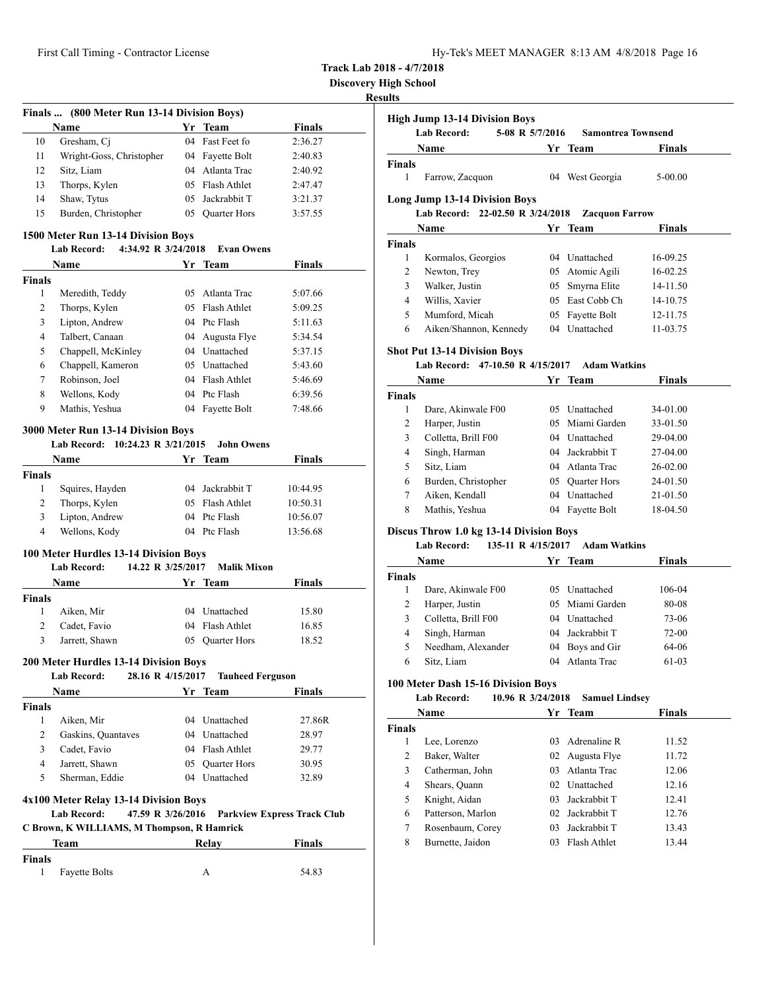| Hy-Tek's MEET MANAGER 8:13 AM 4/8/2018 Page 16 |  |  |  |  |
|------------------------------------------------|--|--|--|--|
|------------------------------------------------|--|--|--|--|

**Discovery High School**

| Name<br>Gresham, Cj<br>Wright-Goss, Christopher<br>Sitz, Liam<br>Thorps, Kylen<br>Shaw, Tytus<br>Burden, Christopher<br>1500 Meter Run 13-14 Division Boys<br>4:34.92 R 3/24/2018<br><b>Lab Record:</b><br>Name<br>Meredith, Teddy<br>Thorps, Kylen<br>Lipton, Andrew<br>Talbert, Canaan<br>Chappell, McKinley<br>Chappell, Kameron<br>Robinson, Joel<br>Wellons, Kody<br>Mathis, Yeshua | Yr<br>04<br>04<br>04<br>05<br>05<br>05<br>04                                                                                                                                      | <b>Team</b><br>Fast Feet fo<br>Fayette Bolt<br>Atlanta Trac<br>05 Flash Athlet<br>Jackrabbit T<br>05 Quarter Hors<br><b>Evan Owens</b><br>Yr Team<br>Atlanta Trac<br>Flash Athlet<br>04 Ptc Flash<br>Augusta Flye<br>04 Unattached | Finals<br>2:36.27<br>2:40.83<br>2:40.92<br>2:47.47<br>3:21.37<br>3:57.55<br>Finals<br>5:07.66<br>5:09.25<br>5:11.63<br>5:34.54                                                                                                                                                                                                                                                                                                                                                                                                                  |
|------------------------------------------------------------------------------------------------------------------------------------------------------------------------------------------------------------------------------------------------------------------------------------------------------------------------------------------------------------------------------------------|-----------------------------------------------------------------------------------------------------------------------------------------------------------------------------------|------------------------------------------------------------------------------------------------------------------------------------------------------------------------------------------------------------------------------------|-------------------------------------------------------------------------------------------------------------------------------------------------------------------------------------------------------------------------------------------------------------------------------------------------------------------------------------------------------------------------------------------------------------------------------------------------------------------------------------------------------------------------------------------------|
|                                                                                                                                                                                                                                                                                                                                                                                          |                                                                                                                                                                                   |                                                                                                                                                                                                                                    |                                                                                                                                                                                                                                                                                                                                                                                                                                                                                                                                                 |
|                                                                                                                                                                                                                                                                                                                                                                                          |                                                                                                                                                                                   |                                                                                                                                                                                                                                    |                                                                                                                                                                                                                                                                                                                                                                                                                                                                                                                                                 |
|                                                                                                                                                                                                                                                                                                                                                                                          |                                                                                                                                                                                   |                                                                                                                                                                                                                                    |                                                                                                                                                                                                                                                                                                                                                                                                                                                                                                                                                 |
|                                                                                                                                                                                                                                                                                                                                                                                          |                                                                                                                                                                                   |                                                                                                                                                                                                                                    |                                                                                                                                                                                                                                                                                                                                                                                                                                                                                                                                                 |
|                                                                                                                                                                                                                                                                                                                                                                                          |                                                                                                                                                                                   |                                                                                                                                                                                                                                    |                                                                                                                                                                                                                                                                                                                                                                                                                                                                                                                                                 |
|                                                                                                                                                                                                                                                                                                                                                                                          |                                                                                                                                                                                   |                                                                                                                                                                                                                                    |                                                                                                                                                                                                                                                                                                                                                                                                                                                                                                                                                 |
|                                                                                                                                                                                                                                                                                                                                                                                          |                                                                                                                                                                                   |                                                                                                                                                                                                                                    |                                                                                                                                                                                                                                                                                                                                                                                                                                                                                                                                                 |
|                                                                                                                                                                                                                                                                                                                                                                                          |                                                                                                                                                                                   |                                                                                                                                                                                                                                    |                                                                                                                                                                                                                                                                                                                                                                                                                                                                                                                                                 |
|                                                                                                                                                                                                                                                                                                                                                                                          |                                                                                                                                                                                   |                                                                                                                                                                                                                                    |                                                                                                                                                                                                                                                                                                                                                                                                                                                                                                                                                 |
|                                                                                                                                                                                                                                                                                                                                                                                          |                                                                                                                                                                                   |                                                                                                                                                                                                                                    |                                                                                                                                                                                                                                                                                                                                                                                                                                                                                                                                                 |
|                                                                                                                                                                                                                                                                                                                                                                                          |                                                                                                                                                                                   |                                                                                                                                                                                                                                    |                                                                                                                                                                                                                                                                                                                                                                                                                                                                                                                                                 |
|                                                                                                                                                                                                                                                                                                                                                                                          |                                                                                                                                                                                   |                                                                                                                                                                                                                                    |                                                                                                                                                                                                                                                                                                                                                                                                                                                                                                                                                 |
|                                                                                                                                                                                                                                                                                                                                                                                          |                                                                                                                                                                                   |                                                                                                                                                                                                                                    |                                                                                                                                                                                                                                                                                                                                                                                                                                                                                                                                                 |
|                                                                                                                                                                                                                                                                                                                                                                                          |                                                                                                                                                                                   |                                                                                                                                                                                                                                    |                                                                                                                                                                                                                                                                                                                                                                                                                                                                                                                                                 |
|                                                                                                                                                                                                                                                                                                                                                                                          |                                                                                                                                                                                   |                                                                                                                                                                                                                                    | 5:37.15                                                                                                                                                                                                                                                                                                                                                                                                                                                                                                                                         |
|                                                                                                                                                                                                                                                                                                                                                                                          |                                                                                                                                                                                   | 05 Unattached                                                                                                                                                                                                                      | 5:43.60                                                                                                                                                                                                                                                                                                                                                                                                                                                                                                                                         |
|                                                                                                                                                                                                                                                                                                                                                                                          |                                                                                                                                                                                   | 04 Flash Athlet                                                                                                                                                                                                                    | 5:46.69                                                                                                                                                                                                                                                                                                                                                                                                                                                                                                                                         |
|                                                                                                                                                                                                                                                                                                                                                                                          |                                                                                                                                                                                   | 04 Ptc Flash                                                                                                                                                                                                                       | 6:39.56                                                                                                                                                                                                                                                                                                                                                                                                                                                                                                                                         |
|                                                                                                                                                                                                                                                                                                                                                                                          |                                                                                                                                                                                   | 04 Fayette Bolt                                                                                                                                                                                                                    | 7:48.66                                                                                                                                                                                                                                                                                                                                                                                                                                                                                                                                         |
|                                                                                                                                                                                                                                                                                                                                                                                          |                                                                                                                                                                                   |                                                                                                                                                                                                                                    |                                                                                                                                                                                                                                                                                                                                                                                                                                                                                                                                                 |
| 3000 Meter Run 13-14 Division Boys                                                                                                                                                                                                                                                                                                                                                       |                                                                                                                                                                                   |                                                                                                                                                                                                                                    |                                                                                                                                                                                                                                                                                                                                                                                                                                                                                                                                                 |
| Lab Record: 10:24.23 R 3/21/2015                                                                                                                                                                                                                                                                                                                                                         |                                                                                                                                                                                   | <b>John Owens</b>                                                                                                                                                                                                                  |                                                                                                                                                                                                                                                                                                                                                                                                                                                                                                                                                 |
| Name                                                                                                                                                                                                                                                                                                                                                                                     |                                                                                                                                                                                   | Yr Team                                                                                                                                                                                                                            | <b>Finals</b>                                                                                                                                                                                                                                                                                                                                                                                                                                                                                                                                   |
|                                                                                                                                                                                                                                                                                                                                                                                          |                                                                                                                                                                                   |                                                                                                                                                                                                                                    |                                                                                                                                                                                                                                                                                                                                                                                                                                                                                                                                                 |
|                                                                                                                                                                                                                                                                                                                                                                                          |                                                                                                                                                                                   |                                                                                                                                                                                                                                    | 10:44.95                                                                                                                                                                                                                                                                                                                                                                                                                                                                                                                                        |
|                                                                                                                                                                                                                                                                                                                                                                                          |                                                                                                                                                                                   |                                                                                                                                                                                                                                    | 10:50.31                                                                                                                                                                                                                                                                                                                                                                                                                                                                                                                                        |
|                                                                                                                                                                                                                                                                                                                                                                                          |                                                                                                                                                                                   |                                                                                                                                                                                                                                    | 10:56.07                                                                                                                                                                                                                                                                                                                                                                                                                                                                                                                                        |
|                                                                                                                                                                                                                                                                                                                                                                                          |                                                                                                                                                                                   |                                                                                                                                                                                                                                    | 13:56.68                                                                                                                                                                                                                                                                                                                                                                                                                                                                                                                                        |
|                                                                                                                                                                                                                                                                                                                                                                                          |                                                                                                                                                                                   |                                                                                                                                                                                                                                    |                                                                                                                                                                                                                                                                                                                                                                                                                                                                                                                                                 |
|                                                                                                                                                                                                                                                                                                                                                                                          |                                                                                                                                                                                   |                                                                                                                                                                                                                                    | <b>Finals</b>                                                                                                                                                                                                                                                                                                                                                                                                                                                                                                                                   |
|                                                                                                                                                                                                                                                                                                                                                                                          |                                                                                                                                                                                   |                                                                                                                                                                                                                                    |                                                                                                                                                                                                                                                                                                                                                                                                                                                                                                                                                 |
|                                                                                                                                                                                                                                                                                                                                                                                          |                                                                                                                                                                                   |                                                                                                                                                                                                                                    | 15.80                                                                                                                                                                                                                                                                                                                                                                                                                                                                                                                                           |
|                                                                                                                                                                                                                                                                                                                                                                                          |                                                                                                                                                                                   |                                                                                                                                                                                                                                    | 16.85                                                                                                                                                                                                                                                                                                                                                                                                                                                                                                                                           |
|                                                                                                                                                                                                                                                                                                                                                                                          |                                                                                                                                                                                   |                                                                                                                                                                                                                                    | 18.52                                                                                                                                                                                                                                                                                                                                                                                                                                                                                                                                           |
|                                                                                                                                                                                                                                                                                                                                                                                          |                                                                                                                                                                                   |                                                                                                                                                                                                                                    |                                                                                                                                                                                                                                                                                                                                                                                                                                                                                                                                                 |
|                                                                                                                                                                                                                                                                                                                                                                                          |                                                                                                                                                                                   |                                                                                                                                                                                                                                    |                                                                                                                                                                                                                                                                                                                                                                                                                                                                                                                                                 |
| <b>Lab Record:</b>                                                                                                                                                                                                                                                                                                                                                                       |                                                                                                                                                                                   |                                                                                                                                                                                                                                    |                                                                                                                                                                                                                                                                                                                                                                                                                                                                                                                                                 |
| <b>Name</b>                                                                                                                                                                                                                                                                                                                                                                              |                                                                                                                                                                                   |                                                                                                                                                                                                                                    | Finals                                                                                                                                                                                                                                                                                                                                                                                                                                                                                                                                          |
|                                                                                                                                                                                                                                                                                                                                                                                          |                                                                                                                                                                                   |                                                                                                                                                                                                                                    |                                                                                                                                                                                                                                                                                                                                                                                                                                                                                                                                                 |
| Aiken, Mir                                                                                                                                                                                                                                                                                                                                                                               |                                                                                                                                                                                   |                                                                                                                                                                                                                                    | 27.86R                                                                                                                                                                                                                                                                                                                                                                                                                                                                                                                                          |
| Gaskins, Quantaves                                                                                                                                                                                                                                                                                                                                                                       |                                                                                                                                                                                   |                                                                                                                                                                                                                                    | 28.97                                                                                                                                                                                                                                                                                                                                                                                                                                                                                                                                           |
| Cadet, Favio                                                                                                                                                                                                                                                                                                                                                                             |                                                                                                                                                                                   |                                                                                                                                                                                                                                    | 29.77                                                                                                                                                                                                                                                                                                                                                                                                                                                                                                                                           |
| Jarrett, Shawn                                                                                                                                                                                                                                                                                                                                                                           |                                                                                                                                                                                   |                                                                                                                                                                                                                                    | 30.95                                                                                                                                                                                                                                                                                                                                                                                                                                                                                                                                           |
| Sherman, Eddie                                                                                                                                                                                                                                                                                                                                                                           |                                                                                                                                                                                   |                                                                                                                                                                                                                                    | 32.89                                                                                                                                                                                                                                                                                                                                                                                                                                                                                                                                           |
|                                                                                                                                                                                                                                                                                                                                                                                          |                                                                                                                                                                                   |                                                                                                                                                                                                                                    |                                                                                                                                                                                                                                                                                                                                                                                                                                                                                                                                                 |
| <b>Lab Record:</b>                                                                                                                                                                                                                                                                                                                                                                       |                                                                                                                                                                                   |                                                                                                                                                                                                                                    | <b>Parkview Express Track Club</b>                                                                                                                                                                                                                                                                                                                                                                                                                                                                                                              |
|                                                                                                                                                                                                                                                                                                                                                                                          |                                                                                                                                                                                   |                                                                                                                                                                                                                                    | <b>Finals</b>                                                                                                                                                                                                                                                                                                                                                                                                                                                                                                                                   |
|                                                                                                                                                                                                                                                                                                                                                                                          |                                                                                                                                                                                   |                                                                                                                                                                                                                                    |                                                                                                                                                                                                                                                                                                                                                                                                                                                                                                                                                 |
|                                                                                                                                                                                                                                                                                                                                                                                          |                                                                                                                                                                                   |                                                                                                                                                                                                                                    | 54.83                                                                                                                                                                                                                                                                                                                                                                                                                                                                                                                                           |
|                                                                                                                                                                                                                                                                                                                                                                                          | Squires, Hayden<br>Thorps, Kylen<br>Lipton, Andrew<br>Wellons, Kody<br><b>Lab Record:</b><br>Name<br>Aiken, Mir<br>Cadet, Favio<br>Jarrett, Shawn<br>Team<br><b>Fayette Bolts</b> | 05                                                                                                                                                                                                                                 | 04 Jackrabbit T<br>05<br>Flash Athlet<br>04 Ptc Flash<br>04 Ptc Flash<br>100 Meter Hurdles 13-14 Division Boys<br>14.22 R 3/25/2017<br><b>Malik Mixon</b><br>Yr Team<br>04 Unattached<br>04 Flash Athlet<br>Quarter Hors<br>200 Meter Hurdles 13-14 Division Boys<br>28.16 R 4/15/2017<br><b>Tauheed Ferguson</b><br>Yr Team<br>04 Unattached<br>04 Unattached<br>04 Flash Athlet<br>05 Ouarter Hors<br>04 Unattached<br>4x100 Meter Relay 13-14 Division Boys<br>47.59 R 3/26/2016<br>C Brown, K WILLIAMS, M Thompson, R Hamrick<br>Relay<br>А |

|                                | <b>Lab Record:</b><br>5-08 R 5/7/2016    |    | <b>Samontrea Townsend</b> |               |
|--------------------------------|------------------------------------------|----|---------------------------|---------------|
|                                | Name                                     |    | Yr Team                   | <b>Finals</b> |
| <b>Finals</b>                  |                                          |    |                           |               |
| 1                              | Farrow, Zacquon                          |    | 04 West Georgia           | 5-00.00       |
|                                | <b>Long Jump 13-14 Division Boys</b>     |    |                           |               |
|                                | Lab Record: 22-02.50 R 3/24/2018         |    | <b>Zacquon Farrow</b>     |               |
|                                | Name                                     |    | Yr Team                   | Finals        |
| <b>Finals</b>                  |                                          |    |                           |               |
| 1                              | Kormalos, Georgios                       |    | 04 Unattached             | 16-09.25      |
| 2                              | Newton, Trey                             |    | 05 Atomic Agili           | 16-02.25      |
| 3                              | Walker, Justin                           | 05 | Smyrna Elite              | 14-11.50      |
| 4                              | Willis, Xavier                           |    | 05 East Cobb Ch           | 14-10.75      |
| 5                              | Mumford, Micah                           |    | 05 Fayette Bolt           | 12-11.75      |
| 6                              | Aiken/Shannon, Kennedy                   |    | 04 Unattached             | 11-03.75      |
|                                | <b>Shot Put 13-14 Division Boys</b>      |    |                           |               |
|                                | Lab Record: 47-10.50 R 4/15/2017         |    | <b>Adam Watkins</b>       |               |
|                                | Name                                     |    | Yr Team                   | Finals        |
| <b>Finals</b><br>1             |                                          |    |                           |               |
|                                | Dare, Akinwale F00                       |    | 05 Unattached             | 34-01.00      |
| 2                              | Harper, Justin                           |    | 05 Miami Garden           | 33-01.50      |
| 3                              | Colletta, Brill F00<br>Singh, Harman     |    | 04 Unattached             | 29-04.00      |
|                                |                                          |    | 04 Jackrabbit T           | 27-04.00      |
| 4                              |                                          |    |                           |               |
| 5                              | Sitz, Liam                               |    | 04 Atlanta Trac           | 26-02.00      |
| 6                              | Burden, Christopher                      |    | 05 Quarter Hors           | 24-01.50      |
| 7                              | Aiken, Kendall                           |    | 04 Unattached             | 21-01.50      |
| 8                              | Mathis, Yeshua                           |    | 04 Fayette Bolt           | 18-04.50      |
|                                | Discus Throw 1.0 kg 13-14 Division Boys  |    |                           |               |
|                                | 135-11 R 4/15/2017<br><b>Lab Record:</b> |    | <b>Adam Watkins</b>       |               |
|                                | Name                                     |    | Yr Team                   | Finals        |
|                                |                                          |    |                           |               |
| 1                              | Dare, Akinwale F00                       |    | 05 Unattached             | 106-04        |
| 2                              | Harper, Justin                           |    | 05 Miami Garden           | 80-08         |
| 3                              | Colletta, Brill F00                      |    | 04 Unattached             | 73-06         |
| 4                              | Singh, Harman                            |    | 04 Jackrabbit T           | 72-00         |
| 5                              | Needham, Alexander                       |    | 04 Boys and Gir           | 64-06         |
| 6                              | Sitz, Liam                               |    | 04 Atlanta Trac           | 61-03         |
|                                | 100 Meter Dash 15-16 Division Boys       |    |                           |               |
|                                | Lab Record:<br>10.96 R 3/24/2018<br>Name |    | <b>Samuel Lindsev</b>     |               |
| <b>Finals</b><br><b>Finals</b> |                                          |    | Yr Team                   | <b>Finals</b> |
| 1                              | Lee, Lorenzo                             | 03 | Adrenaline R              | 11.52         |
| 2                              | Baker, Walter                            |    | 02 Augusta Flye           | 11.72         |
| 3                              | Catherman, John                          |    | 03 Atlanta Trac           | 12.06         |
| 4                              | Shears, Ouann                            |    | 02 Unattached             | 12.16         |
| 5                              | Knight, Aidan                            |    | 03 Jackrabbit T           | 12.41         |
| 6                              |                                          |    | 02 Jackrabbit T           | 12.76         |
| 7                              | Patterson, Marlon<br>Rosenbaum, Corey    |    | 03 Jackrabbit T           | 13.43         |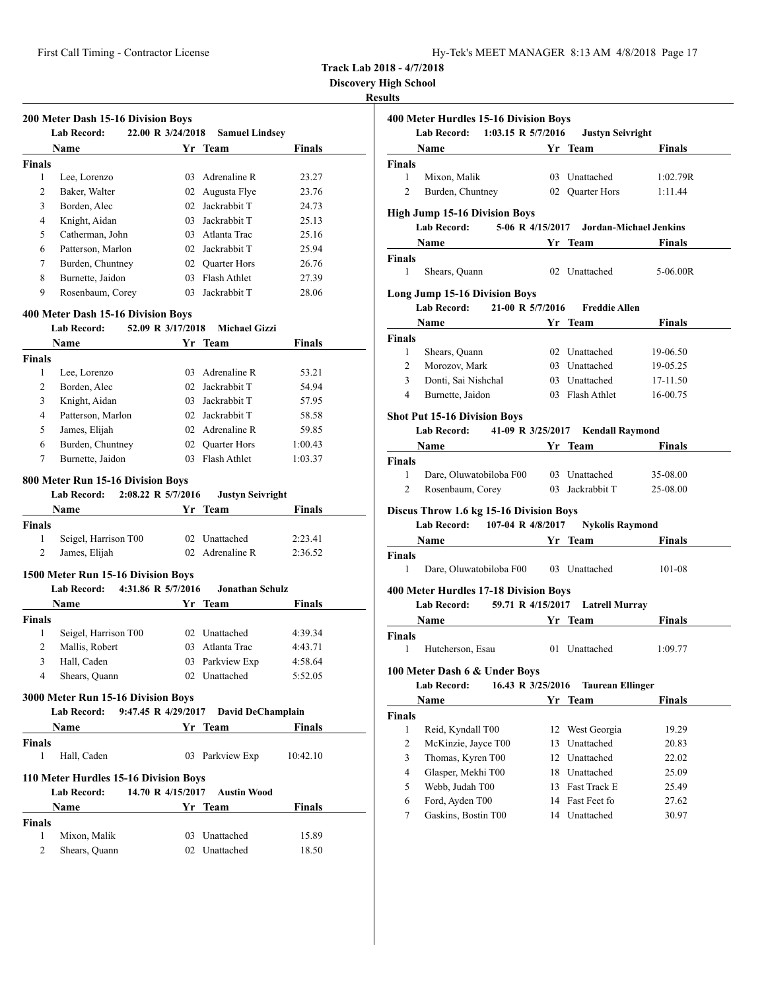| $Hv$ -Tek's MEET MANAGER 8:13 AM 4/8/2018 Page 17 |  |  |  |
|---------------------------------------------------|--|--|--|
|---------------------------------------------------|--|--|--|

**Discovery High School**

|                    | <b>Lab Record:</b><br>22.00 R 3/24/2018                                                 |                    |                         | <b>Samuel Lindsey</b>                    |
|--------------------|-----------------------------------------------------------------------------------------|--------------------|-------------------------|------------------------------------------|
|                    | Name                                                                                    |                    | Yr Team                 | <b>Finals</b>                            |
| <b>Finals</b>      |                                                                                         |                    |                         |                                          |
| 1                  | Lee, Lorenzo                                                                            | 03                 | Adrenaline R            | 23.27                                    |
| $\overline{c}$     | Baker, Walter                                                                           | 02                 | Augusta Flye            | 23.76                                    |
| 3                  | Borden, Alec                                                                            | 02                 | Jackrabbit T            | 24.73                                    |
| 4                  | Knight, Aidan                                                                           | 03                 | Jackrabbit T            | 25.13                                    |
| 5                  | Catherman, John                                                                         |                    | 03 Atlanta Trac         | 25.16                                    |
| 6                  | Patterson, Marlon                                                                       |                    | 02 Jackrabbit T         | 25.94                                    |
| 7                  | Burden, Chuntney                                                                        |                    | 02 Quarter Hors         | 26.76                                    |
| 8                  | Burnette, Jaidon                                                                        |                    | 03 Flash Athlet         | 27.39                                    |
| 9                  | Rosenbaum, Corey                                                                        |                    | 03 Jackrabbit T         | 28.06                                    |
|                    | 400 Meter Dash 15-16 Division Boys                                                      |                    |                         |                                          |
|                    | <b>Lab Record:</b>                                                                      | 52.09 R 3/17/2018  | <b>Michael Gizzi</b>    |                                          |
|                    | Name                                                                                    |                    | Yr Team                 | <b>Finals</b>                            |
| <b>Finals</b>      |                                                                                         |                    |                         |                                          |
| 1                  | Lee, Lorenzo                                                                            |                    | 03 Adrenaline R         | 53.21                                    |
| 2                  | Borden, Alec                                                                            | 02                 | Jackrabbit T            | 54.94                                    |
| 3                  | Knight, Aidan                                                                           | 03                 | Jackrabbit T            | 57.95                                    |
| $\overline{4}$     | Patterson, Marlon                                                                       | 02                 | Jackrabbit T            | 58.58                                    |
| 5                  | James, Elijah                                                                           |                    | 02 Adrenaline R         | 59.85                                    |
| 6                  | Burden, Chuntney                                                                        |                    | 02 Ouarter Hors         | 1:00.43                                  |
| 7                  | Burnette, Jaidon                                                                        |                    | 03 Flash Athlet         | 1:03.37                                  |
|                    | 800 Meter Run 15-16 Division Boys                                                       |                    |                         |                                          |
|                    | <b>Lab Record:</b>                                                                      | 2:08.22 R 5/7/2016 | <b>Justyn Seivright</b> |                                          |
|                    | <b>Name</b>                                                                             |                    | Yr Team                 | <b>Finals</b>                            |
| <b>Finals</b>      |                                                                                         |                    |                         |                                          |
| 1                  | Seigel, Harrison T00                                                                    |                    | 02 Unattached           | 2:23.41                                  |
| 2                  |                                                                                         |                    | 02 Adrenaline R         |                                          |
|                    | James, Elijah                                                                           |                    |                         | 2:36.52                                  |
|                    |                                                                                         |                    |                         |                                          |
|                    | 1500 Meter Run 15-16 Division Boys<br><b>Lab Record:</b>                                | 4:31.86 R 5/7/2016 | Jonathan Schulz         |                                          |
|                    | Name                                                                                    |                    | Yr Team                 | Finals                                   |
| <b>Finals</b>      |                                                                                         |                    |                         |                                          |
| 1                  | Seigel, Harrison T00                                                                    |                    | 02 Unattached           |                                          |
| 2                  | Mallis, Robert                                                                          |                    | 03 Atlanta Trac         |                                          |
| 3                  | Hall, Caden                                                                             |                    | 03 Parkview Exp         |                                          |
| 4                  | Shears, Quann                                                                           |                    | 02 Unattached           | 4:39.34<br>4:43.71<br>4:58.64<br>5:52.05 |
|                    |                                                                                         |                    |                         |                                          |
|                    | 3000 Meter Run 15-16 Division Boys<br>Lab Record: 9:47.45 R 4/29/2017 David DeChamplain |                    |                         |                                          |
|                    | <b>Name</b>                                                                             |                    | Yr Team                 | <b>Finals</b>                            |
|                    |                                                                                         |                    |                         |                                          |
| 1                  | Hall, Caden                                                                             |                    | 03 Parkview Exp         | 10:42.10                                 |
| <b>Finals</b>      |                                                                                         |                    |                         |                                          |
|                    | 110 Meter Hurdles 15-16 Division Boys<br>Lab Record:                                    | 14.70 R 4/15/2017  | <b>Austin Wood</b>      |                                          |
|                    | Name                                                                                    |                    |                         | Finals                                   |
|                    |                                                                                         |                    | Yr Team                 |                                          |
| <b>Finals</b><br>1 | Mixon, Malik                                                                            |                    | 03 Unattached           | 15.89                                    |

|                    | 400 Meter Hurdles 15-16 Division Boys<br>Lab Record: 1:03.15 R 5/7/2016                                                                                                                                                       |    | <b>Justyn Seivright</b>                 |               |
|--------------------|-------------------------------------------------------------------------------------------------------------------------------------------------------------------------------------------------------------------------------|----|-----------------------------------------|---------------|
|                    | Name                                                                                                                                                                                                                          |    | Yr Team                                 | <b>Finals</b> |
| <b>Finals</b>      |                                                                                                                                                                                                                               |    |                                         |               |
| 1                  | Mixon, Malik                                                                                                                                                                                                                  |    | 03 Unattached                           | 1:02.79R      |
| 2                  | Burden, Chuntney                                                                                                                                                                                                              |    | 02 Quarter Hors                         | 1:11.44       |
|                    | <b>High Jump 15-16 Division Boys</b><br><b>Lab Record:</b>                                                                                                                                                                    |    | 5-06 R 4/15/2017 Jordan-Michael Jenkins |               |
|                    | <b>Name</b>                                                                                                                                                                                                                   |    | <b>1988</b> Yr Team                     | <b>Finals</b> |
| <b>Finals</b>      |                                                                                                                                                                                                                               |    |                                         |               |
| $\mathbf{1}$       | Shears, Quann                                                                                                                                                                                                                 |    | 02 Unattached                           | 5-06.00R      |
|                    | <b>Long Jump 15-16 Division Boys</b>                                                                                                                                                                                          |    |                                         |               |
|                    | 21-00 R 5/7/2016<br>Lab Record:                                                                                                                                                                                               |    | <b>Freddie Allen</b>                    |               |
|                    | <b>Name</b>                                                                                                                                                                                                                   |    | Yr Team                                 | Finals        |
| <b>Finals</b>      |                                                                                                                                                                                                                               |    |                                         |               |
| 1                  | Shears, Quann                                                                                                                                                                                                                 |    | 02 Unattached                           | 19-06.50      |
| 2                  | Morozov, Mark                                                                                                                                                                                                                 |    | 03 Unattached                           | 19-05.25      |
| 3                  | Donti, Sai Nishchal                                                                                                                                                                                                           |    | 03 Unattached                           | 17-11.50      |
| 4                  | Burnette, Jaidon                                                                                                                                                                                                              |    | 03 Flash Athlet                         | 16-00.75      |
|                    | <b>Shot Put 15-16 Division Boys</b><br><b>Lab Record:</b>                                                                                                                                                                     |    | 41-09 R 3/25/2017 Kendall Raymond       |               |
|                    | Name and the same state of the state of the state of the state of the state of the state of the state of the state of the state of the state of the state of the state of the state of the state of the state of the state of |    | Yr Team                                 | <b>Finals</b> |
| <b>Finals</b>      |                                                                                                                                                                                                                               |    |                                         |               |
| $\mathbf{1}$       | Dare, Oluwatobiloba F00                                                                                                                                                                                                       |    | 03 Unattached                           | 35-08.00      |
| $\overline{2}$     | Rosenbaum, Corey                                                                                                                                                                                                              |    | 03 Jackrabbit T                         | 25-08.00      |
|                    | Discus Throw 1.6 kg 15-16 Division Boys                                                                                                                                                                                       |    |                                         |               |
|                    | Lab Record: 107-04 R 4/8/2017 Nykolis Raymond                                                                                                                                                                                 |    |                                         |               |
|                    | <b>Solution Yr</b> Team<br><b>Name</b>                                                                                                                                                                                        |    |                                         | Finals        |
| <b>Finals</b><br>1 | Dare, Oluwatobiloba F00 03 Unattached                                                                                                                                                                                         |    |                                         | 101-08        |
|                    |                                                                                                                                                                                                                               |    |                                         |               |
|                    | 400 Meter Hurdles 17-18 Division Boys                                                                                                                                                                                         |    |                                         |               |
|                    | <b>Lab Record:</b>                                                                                                                                                                                                            |    | 59.71 R 4/15/2017 Latrell Murray        |               |
|                    | Name                                                                                                                                                                                                                          |    | Yr Team                                 | Finals        |
| <b>Finals</b>      |                                                                                                                                                                                                                               |    |                                         |               |
| 1                  | Hutcherson, Esau                                                                                                                                                                                                              |    | 01 Unattached                           | 1:09.77       |
|                    | 100 Meter Dash 6 & Under Boys                                                                                                                                                                                                 |    |                                         |               |
|                    | 16.43 R 3/25/2016<br><b>Lab Record:</b>                                                                                                                                                                                       |    | <b>Taurean Ellinger</b>                 |               |
|                    | Name                                                                                                                                                                                                                          |    | Yr Team                                 | Finals        |
| <b>Finals</b>      |                                                                                                                                                                                                                               |    |                                         |               |
| $\mathbf{1}$       | Reid, Kyndall T00                                                                                                                                                                                                             | 12 | West Georgia                            | 19.29         |
| 2                  | McKinzie, Jayce T00                                                                                                                                                                                                           | 13 | Unattached                              | 20.83         |
| 3                  | Thomas, Kyren T00                                                                                                                                                                                                             |    | 12 Unattached                           | 22.02         |
| 4                  | Glasper, Mekhi T00                                                                                                                                                                                                            |    | 18 Unattached                           | 25.09         |
| 5                  | Webb, Judah T00                                                                                                                                                                                                               |    | 13 Fast Track E                         | 25.49         |
| 6                  | Ford, Ayden T00                                                                                                                                                                                                               |    | 14 Fast Feet fo                         | 27.62         |
| 7                  | Gaskins, Bostin T00                                                                                                                                                                                                           |    | 14 Unattached                           | 30.97         |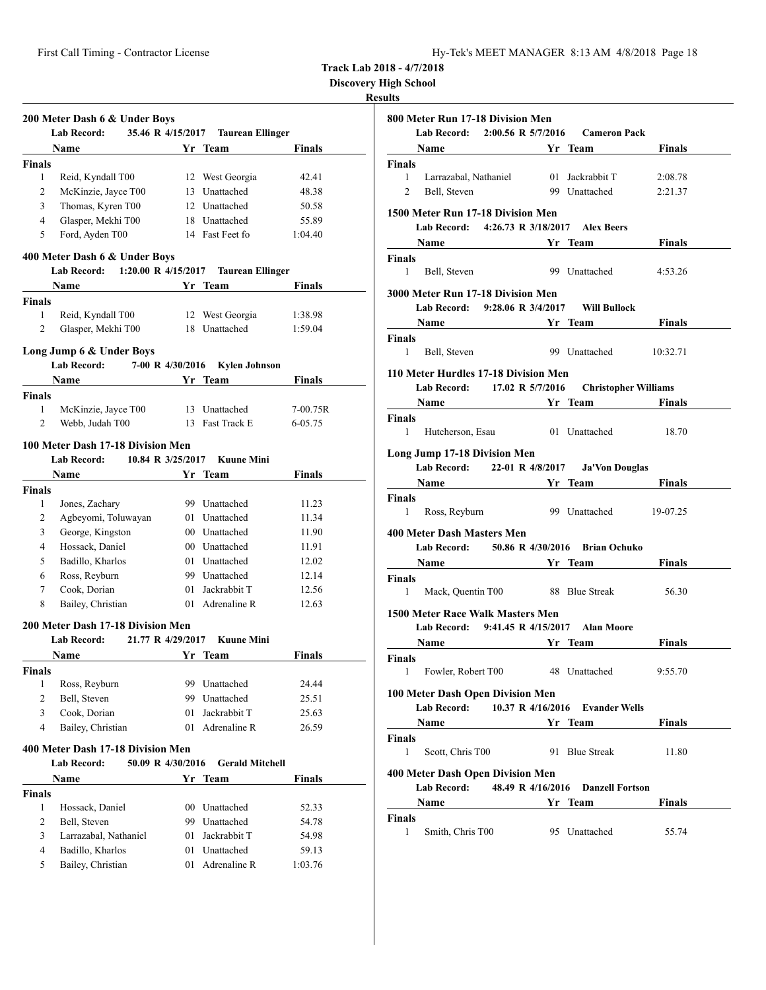| Hy-Tek's MEET MANAGER 8:13 AM 4/8/2018 Page 18 |  |  |  |  |
|------------------------------------------------|--|--|--|--|
|------------------------------------------------|--|--|--|--|

**Discovery High School**

|                | 200 Meter Dash 6 & Under Boys<br><b>Lab Record:</b> | 35.46 R 4/15/2017 | <b>Taurean Ellinger</b> |               |
|----------------|-----------------------------------------------------|-------------------|-------------------------|---------------|
|                | Name                                                |                   | Yr Team                 | Finals        |
| <b>Finals</b>  |                                                     |                   |                         |               |
| 1              | Reid, Kyndall T00                                   |                   | 12 West Georgia         | 42.41         |
| 2              | McKinzie, Jayce T00                                 |                   | 13 Unattached           | 48.38         |
| 3              | Thomas, Kyren T00                                   |                   | 12 Unattached           | 50.58         |
| 4              | Glasper, Mekhi T00                                  |                   | 18 Unattached           | 55.89         |
| 5              | Ford, Ayden T00                                     |                   | 14 Fast Feet fo         | 1:04.40       |
|                |                                                     |                   |                         |               |
|                | 400 Meter Dash 6 & Under Boys                       |                   |                         |               |
|                | 1:20.00 R 4/15/2017<br><b>Lab Record:</b>           |                   | <b>Taurean Ellinger</b> |               |
|                | <b>Name</b>                                         |                   | Yr Team                 | <b>Finals</b> |
| <b>Finals</b>  |                                                     |                   |                         |               |
| $\mathbf{1}$   | Reid, Kyndall T00                                   |                   | 12 West Georgia         | 1:38.98       |
| 2              | Glasper, Mekhi T00                                  |                   | 18 Unattached           | 1:59.04       |
|                |                                                     |                   |                         |               |
|                | Long Jump 6 & Under Boys<br>Lab Record:             | 7-00 R 4/30/2016  | <b>Kylen Johnson</b>    |               |
|                |                                                     |                   |                         |               |
|                | Name                                                |                   | Yr Team                 | Finals        |
| Finals         |                                                     |                   |                         |               |
| 1              | McKinzie, Jayce T00                                 |                   | 13 Unattached           | $7-00.75R$    |
| 2              | Webb, Judah T00                                     |                   | 13 Fast Track E         | 6-05.75       |
|                | 100 Meter Dash 17-18 Division Men                   |                   |                         |               |
|                | <b>Lab Record:</b>                                  | 10.84 R 3/25/2017 | <b>Kuune Mini</b>       |               |
|                | Name                                                |                   | Yr Team                 | <b>Finals</b> |
| <b>Finals</b>  |                                                     |                   |                         |               |
| 1              | Jones, Zachary                                      |                   | 99 Unattached           | 11.23         |
| 2              | Agbeyomi, Toluwayan                                 |                   | 01 Unattached           | 11.34         |
| 3              | George, Kingston                                    |                   | 00 Unattached           | 11.90         |
| 4              | Hossack, Daniel                                     |                   | 00 Unattached           | 11.91         |
| 5              | Badillo, Kharlos                                    |                   | 01 Unattached           | 12.02         |
| 6              | Ross, Reyburn                                       |                   | 99 Unattached           | 12.14         |
|                |                                                     |                   | Jackrabbit T            |               |
| 7              | Cook, Dorian                                        | 01.               | 01 Adrenaline R         | 12.56         |
| 8              | Bailey, Christian                                   |                   |                         | 12.63         |
|                | 200 Meter Dash 17-18 Division Men                   |                   |                         |               |
|                | <b>Lab Record:</b>                                  | 21.77 R 4/29/2017 | <b>Kuune Mini</b>       |               |
|                | Name                                                | Yr                | Team                    | <b>Finals</b> |
| <b>Finals</b>  |                                                     |                   |                         |               |
| $\mathbf{1}$   | Ross, Reyburn                                       |                   | 99 Unattached           | 24.44         |
| $\overline{c}$ | Bell, Steven                                        |                   | 99 Unattached           | 25.51         |
| 3              | Cook, Dorian                                        |                   | 01 Jackrabbit T         | 25.63         |
| $\overline{4}$ | Bailey, Christian                                   |                   | 01 Adrenaline R         | 26.59         |
|                |                                                     |                   |                         |               |
|                | 400 Meter Dash 17-18 Division Men                   |                   |                         |               |
|                | <b>Lab Record:</b>                                  | 50.09 R 4/30/2016 | <b>Gerald Mitchell</b>  |               |
|                | <b>Name</b>                                         |                   | Yr Team                 | <b>Finals</b> |
| <b>Finals</b>  |                                                     |                   |                         |               |
| $\mathbf{1}$   | Hossack, Daniel                                     |                   | 00 Unattached           | 52.33         |
| 2              | Bell, Steven                                        |                   | 99 Unattached           | 54.78         |
| 3              | Larrazabal, Nathaniel                               |                   | 01 Jackrabbit T         | 54.98         |
| 4              | Badillo, Kharlos                                    |                   | 01 Unattached           | 59.13         |
| 5              | Bailey, Christian                                   |                   | 01 Adrenaline R         | 1:03.76       |
|                |                                                     |                   |                         |               |

|                    | 800 Meter Run 17-18 Division Men                  |                   |                        |                                                                                                                                                                                                                                      |
|--------------------|---------------------------------------------------|-------------------|------------------------|--------------------------------------------------------------------------------------------------------------------------------------------------------------------------------------------------------------------------------------|
|                    | Lab Record: 2:00.56 R 5/7/2016 Cameron Pack       |                   |                        |                                                                                                                                                                                                                                      |
|                    |                                                   |                   |                        | Name <b>Start Controller Start Controller Start Controller</b> Section 2 and Section 2 and Section 2 and Section 2 and Section 2 and Section 2 and Section 2 and Section 2 and Section 2 and Section 2 and Section 2 and Section 2   |
| Finals             |                                                   |                   |                        |                                                                                                                                                                                                                                      |
|                    |                                                   |                   |                        | 1 Larrazabal, Nathaniel 01 Jackrabbit T 2:08.78                                                                                                                                                                                      |
| 2                  | Bell, Steven                                      |                   |                        | 99 Unattached 2:21.37                                                                                                                                                                                                                |
|                    | 1500 Meter Run 17-18 Division Men                 |                   |                        |                                                                                                                                                                                                                                      |
|                    | Lab Record: 4:26.73 R 3/18/2017 Alex Beers        |                   |                        |                                                                                                                                                                                                                                      |
|                    |                                                   |                   |                        | <b>Solution School Section 2 Section 2 Section 2 Section 2 Section 2 Section 2 Section 2 Section 2 Section 2 Section 2 Section 2 Section 2 Section 2 Section 2 Section 2 Section 2 Section 2 Section 2 Section 2 Section 2 Secti</b> |
| Finals             |                                                   |                   |                        |                                                                                                                                                                                                                                      |
| $1 \quad$          | Bell, Steven                                      |                   | 99 Unattached          | 4:53.26                                                                                                                                                                                                                              |
|                    | 3000 Meter Run 17-18 Division Men                 |                   |                        |                                                                                                                                                                                                                                      |
|                    | Lab Record: 9:28.06 R 3/4/2017 Will Bullock       |                   |                        |                                                                                                                                                                                                                                      |
|                    |                                                   |                   |                        | <b>Name Solution Strings Property Property Property Property Property Property Property Property Property Property Property Property Property Property Property Property Property Property P</b>                                     |
| Finals             |                                                   |                   |                        |                                                                                                                                                                                                                                      |
|                    | 1 Bell, Steven                                    |                   |                        | 99 Unattached 10:32.71                                                                                                                                                                                                               |
|                    | 110 Meter Hurdles 17-18 Division Men              |                   |                        |                                                                                                                                                                                                                                      |
|                    | Lab Record: 17.02 R 5/7/2016 Christopher Williams |                   |                        |                                                                                                                                                                                                                                      |
|                    |                                                   |                   |                        | <b>Same Service Service Service Service Service Service Service Service Service Service Service Service Service Service Service Service Service Service Service Service Service Service Service Service Service Service Service </b> |
| <b>Finals</b>      |                                                   |                   |                        |                                                                                                                                                                                                                                      |
| 1                  |                                                   |                   |                        | Hutcherson, Esau 01 Unattached 18.70                                                                                                                                                                                                 |
|                    |                                                   |                   |                        |                                                                                                                                                                                                                                      |
|                    | Long Jump 17-18 Division Men                      |                   |                        |                                                                                                                                                                                                                                      |
|                    | Lab Record: 22-01 R 4/8/2017 Ja'Von Douglas       |                   |                        |                                                                                                                                                                                                                                      |
|                    | Name Yr Team                                      |                   |                        | Finals                                                                                                                                                                                                                               |
| Finals             | 1 Ross, Reyburn                                   |                   |                        | 99 Unattached 19-07.25                                                                                                                                                                                                               |
|                    |                                                   |                   |                        |                                                                                                                                                                                                                                      |
|                    | <b>400 Meter Dash Masters Men</b>                 |                   |                        |                                                                                                                                                                                                                                      |
|                    | Lab Record: 50.86 R 4/30/2016 Brian Ochuko        |                   |                        |                                                                                                                                                                                                                                      |
|                    |                                                   |                   |                        | <b>Name Solution School Service School School School School School School School School School School School School School School School School School School School School School School School School School School School S</b>   |
| Finals             |                                                   |                   |                        |                                                                                                                                                                                                                                      |
| 1                  | Mack, Quentin T00 88 Blue Streak                  |                   |                        | 56.30                                                                                                                                                                                                                                |
|                    | 1500 Meter Race Walk Masters Men                  |                   |                        |                                                                                                                                                                                                                                      |
|                    | Lab Record: 9:41.45 R 4/15/2017 Alan Moore        |                   |                        |                                                                                                                                                                                                                                      |
|                    |                                                   |                   |                        | <b>Name Service Strip Property Property</b> Property Property Property Property Property Property Property Property P                                                                                                                |
| Finals             |                                                   |                   |                        |                                                                                                                                                                                                                                      |
| $\mathbf{1}$       | Fowler, Robert T00                                |                   | 48 Unattached          | 9:55.70                                                                                                                                                                                                                              |
|                    | 100 Meter Dash Open Division Men                  |                   |                        |                                                                                                                                                                                                                                      |
|                    | <b>Lab Record:</b>                                | 10.37 R 4/16/2016 | <b>Evander Wells</b>   |                                                                                                                                                                                                                                      |
| Name               |                                                   |                   | Yr Team                | Finals                                                                                                                                                                                                                               |
| Finals             |                                                   |                   |                        |                                                                                                                                                                                                                                      |
| 1                  | Scott, Chris T00                                  |                   | 91 Blue Streak         | 11.80                                                                                                                                                                                                                                |
|                    |                                                   |                   |                        |                                                                                                                                                                                                                                      |
|                    | <b>400 Meter Dash Open Division Men</b>           |                   |                        |                                                                                                                                                                                                                                      |
|                    | <b>Lab Record:</b>                                | 48.49 R 4/16/2016 | <b>Danzell Fortson</b> |                                                                                                                                                                                                                                      |
| Name               |                                                   |                   | Yr Team                | Finals                                                                                                                                                                                                                               |
| <b>Finals</b><br>1 |                                                   |                   |                        |                                                                                                                                                                                                                                      |
|                    | Smith, Chris T00                                  |                   | 95 Unattached          | 55.74                                                                                                                                                                                                                                |